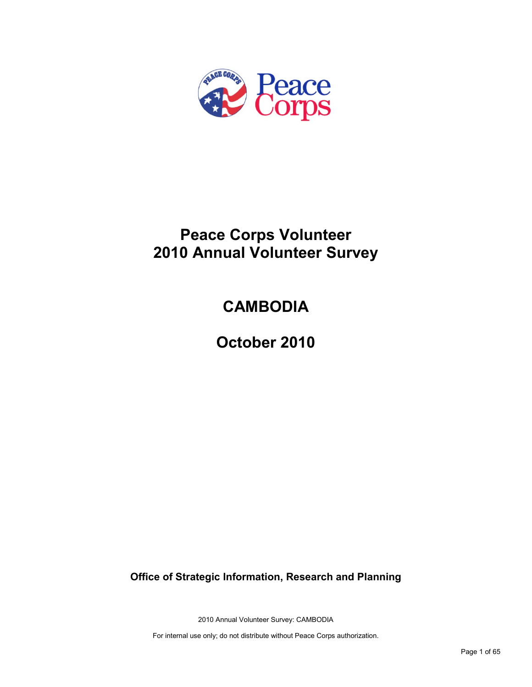

# **Peace Corps Volunteer 2010 Annual Volunteer Survey**

# **CAMBODIA**

**October 2010**

**Office of Strategic Information, Research and Planning**

2010 Annual Volunteer Survey: CAMBODIA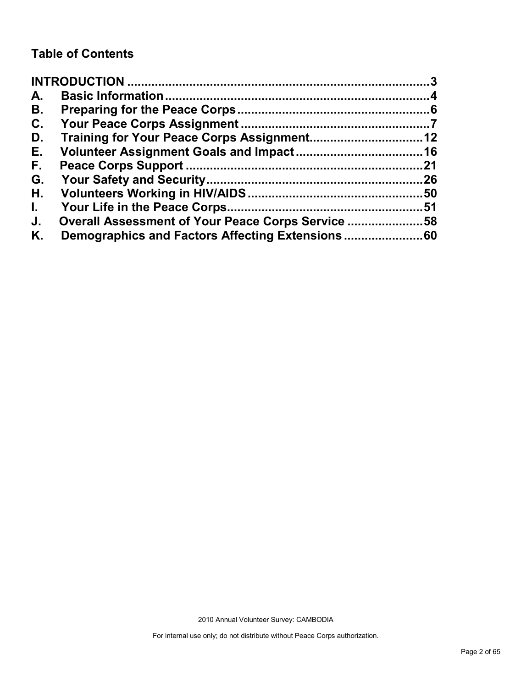# **Table of Contents**

| A.           |                                                   |     |
|--------------|---------------------------------------------------|-----|
| В.           |                                                   |     |
| C.           |                                                   |     |
| D.           |                                                   |     |
| Е.           |                                                   |     |
| F.,          |                                                   | .21 |
| G.           |                                                   |     |
| Н.           |                                                   |     |
| $\mathbf{L}$ |                                                   |     |
| J.           | Overall Assessment of Your Peace Corps Service 58 |     |
| Κ.           |                                                   |     |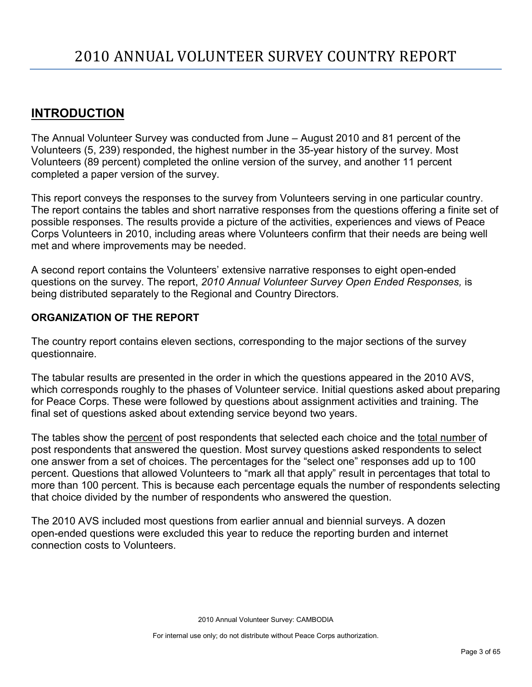# <span id="page-2-0"></span>**INTRODUCTION**

The Annual Volunteer Survey was conducted from June – August 2010 and 81 percent of the Volunteers (5, 239) responded, the highest number in the 35-year history of the survey. Most Volunteers (89 percent) completed the online version of the survey, and another 11 percent completed a paper version of the survey.

This report conveys the responses to the survey from Volunteers serving in one particular country. The report contains the tables and short narrative responses from the questions offering a finite set of possible responses. The results provide a picture of the activities, experiences and views of Peace Corps Volunteers in 2010, including areas where Volunteers confirm that their needs are being well met and where improvements may be needed.

A second report contains the Volunteers' extensive narrative responses to eight open-ended questions on the survey. The report, *2010 Annual Volunteer Survey Open Ended Responses,* is being distributed separately to the Regional and Country Directors.

# **ORGANIZATION OF THE REPORT**

The country report contains eleven sections, corresponding to the major sections of the survey questionnaire.

The tabular results are presented in the order in which the questions appeared in the 2010 AVS, which corresponds roughly to the phases of Volunteer service. Initial questions asked about preparing for Peace Corps. These were followed by questions about assignment activities and training. The final set of questions asked about extending service beyond two years.

The tables show the percent of post respondents that selected each choice and the total number of post respondents that answered the question. Most survey questions asked respondents to select one answer from a set of choices. The percentages for the "select one" responses add up to 100 percent. Questions that allowed Volunteers to "mark all that apply" result in percentages that total to more than 100 percent. This is because each percentage equals the number of respondents selecting that choice divided by the number of respondents who answered the question.

The 2010 AVS included most questions from earlier annual and biennial surveys. A dozen open-ended questions were excluded this year to reduce the reporting burden and internet connection costs to Volunteers.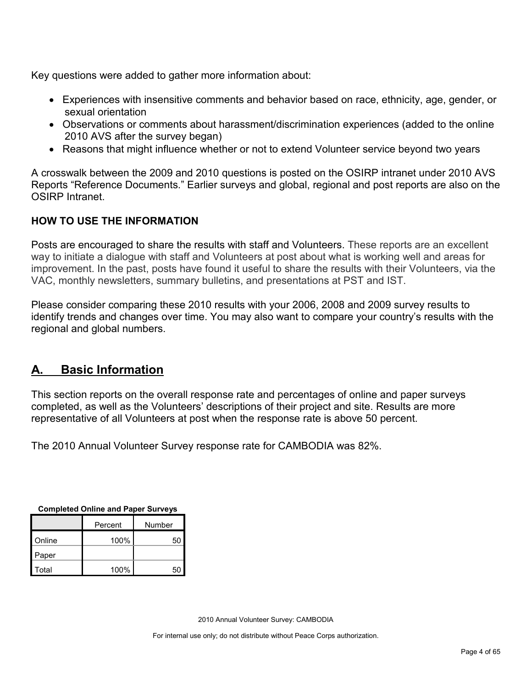Key questions were added to gather more information about:

- Experiences with insensitive comments and behavior based on race, ethnicity, age, gender, or sexual orientation
- Observations or comments about harassment/discrimination experiences (added to the online 2010 AVS after the survey began)
- Reasons that might influence whether or not to extend Volunteer service beyond two years

A crosswalk between the 2009 and 2010 questions is posted on the OSIRP intranet under 2010 AVS Reports "Reference Documents." Earlier surveys and global, regional and post reports are also on the OSIRP Intranet.

# **HOW TO USE THE INFORMATION**

Posts are encouraged to share the results with staff and Volunteers. These reports are an excellent way to initiate a dialogue with staff and Volunteers at post about what is working well and areas for improvement. In the past, posts have found it useful to share the results with their Volunteers, via the VAC, monthly newsletters, summary bulletins, and presentations at PST and IST.

Please consider comparing these 2010 results with your 2006, 2008 and 2009 survey results to identify trends and changes over time. You may also want to compare your country's results with the regional and global numbers.

# <span id="page-3-0"></span>**A. Basic Information**

This section reports on the overall response rate and percentages of online and paper surveys completed, as well as the Volunteers' descriptions of their project and site. Results are more representative of all Volunteers at post when the response rate is above 50 percent.

The 2010 Annual Volunteer Survey response rate for CAMBODIA was 82%.

| <b>OUTIDICICA OTHER AND LADGE ONLYGYS</b> |      |        |  |
|-------------------------------------------|------|--------|--|
| Percent                                   |      | Number |  |
| Online                                    | 100% | 50     |  |
| Paper                                     |      |        |  |
| Total                                     | 100% | 50     |  |

**Completed Online and Paper Surveys**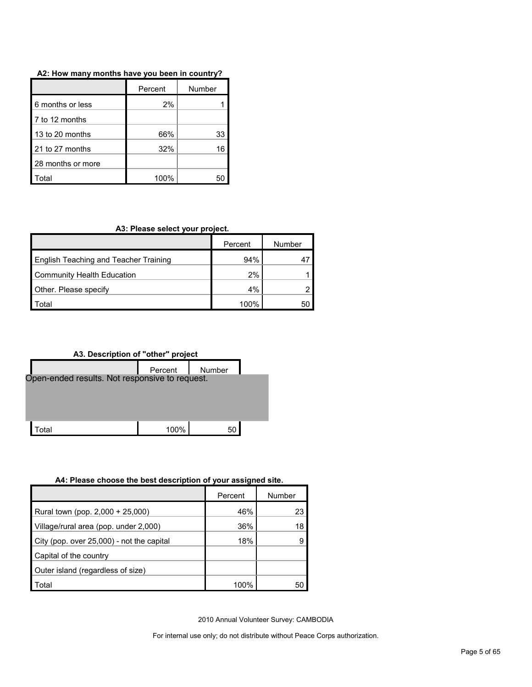| A2: How many months have you been in country? |  |
|-----------------------------------------------|--|
|-----------------------------------------------|--|

|                   | Percent | Number |
|-------------------|---------|--------|
| 6 months or less  | 2%      |        |
| 7 to 12 months    |         |        |
| 13 to 20 months   | 66%     | 33     |
| 21 to 27 months   | 32%     | 16     |
| 28 months or more |         |        |
| otal              | 100%    |        |

#### **A3: Please select your project.**

|                                              | Percent | Number |
|----------------------------------------------|---------|--------|
| <b>English Teaching and Teacher Training</b> | 94%     |        |
| <b>Community Health Education</b>            | 2%      |        |
| Other. Please specify                        | $4\%$   |        |
| <sup>-</sup> otal                            | 100%    | 50     |



#### **A4: Please choose the best description of your assigned site.**

|                                           | Percent | Number |
|-------------------------------------------|---------|--------|
| Rural town (pop. 2,000 + 25,000)          | 46%     | 23     |
| Village/rural area (pop. under 2,000)     | 36%     | 18     |
| City (pop. over 25,000) - not the capital | 18%     |        |
| Capital of the country                    |         |        |
| Outer island (regardless of size)         |         |        |
| Total                                     | 100%    | 50     |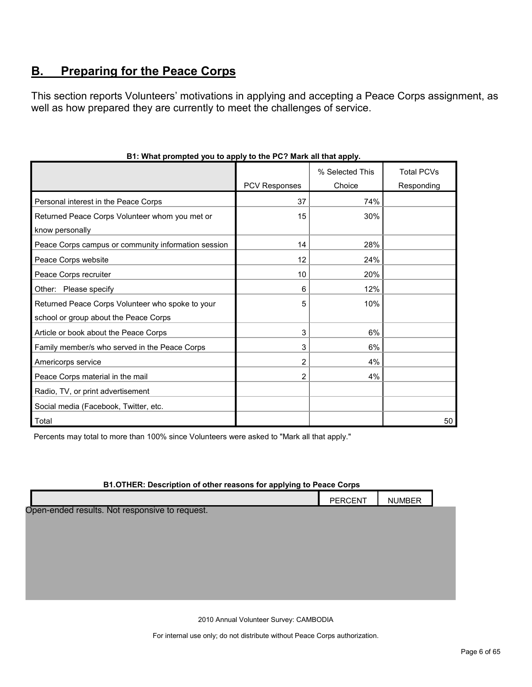# <span id="page-5-0"></span>**B. Preparing for the Peace Corps**

This section reports Volunteers' motivations in applying and accepting a Peace Corps assignment, as well as how prepared they are currently to meet the challenges of service.

|                                                     |                      | % Selected This | <b>Total PCVs</b> |
|-----------------------------------------------------|----------------------|-----------------|-------------------|
|                                                     | <b>PCV Responses</b> | Choice          | Responding        |
| Personal interest in the Peace Corps                | 37                   | 74%             |                   |
| Returned Peace Corps Volunteer whom you met or      | 15                   | 30%             |                   |
| know personally                                     |                      |                 |                   |
| Peace Corps campus or community information session | 14                   | 28%             |                   |
| Peace Corps website                                 | 12                   | 24%             |                   |
| Peace Corps recruiter                               | 10                   | 20%             |                   |
| Other: Please specify                               | 6                    | 12%             |                   |
| Returned Peace Corps Volunteer who spoke to your    | 5                    | 10%             |                   |
| school or group about the Peace Corps               |                      |                 |                   |
| Article or book about the Peace Corps               | 3                    | 6%              |                   |
| Family member/s who served in the Peace Corps       | 3                    | 6%              |                   |
| Americorps service                                  | $\overline{2}$       | 4%              |                   |
| Peace Corps material in the mail                    | 2                    | 4%              |                   |
| Radio, TV, or print advertisement                   |                      |                 |                   |
| Social media (Facebook, Twitter, etc.               |                      |                 |                   |
| Total                                               |                      |                 | 50                |

# **B1: What prompted you to apply to the PC? Mark all that apply.**

Percents may total to more than 100% since Volunteers were asked to "Mark all that apply."

#### **B1.OTHER: Description of other reasons for applying to Peace Corps**

|                                                | PERCENT | <b>NUMBER</b> |  |
|------------------------------------------------|---------|---------------|--|
| Open-ended results. Not responsive to request. |         |               |  |
|                                                |         |               |  |
|                                                |         |               |  |
|                                                |         |               |  |
|                                                |         |               |  |
|                                                |         |               |  |

2010 Annual Volunteer Survey: CAMBODIA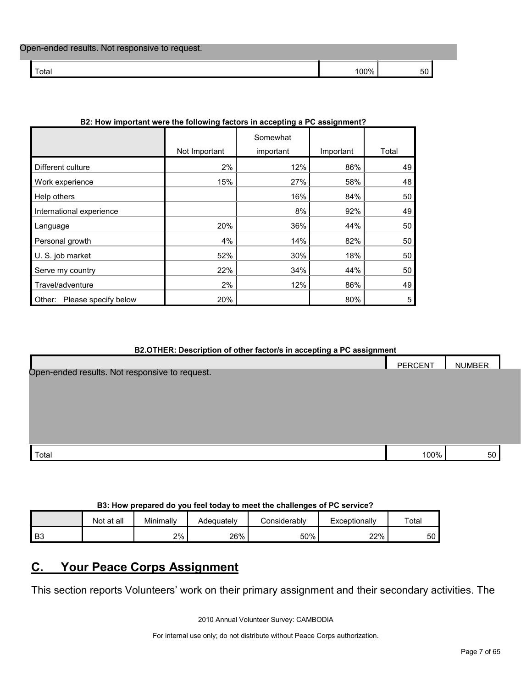| Open-ended results. Not responsive to request. |      |    |  |
|------------------------------------------------|------|----|--|
| ⊺otal                                          | '00% | 50 |  |

| BZ: How important were the following factors in accepting a PC assignment? |               |           |           |       |  |  |
|----------------------------------------------------------------------------|---------------|-----------|-----------|-------|--|--|
|                                                                            |               | Somewhat  |           |       |  |  |
|                                                                            | Not Important | important | Important | Total |  |  |
| Different culture                                                          | 2%            | 12%       | 86%       | 49    |  |  |
| Work experience                                                            | 15%           | 27%       | 58%       | 48    |  |  |
| Help others                                                                |               | 16%       | 84%       | 50    |  |  |
| International experience                                                   |               | 8%        | 92%       | 49    |  |  |
| Language                                                                   | 20%           | 36%       | 44%       | 50    |  |  |
| Personal growth                                                            | 4%            | 14%       | 82%       | 50    |  |  |
| U. S. job market                                                           | 52%           | 30%       | 18%       | 50    |  |  |
| Serve my country                                                           | 22%           | 34%       | 44%       | 50    |  |  |
| Travel/adventure                                                           | 2%            | 12%       | 86%       | 49    |  |  |
| Please specify below<br>Other:                                             | 20%           |           | 80%       | 5     |  |  |

# **B2: How important were the following factors in accepting a PC assignment?**

#### **B2.OTHER: Description of other factor/s in accepting a PC assignment**

|                                                | <b>PERCENT</b> | <b>NUMBER</b> |  |
|------------------------------------------------|----------------|---------------|--|
| Open-ended results. Not responsive to request. |                |               |  |
|                                                |                |               |  |
|                                                |                |               |  |
|                                                |                |               |  |
|                                                |                |               |  |
|                                                |                |               |  |
| Total                                          | 100%           | 50            |  |

# **B3: How prepared do you feel today to meet the challenges of PC service?**

|    | Not at all | Minimally | Adequatelv | ∠onsiderablv | Exceptionally | Total |
|----|------------|-----------|------------|--------------|---------------|-------|
| B3 |            | 2%        | 26%        | 50%          | 22%           | 50    |

# <span id="page-6-0"></span>**C. Your Peace Corps Assignment**

This section reports Volunteers' work on their primary assignment and their secondary activities. The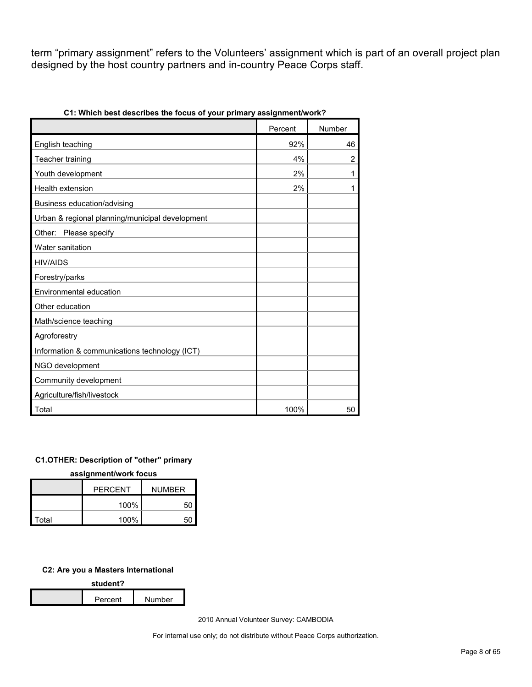term "primary assignment" refers to the Volunteers' assignment which is part of an overall project plan designed by the host country partners and in-country Peace Corps staff.

|                                                 | Percent | Number         |
|-------------------------------------------------|---------|----------------|
| English teaching                                | 92%     | 46             |
| Teacher training                                | 4%      | $\overline{2}$ |
| Youth development                               | 2%      | 1              |
| Health extension                                | 2%      | 1              |
| Business education/advising                     |         |                |
| Urban & regional planning/municipal development |         |                |
| Other: Please specify                           |         |                |
| Water sanitation                                |         |                |
| <b>HIV/AIDS</b>                                 |         |                |
| Forestry/parks                                  |         |                |
| Environmental education                         |         |                |
| Other education                                 |         |                |
| Math/science teaching                           |         |                |
| Agroforestry                                    |         |                |
| Information & communications technology (ICT)   |         |                |
| NGO development                                 |         |                |
| Community development                           |         |                |
| Agriculture/fish/livestock                      |         |                |
| Total                                           | 100%    | 50             |

**C1: Which best describes the focus of your primary assignment/work?**

# **C1.OTHER: Description of "other" primary**

**assignment/work focus**

|       | <b>PERCENT</b> | <b>NUMBER</b> |  |
|-------|----------------|---------------|--|
|       | 100%           | 50            |  |
| Total | 100%           | 50            |  |

#### **C2: Are you a Masters International**

| student? |         |        |  |
|----------|---------|--------|--|
|          | Percent | Number |  |

2010 Annual Volunteer Survey: CAMBODIA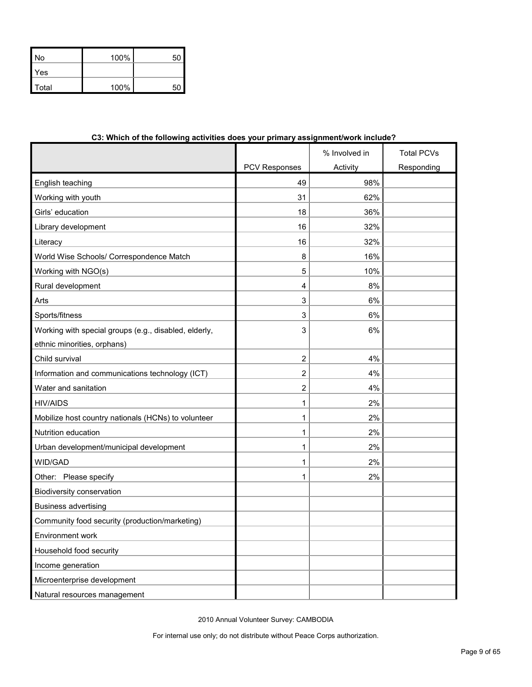| No           | 100% | 50 |
|--------------|------|----|
| Yes          |      |    |
| <b>Total</b> | 100% | 51 |

| C3. WHICH OF the following activities does your primary assignmentwork include a |                      |               |                   |
|----------------------------------------------------------------------------------|----------------------|---------------|-------------------|
|                                                                                  |                      | % Involved in | <b>Total PCVs</b> |
|                                                                                  | <b>PCV Responses</b> | Activity      | Responding        |
| English teaching                                                                 | 49                   | 98%           |                   |
| Working with youth                                                               | 31                   | 62%           |                   |
| Girls' education                                                                 | 18                   | 36%           |                   |
| Library development                                                              | 16                   | 32%           |                   |
| Literacy                                                                         | 16                   | 32%           |                   |
| World Wise Schools/ Correspondence Match                                         | 8                    | 16%           |                   |
| Working with NGO(s)                                                              | 5                    | 10%           |                   |
| Rural development                                                                | 4                    | 8%            |                   |
| Arts                                                                             | 3                    | 6%            |                   |
| Sports/fitness                                                                   | 3                    | 6%            |                   |
| Working with special groups (e.g., disabled, elderly,                            | 3                    | 6%            |                   |
| ethnic minorities, orphans)                                                      |                      |               |                   |
| Child survival                                                                   | $\overline{c}$       | 4%            |                   |
| Information and communications technology (ICT)                                  | 2                    | 4%            |                   |
| Water and sanitation                                                             | 2                    | 4%            |                   |
| <b>HIV/AIDS</b>                                                                  | 1                    | 2%            |                   |
| Mobilize host country nationals (HCNs) to volunteer                              | 1                    | 2%            |                   |
| Nutrition education                                                              | 1                    | 2%            |                   |
| Urban development/municipal development                                          | 1                    | 2%            |                   |
| WID/GAD                                                                          | 1                    | 2%            |                   |
| Other: Please specify                                                            | 1                    | 2%            |                   |
| Biodiversity conservation                                                        |                      |               |                   |
| <b>Business advertising</b>                                                      |                      |               |                   |
| Community food security (production/marketing)                                   |                      |               |                   |
| Environment work                                                                 |                      |               |                   |
| Household food security                                                          |                      |               |                   |
| Income generation                                                                |                      |               |                   |
| Microenterprise development                                                      |                      |               |                   |
| Natural resources management                                                     |                      |               |                   |

# **C3: Which of the following activities does your primary assignment/work include?**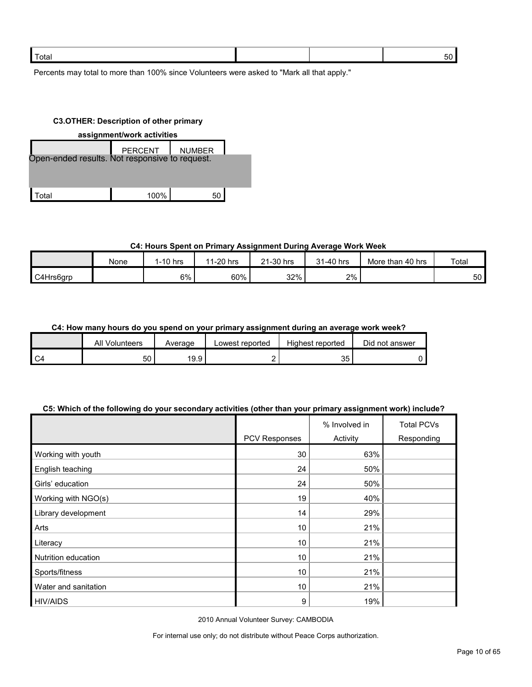| ⊺otal |  |  |
|-------|--|--|
|       |  |  |

Percents may total to more than 100% since Volunteers were asked to "Mark all that apply."

#### **C3.OTHER: Description of other primary**

| assignment/work activities                     |               |  |  |  |
|------------------------------------------------|---------------|--|--|--|
| <b>PERCENT</b>                                 | <b>NUMBER</b> |  |  |  |
| Open-ended results. Not responsive to request. |               |  |  |  |
|                                                |               |  |  |  |
|                                                |               |  |  |  |
| 100%                                           | 50            |  |  |  |
|                                                |               |  |  |  |

# **C4: Hours Spent on Primary Assignment During Average Work Week**

|           | None | $1-10$ hrs | 1-20 hrs<br>44 | 21-30 hrs<br>$^{\circ}$ | 31-40 hrs | More than 40 hrs | Total |
|-----------|------|------------|----------------|-------------------------|-----------|------------------|-------|
| C4Hrs6grp |      | 6%         | 60%            | 32%                     | 2%        |                  | 50    |

### **C4: How many hours do you spend on your primary assignment during an average work week?**

|      | All<br>Volunteers | Average | Lowest reported | Highest reported | Did not answer |
|------|-------------------|---------|-----------------|------------------|----------------|
| l C4 | 50                | 19.9    |                 | 35               |                |

### **C5: Which of the following do your secondary activities (other than your primary assignment work) include?**

|                      |               | % Involved in | <b>Total PCVs</b> |
|----------------------|---------------|---------------|-------------------|
|                      | PCV Responses | Activity      | Responding        |
| Working with youth   | 30            | 63%           |                   |
| English teaching     | 24            | 50%           |                   |
| Girls' education     | 24            | 50%           |                   |
| Working with NGO(s)  | 19            | 40%           |                   |
| Library development  | 14            | 29%           |                   |
| Arts                 | 10            | 21%           |                   |
| Literacy             | 10            | 21%           |                   |
| Nutrition education  | 10            | 21%           |                   |
| Sports/fitness       | 10            | 21%           |                   |
| Water and sanitation | 10            | 21%           |                   |
| <b>HIV/AIDS</b>      | 9             | 19%           |                   |

2010 Annual Volunteer Survey: CAMBODIA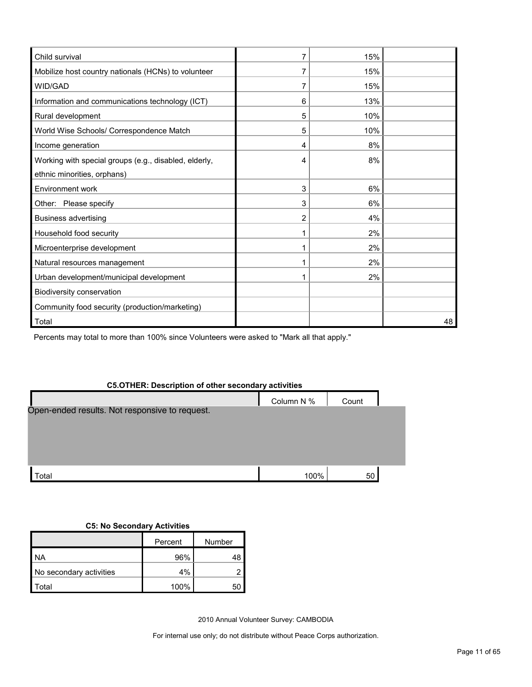| Child survival                                        | 7 | 15% |    |
|-------------------------------------------------------|---|-----|----|
| Mobilize host country nationals (HCNs) to volunteer   | 7 | 15% |    |
| WID/GAD                                               | 7 | 15% |    |
| Information and communications technology (ICT)       | 6 | 13% |    |
| Rural development                                     | 5 | 10% |    |
| World Wise Schools/ Correspondence Match              | 5 | 10% |    |
| Income generation                                     | 4 | 8%  |    |
| Working with special groups (e.g., disabled, elderly, | 4 | 8%  |    |
| ethnic minorities, orphans)                           |   |     |    |
| Environment work                                      | 3 | 6%  |    |
| Other: Please specify                                 | 3 | 6%  |    |
| <b>Business advertising</b>                           | 2 | 4%  |    |
| Household food security                               |   | 2%  |    |
| Microenterprise development                           |   | 2%  |    |
| Natural resources management                          |   | 2%  |    |
| Urban development/municipal development               |   | 2%  |    |
| Biodiversity conservation                             |   |     |    |
| Community food security (production/marketing)        |   |     |    |
| Total                                                 |   |     | 48 |

Percents may total to more than 100% since Volunteers were asked to "Mark all that apply."

# **C5.OTHER: Description of other secondary activities**

|                                                | Column N % | Count |  |
|------------------------------------------------|------------|-------|--|
| Open-ended results. Not responsive to request. |            |       |  |
|                                                |            |       |  |
|                                                |            |       |  |
| $\sf{Total}$                                   | 100%       | 50    |  |

# **C5: No Secondary Activities**

|                         | Percent | Number |
|-------------------------|---------|--------|
| ΝA                      | 96%     | 48     |
| No secondary activities | 4%      |        |
| otal <sup>.</sup>       | 100%    |        |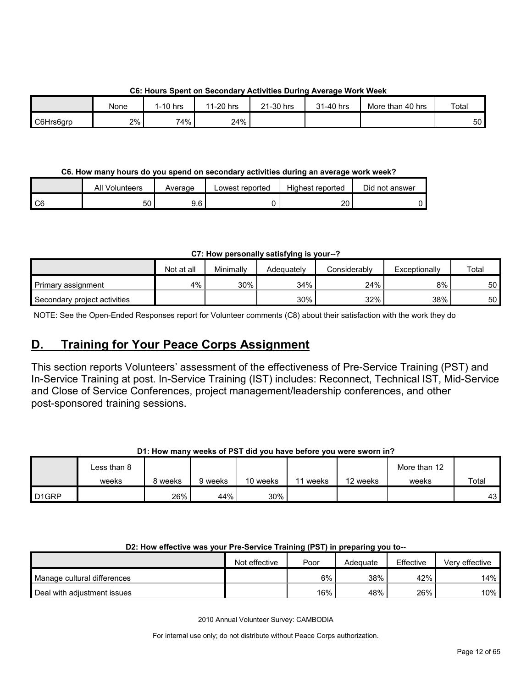|           |             | --------- |           |           |           | -------------    |       |
|-----------|-------------|-----------|-----------|-----------|-----------|------------------|-------|
|           | <b>None</b> | 1-10 hrs  | 11-20 hrs | 21-30 hrs | 31-40 hrs | More than 40 hrs | Total |
| C6Hrs6grp | 2%          | 74%       | 24%       |           |           |                  | 50    |

# **C6: Hours Spent on Secondary Activities During Average Work Week**

# **C6. How many hours do you spend on secondary activities during an average work week?**

|                 | All Volunteers | Average | Lowest reported | <b>Highest reported</b> | Did not answer |
|-----------------|----------------|---------|-----------------|-------------------------|----------------|
| $\overline{C6}$ | 50             | 9.6     |                 | 20                      |                |

# **C7: How personally satisfying is your--?**

|                              | Not at all | Minimally | Adeauatelv | Considerably | Exceptionally | Total |
|------------------------------|------------|-----------|------------|--------------|---------------|-------|
| Primary assignment           | 4%         | 30%       | 34%        | 24%          | 8%            | 50    |
| Secondary project activities |            |           | 30%        | 32%          | 38%           | 50    |

NOTE: See the Open-Ended Responses report for Volunteer comments (C8) about their satisfaction with the work they do

# <span id="page-11-0"></span>**D. Training for Your Peace Corps Assignment**

This section reports Volunteers' assessment of the effectiveness of Pre-Service Training (PST) and In-Service Training at post. In-Service Training (IST) includes: Reconnect, Technical IST, Mid-Service and Close of Service Conferences, project management/leadership conferences, and other post-sponsored training sessions.

# **D1: How many weeks of PST did you have before you were sworn in?**

|                   | Less than 8 |         |         |          |                         |          | More than 12 |       |
|-------------------|-------------|---------|---------|----------|-------------------------|----------|--------------|-------|
|                   | weeks       | 8 weeks | 9 weeks | 10 weeks | weeks<br>$\overline{A}$ | 12 weeks | weeks        | Total |
| D <sub>1GRP</sub> |             | 26%     | 44%     | 30%      |                         |          |              | 43    |

# **D2: How effective was your Pre-Service Training (PST) in preparing you to--**

|                             | Not effective | Poor | Adequate | Effective | Verv effective |
|-----------------------------|---------------|------|----------|-----------|----------------|
| Manage cultural differences |               | 6%   | 38%      | 42%       | 14%            |
| Deal with adiustment issues |               | 16%  | 48%      | 26%       | $10\%$         |

2010 Annual Volunteer Survey: CAMBODIA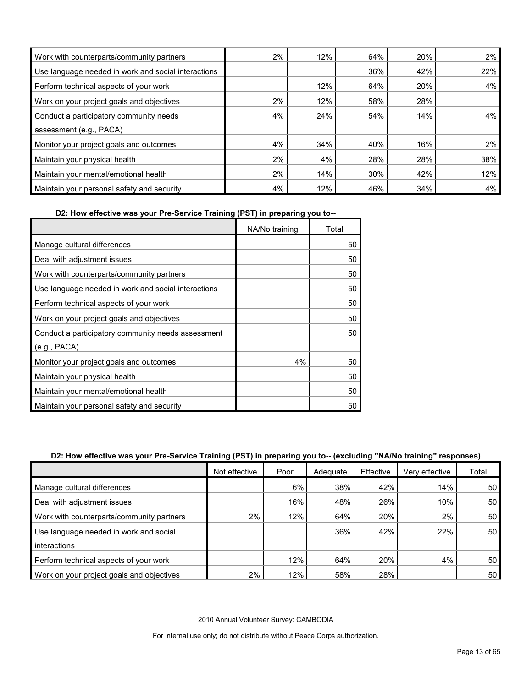| Work with counterparts/community partners           | 2% | 12% | 64% | 20% | $2\%$ |
|-----------------------------------------------------|----|-----|-----|-----|-------|
| Use language needed in work and social interactions |    |     | 36% | 42% | 22%   |
| Perform technical aspects of your work              |    | 12% | 64% | 20% | 4%    |
| Work on your project goals and objectives           | 2% | 12% | 58% | 28% |       |
| Conduct a participatory community needs             | 4% | 24% | 54% | 14% | 4%    |
| assessment (e.g., PACA)                             |    |     |     |     |       |
| Monitor your project goals and outcomes             | 4% | 34% | 40% | 16% | 2%    |
| Maintain your physical health                       | 2% | 4%  | 28% | 28% | 38%   |
| Maintain your mental/emotional health               | 2% | 14% | 30% | 42% | 12%   |
| Maintain your personal safety and security          | 4% | 12% | 46% | 34% | 4%    |

**D2: How effective was your Pre-Service Training (PST) in preparing you to--**

|                                                     | NA/No training | Total |
|-----------------------------------------------------|----------------|-------|
| Manage cultural differences                         |                | 50    |
| Deal with adjustment issues                         |                | 50    |
| Work with counterparts/community partners           |                | 50    |
| Use language needed in work and social interactions |                | 50    |
| Perform technical aspects of your work              |                | 50    |
| Work on your project goals and objectives           |                | 50    |
| Conduct a participatory community needs assessment  |                | 50    |
| (e.g., PACA)                                        |                |       |
| Monitor your project goals and outcomes             | 4%             | 50    |
| Maintain your physical health                       |                | 50    |
| Maintain your mental/emotional health               |                | 50    |
| Maintain your personal safety and security          |                | 50    |

# **D2: How effective was your Pre-Service Training (PST) in preparing you to-- (excluding "NA/No training" responses)**

|                                           | Not effective | Poor  | Adequate | Effective | Very effective | Total |
|-------------------------------------------|---------------|-------|----------|-----------|----------------|-------|
| Manage cultural differences               |               | $6\%$ | 38%      | 42%       | 14%            | 50    |
| Deal with adjustment issues               |               | 16%   | 48%      | 26%       | 10%            | 50    |
| Work with counterparts/community partners | 2%            | 12%   | 64%      | 20%       | 2%             | 50    |
| Use language needed in work and social    |               |       | 36%      | 42%       | 22%            | 50    |
| interactions                              |               |       |          |           |                |       |
| Perform technical aspects of your work    |               | 12%   | 64%      | 20%       | 4%             | 50    |
| Work on your project goals and objectives | 2%            | 12%   | 58%      | 28%       |                | 50    |

2010 Annual Volunteer Survey: CAMBODIA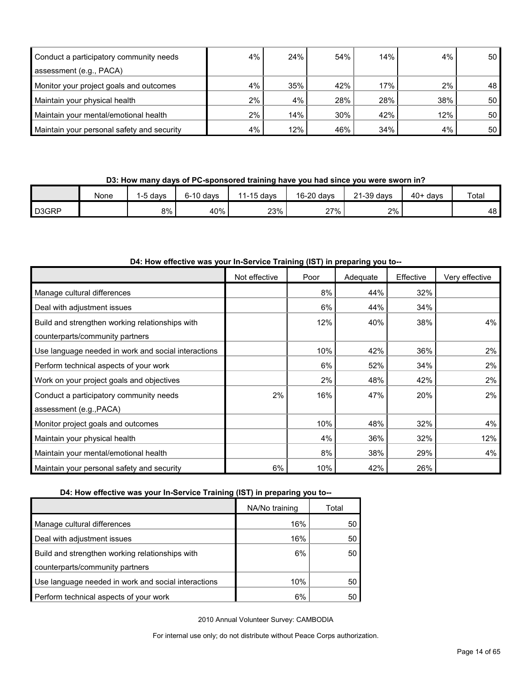| Conduct a participatory community needs    | 4%    | 24% | 54% | 14% | 4%  | 50 <sub>1</sub> |
|--------------------------------------------|-------|-----|-----|-----|-----|-----------------|
| assessment (e.g., PACA)                    |       |     |     |     |     |                 |
| Monitor your project goals and outcomes    | 4%    | 35% | 42% | 17% | 2%  | 48              |
| Maintain your physical health              | $2\%$ | 4%  | 28% | 28% | 38% | 50 <sup>1</sup> |
| Maintain your mental/emotional health      | 2%    | 14% | 30% | 42% | 12% | 50 <sup>1</sup> |
| Maintain your personal safety and security | 4%    | 12% | 46% | 34% | 4%  | 50 <sup>1</sup> |

**D3: How many days of PC-sponsored training have you had since you were sworn in?**

|                    | None | davs  | $6-10$ davs | 11-15 days | 16-20 days | 21-39 days | $40+$ davs | Total |
|--------------------|------|-------|-------------|------------|------------|------------|------------|-------|
| D <sub>3</sub> GRP |      | $8\%$ | 40%         | 23%        | 27%        | 2%         |            | 48 I  |

| D4: How effective was your In-Service Training (IST) in preparing you to-- |
|----------------------------------------------------------------------------|
|----------------------------------------------------------------------------|

|                                                     | Not effective | Poor | Adequate | Effective | Very effective |
|-----------------------------------------------------|---------------|------|----------|-----------|----------------|
| Manage cultural differences                         |               | 8%   | 44%      | 32%       |                |
| Deal with adjustment issues                         |               | 6%   | 44%      | 34%       |                |
| Build and strengthen working relationships with     |               | 12%  | 40%      | 38%       | 4%             |
| counterparts/community partners                     |               |      |          |           |                |
| Use language needed in work and social interactions |               | 10%  | 42%      | 36%       | 2%             |
| Perform technical aspects of your work              |               | 6%   | 52%      | 34%       | $2\%$          |
| Work on your project goals and objectives           |               | 2%   | 48%      | 42%       | $2\%$          |
| Conduct a participatory community needs             | 2%            | 16%  | 47%      | 20%       | 2%             |
| assessment (e.g., PACA)                             |               |      |          |           |                |
| Monitor project goals and outcomes                  |               | 10%  | 48%      | 32%       | 4%             |
| Maintain your physical health                       |               | 4%   | 36%      | 32%       | 12%            |
| Maintain your mental/emotional health               |               | 8%   | 38%      | 29%       | 4%             |
| Maintain your personal safety and security          | 6%            | 10%  | 42%      | 26%       |                |

# **D4: How effective was your In-Service Training (IST) in preparing you to--**

|                                                     | NA/No training | Total |
|-----------------------------------------------------|----------------|-------|
| Manage cultural differences                         | 16%            | 50    |
| Deal with adjustment issues                         | 16%            | 50    |
| Build and strengthen working relationships with     | 6%             | 50    |
| counterparts/community partners                     |                |       |
| Use language needed in work and social interactions | 10%            | 50    |
| Perform technical aspects of your work              | 6%             | 50    |

2010 Annual Volunteer Survey: CAMBODIA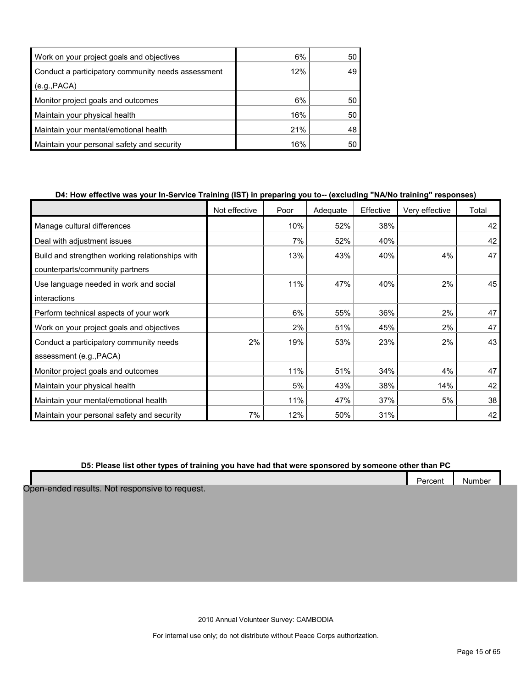| Work on your project goals and objectives          | 6%  | 50 |
|----------------------------------------------------|-----|----|
| Conduct a participatory community needs assessment | 12% | 49 |
| (e.g., PACA)                                       |     |    |
| Monitor project goals and outcomes                 | 6%  | 50 |
| Maintain your physical health                      | 16% | 50 |
| Maintain your mental/emotional health              | 21% | 48 |
| Maintain your personal safety and security         | 16% | 50 |

# **D4: How effective was your In-Service Training (IST) in preparing you to-- (excluding "NA/No training" responses)**

|                                                 | Not effective | Poor | Adequate | Effective | Very effective | Total |
|-------------------------------------------------|---------------|------|----------|-----------|----------------|-------|
| Manage cultural differences                     |               | 10%  | 52%      | 38%       |                | 42    |
| Deal with adjustment issues                     |               | 7%   | 52%      | 40%       |                | 42    |
| Build and strengthen working relationships with |               | 13%  | 43%      | 40%       | 4%             | 47    |
| counterparts/community partners                 |               |      |          |           |                |       |
| Use language needed in work and social          |               | 11%  | 47%      | 40%       | 2%             | 45    |
| interactions                                    |               |      |          |           |                |       |
| Perform technical aspects of your work          |               | 6%   | 55%      | 36%       | 2%             | 47    |
| Work on your project goals and objectives       |               | 2%   | 51%      | 45%       | 2%             | 47    |
| Conduct a participatory community needs         | 2%            | 19%  | 53%      | 23%       | 2%             | 43    |
| assessment (e.g., PACA)                         |               |      |          |           |                |       |
| Monitor project goals and outcomes              |               | 11%  | 51%      | 34%       | 4%             | 47    |
| Maintain your physical health                   |               | 5%   | 43%      | 38%       | 14%            | 42    |
| Maintain your mental/emotional health           |               | 11%  | 47%      | 37%       | 5%             | 38    |
| Maintain your personal safety and security      | 7%            | 12%  | 50%      | 31%       |                | 42    |

# **D5: Please list other types of training you have had that were sponsored by someone other than PC**

|                                        | $\overline{\phantom{0}}$<br>Percent | Number |  |
|----------------------------------------|-------------------------------------|--------|--|
| ded results. Not responsive to request |                                     |        |  |

Open-en

2010 Annual Volunteer Survey: CAMBODIA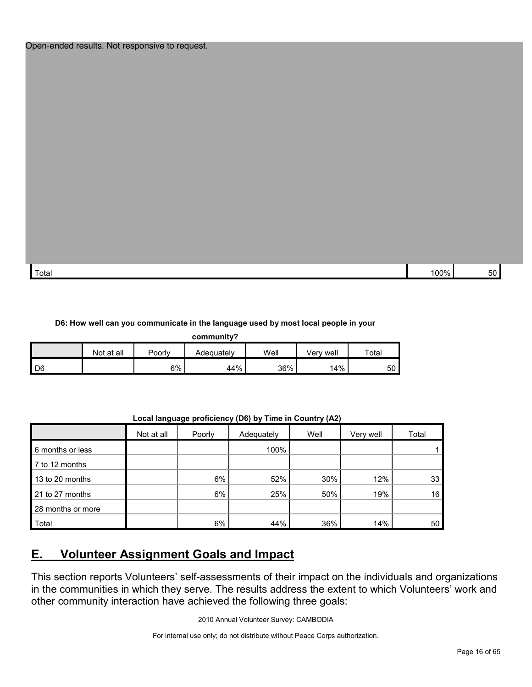| Total | nno/<br>7٥ | - - |
|-------|------------|-----|

#### **D6: How well can you communicate in the language used by most local people in your**

| community? |            |        |            |      |           |       |
|------------|------------|--------|------------|------|-----------|-------|
|            | Not at all | Poorly | Adequately | Well | Verv well | Total |
| D6         |            | 6%     | 44%        | 36%  | 14%       | 50    |

**Local language proficiency (D6) by Time in Country (A2)**

|                   | Not at all | Poorly | Adequately | Well | Very well | Total |
|-------------------|------------|--------|------------|------|-----------|-------|
| 6 months or less  |            |        | 100%       |      |           |       |
| 7 to 12 months    |            |        |            |      |           |       |
| 13 to 20 months   |            | 6%     | 52%        | 30%  | 12%       | 33    |
| 21 to 27 months   |            | 6%     | 25%        | 50%  | 19%       | 16    |
| 28 months or more |            |        |            |      |           |       |
| Total             |            | 6%     | 44%        | 36%  | 14%       | 50    |

# <span id="page-15-0"></span>**E. Volunteer Assignment Goals and Impact**

This section reports Volunteers' self-assessments of their impact on the individuals and organizations in the communities in which they serve. The results address the extent to which Volunteers' work and other community interaction have achieved the following three goals: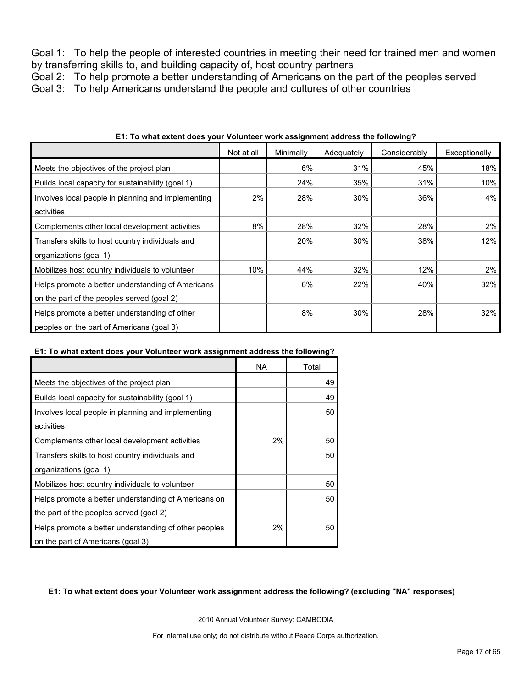Goal 1: To help the people of interested countries in meeting their need for trained men and women by transferring skills to, and building capacity of, host country partners

Goal 2: To help promote a better understanding of Americans on the part of the peoples served Goal 3: To help Americans understand the people and cultures of other countries

|                                                    | Not at all | Minimally | Adequately | Considerably | Exceptionally |
|----------------------------------------------------|------------|-----------|------------|--------------|---------------|
| Meets the objectives of the project plan           |            | 6%        | 31%        | 45%          | 18%           |
| Builds local capacity for sustainability (goal 1)  |            | 24%       | 35%        | 31%          | 10%           |
| Involves local people in planning and implementing | 2%         | 28%       | 30%        | 36%          | 4%            |
| activities                                         |            |           |            |              |               |
| Complements other local development activities     | 8%         | 28%       | 32%        | 28%          | 2%            |
| Transfers skills to host country individuals and   |            | 20%       | 30%        | 38%          | 12%           |
| organizations (goal 1)                             |            |           |            |              |               |
| Mobilizes host country individuals to volunteer    | 10%        | 44%       | 32%        | 12%          | $2\%$         |
| Helps promote a better understanding of Americans  |            | 6%        | 22%        | 40%          | 32%           |
| on the part of the peoples served (goal 2)         |            |           |            |              |               |
| Helps promote a better understanding of other      |            | 8%        | 30%        | 28%          | 32%           |
| peoples on the part of Americans (goal 3)          |            |           |            |              |               |

#### **E1: To what extent does your Volunteer work assignment address the following?**

#### **E1: To what extent does your Volunteer work assignment address the following?**

|                                                       | NA    | Total |
|-------------------------------------------------------|-------|-------|
| Meets the objectives of the project plan              |       | 49    |
| Builds local capacity for sustainability (goal 1)     |       | 49    |
| Involves local people in planning and implementing    |       | 50    |
| activities                                            |       |       |
| Complements other local development activities        | $2\%$ | 50    |
| Transfers skills to host country individuals and      |       | 50    |
| organizations (goal 1)                                |       |       |
| Mobilizes host country individuals to volunteer       |       | 50    |
| Helps promote a better understanding of Americans on  |       | 50    |
| the part of the peoples served (goal 2)               |       |       |
| Helps promote a better understanding of other peoples | 2%    | 50    |
| on the part of Americans (goal 3)                     |       |       |

# **E1: To what extent does your Volunteer work assignment address the following? (excluding "NA" responses)**

2010 Annual Volunteer Survey: CAMBODIA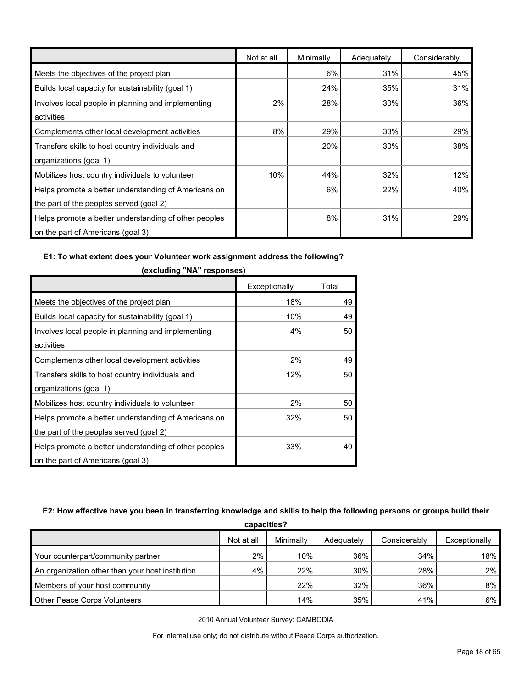|                                                       | Not at all | Minimally | Adequately | Considerably |
|-------------------------------------------------------|------------|-----------|------------|--------------|
| Meets the objectives of the project plan              |            | 6%        | 31%        | 45%          |
| Builds local capacity for sustainability (goal 1)     |            | 24%       | 35%        | 31%          |
| Involves local people in planning and implementing    | 2%         | 28%       | 30%        | 36%          |
| activities                                            |            |           |            |              |
| Complements other local development activities        | 8%         | 29%       | 33%        | 29%          |
| Transfers skills to host country individuals and      |            | 20%       | 30%        | 38%          |
| organizations (goal 1)                                |            |           |            |              |
| Mobilizes host country individuals to volunteer       | 10%        | 44%       | 32%        | 12%          |
| Helps promote a better understanding of Americans on  |            | 6%        | 22%        | 40%          |
| the part of the peoples served (goal 2)               |            |           |            |              |
| Helps promote a better understanding of other peoples |            | 8%        | 31%        | 29%          |
| on the part of Americans (goal 3)                     |            |           |            |              |

# **E1: To what extent does your Volunteer work assignment address the following?**

|                                                       | Exceptionally | Total |
|-------------------------------------------------------|---------------|-------|
| Meets the objectives of the project plan              | 18%           | 49    |
| Builds local capacity for sustainability (goal 1)     | 10%           | 49    |
| Involves local people in planning and implementing    | 4%            | 50    |
| activities                                            |               |       |
| Complements other local development activities        | 2%            | 49    |
| Transfers skills to host country individuals and      | 12%           | 50    |
| organizations (goal 1)                                |               |       |
| Mobilizes host country individuals to volunteer       | 2%            | 50    |
| Helps promote a better understanding of Americans on  | 32%           | 50    |
| the part of the peoples served (goal 2)               |               |       |
| Helps promote a better understanding of other peoples | 33%           | 49    |
| on the part of Americans (goal 3)                     |               |       |

**(excluding "NA" responses)**

# **E2: How effective have you been in transferring knowledge and skills to help the following persons or groups build their**

| capacities?                                      |            |           |            |              |               |  |  |
|--------------------------------------------------|------------|-----------|------------|--------------|---------------|--|--|
|                                                  | Not at all | Minimally | Adequately | Considerably | Exceptionally |  |  |
| Your counterpart/community partner               | 2%         | 10%       | 36%        | 34%          | 18%           |  |  |
| An organization other than your host institution | 4%         | 22%       | 30%        | 28%          | 2%            |  |  |
| Members of your host community                   |            | 22%       | 32%        | 36%          | 8%            |  |  |
| <b>Other Peace Corps Volunteers</b>              |            | 14%       | 35%        | 41%          | 6%            |  |  |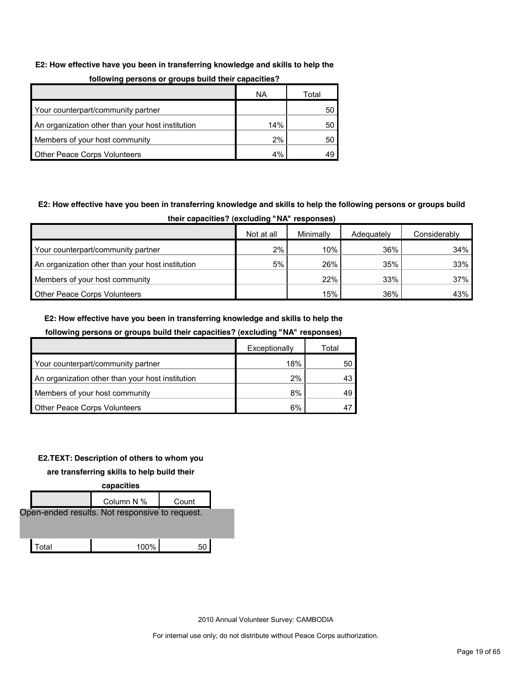#### **E2: How effective have you been in transferring knowledge and skills to help the**

| .                                                |     |       |  |  |  |  |
|--------------------------------------------------|-----|-------|--|--|--|--|
|                                                  | ΝA  | Total |  |  |  |  |
| Your counterpart/community partner               |     | 50    |  |  |  |  |
| An organization other than your host institution | 14% | 50    |  |  |  |  |
| Members of your host community                   | 2%  | 50    |  |  |  |  |
| Other Peace Corps Volunteers                     | 4%  |       |  |  |  |  |

#### **following persons or groups build their capacities?**

# **E2: How effective have you been in transferring knowledge and skills to help the following persons or groups build their capacities? (excluding "NA" responses)**

|                                                  | Not at all | Minimally | Adequately | Considerably |
|--------------------------------------------------|------------|-----------|------------|--------------|
| Your counterpart/community partner               | 2%         | 10%       | 36%        | 34%          |
| An organization other than your host institution | 5%         | 26%       | 35%        | 33%          |
| Members of your host community                   |            | 22%       | 33%        | 37%          |
| <b>Other Peace Corps Volunteers</b>              |            | 15%       | 36%        | 43%          |

#### **E2: How effective have you been in transferring knowledge and skills to help the**

### **following persons or groups build their capacities? (excluding "NA" responses)**

|                                                  | Exceptionally | Total |
|--------------------------------------------------|---------------|-------|
| Your counterpart/community partner               | 18%           | 50    |
| An organization other than your host institution | 2%            | 43.   |
| Members of your host community                   | 8%            | 49    |
| <b>Other Peace Corps Volunteers</b>              | 6%            |       |

### **E2.TEXT: Description of others to whom you**

#### **are transferring skills to help build their**

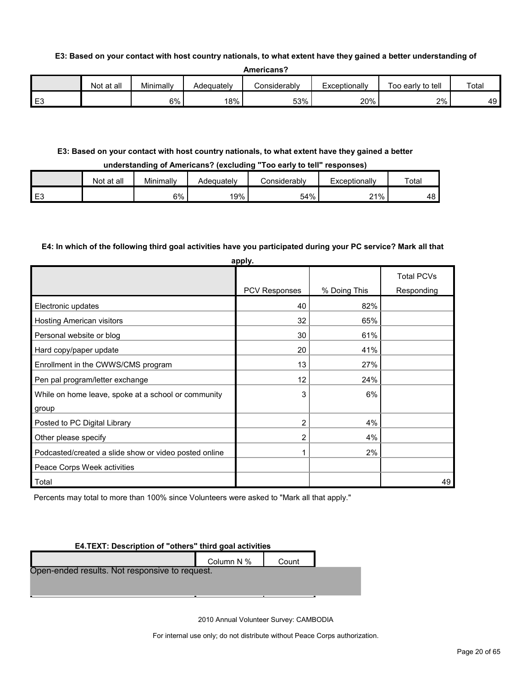#### **E3: Based on your contact with host country nationals, to what extent have they gained a better understanding of**

|                | Not<br>at all | Minimally | Adequatelv | <i>C</i> onsiderabl∨ | Exceptionally | Too early to tell | Total |
|----------------|---------------|-----------|------------|----------------------|---------------|-------------------|-------|
| E <sub>3</sub> |               | 6%        | 18%        | 53%                  | 20%           | 2%                | 49    |

#### **E3: Based on your contact with host country nationals, to what extent have they gained a better**

#### **understanding of Americans? (excluding "Too early to tell" responses)**

|    | Not at all | Minimally | Adequatelv | :onsiderablv | Exceptionally | Total |
|----|------------|-----------|------------|--------------|---------------|-------|
| E3 |            | 6%        | 19%        | 54%          | 21%           | 48    |

#### **E4: In which of the following third goal activities have you participated during your PC service? Mark all that**

| apply.                                                |               |              |                   |  |  |  |  |
|-------------------------------------------------------|---------------|--------------|-------------------|--|--|--|--|
|                                                       |               |              | <b>Total PCVs</b> |  |  |  |  |
|                                                       | PCV Responses | % Doing This | Responding        |  |  |  |  |
| Electronic updates                                    | 40            | 82%          |                   |  |  |  |  |
| Hosting American visitors                             | 32            | 65%          |                   |  |  |  |  |
| Personal website or blog                              | 30            | 61%          |                   |  |  |  |  |
| Hard copy/paper update                                | 20            | 41%          |                   |  |  |  |  |
| Enrollment in the CWWS/CMS program                    | 13            | 27%          |                   |  |  |  |  |
| Pen pal program/letter exchange                       | 12            | 24%          |                   |  |  |  |  |
| While on home leave, spoke at a school or community   | 3             | 6%           |                   |  |  |  |  |
| group                                                 |               |              |                   |  |  |  |  |
| Posted to PC Digital Library                          | 2             | 4%           |                   |  |  |  |  |
| Other please specify                                  | 2             | 4%           |                   |  |  |  |  |
| Podcasted/created a slide show or video posted online | 1             | 2%           |                   |  |  |  |  |
| Peace Corps Week activities                           |               |              |                   |  |  |  |  |
| Total                                                 |               |              | 49                |  |  |  |  |

Percents may total to more than 100% since Volunteers were asked to "Mark all that apply."

#### **E4.TEXT: Description of "others" third goal activities**

|                                                | Column N % | Count |  |
|------------------------------------------------|------------|-------|--|
| Open-ended results. Not responsive to request. |            |       |  |
|                                                |            |       |  |
|                                                |            |       |  |
|                                                |            |       |  |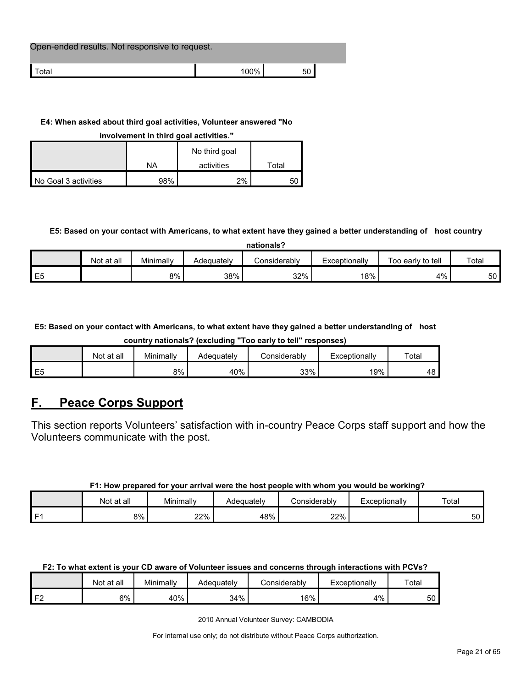| Open-ended results. Not responsive to request. |         |  |
|------------------------------------------------|---------|--|
| l Total                                        | $100\%$ |  |

# **E4: When asked about third goal activities, Volunteer answered "No**

**involvement in third goal activities."** 

|                      |     | No third goal |       |
|----------------------|-----|---------------|-------|
|                      | ΝA  | activities    | Total |
| No Goal 3 activities | 98% | $2\%$         | 50    |

# **E5: Based on your contact with Americans, to what extent have they gained a better understanding of host country**

| nationals?     |            |           |            |              |               |                   |       |  |
|----------------|------------|-----------|------------|--------------|---------------|-------------------|-------|--|
|                | Not at all | Minimally | Adequately | Considerablv | Exceptionally | Too early to tell | Total |  |
| E <sub>5</sub> |            | 8%        | 38%        | 32%          | 18%           | 4%                | 50    |  |

**E5: Based on your contact with Americans, to what extent have they gained a better understanding of host** 

**country nationals? (excluding "Too early to tell" responses)**

|                | Not at all | Minimally | Adeauatelv | onsiderablyٽ | Exceptionally | Total |
|----------------|------------|-----------|------------|--------------|---------------|-------|
| E <sub>5</sub> |            | 8%        | 40%        | 33%          | 19%           | 48    |

# <span id="page-20-0"></span>**F. Peace Corps Support**

This section reports Volunteers' satisfaction with in-country Peace Corps staff support and how the Volunteers communicate with the post.

# **F1: How prepared for your arrival were the host people with whom you would be working?**

|                | at all<br>Not | Minimally | Adequately | . .<br>Considerably | Exceptionally | Total        |
|----------------|---------------|-----------|------------|---------------------|---------------|--------------|
| F <sub>1</sub> | 8%            | 22%       | 48%        | 22%                 |               | $\sim$<br>ხს |

# **F2: To what extent is your CD aware of Volunteer issues and concerns through interactions with PCVs?**

|          | Not at all | Minimally | Adequately | .onsiderablyٽ | Exceptionally | Total |
|----------|------------|-----------|------------|---------------|---------------|-------|
| $\Gamma$ | 6%         | 40%       | 34%        | 16%           | 4%            | 50    |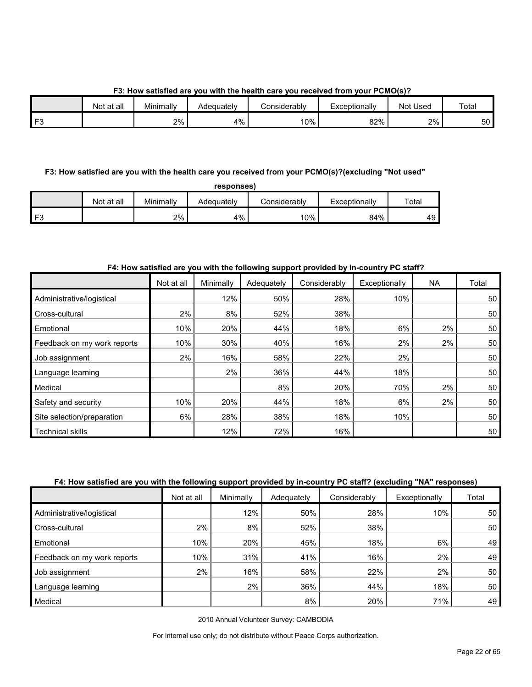**F3: How satisfied are you with the health care you received from your PCMO(s)?**

|     | Not at all | Minimally | Adequately | Considerabl∨ | Exceptionally | Not Used | Total |
|-----|------------|-----------|------------|--------------|---------------|----------|-------|
| ro- |            | 2%        | 4%         | 10%          | 82%           | 2%       | 50    |

# **F3: How satisfied are you with the health care you received from your PCMO(s)?(excluding "Not used"**

| responses |  |
|-----------|--|
|-----------|--|

| Not at all | Minimally | Adequatelv | Considerablv | Exceptionally | $\tau$ otal |
|------------|-----------|------------|--------------|---------------|-------------|
|            | 2%        | 4%         | 10%          | 84%           | 49          |

# **F4: How satisfied are you with the following support provided by in-country PC staff?**

|                             | Not at all | Minimally | Adequately | Considerably | Exceptionally | <b>NA</b> | Total |
|-----------------------------|------------|-----------|------------|--------------|---------------|-----------|-------|
| Administrative/logistical   |            | 12%       | 50%        | 28%          | 10%           |           | 50    |
| Cross-cultural              | $2\%$      | 8%        | 52%        | 38%          |               |           | 50    |
| Emotional                   | 10%        | 20%       | 44%        | 18%          | 6%            | 2%        | 50    |
| Feedback on my work reports | 10%        | 30%       | 40%        | 16%          | 2%            | 2%        | 50    |
| Job assignment              | 2%         | 16%       | 58%        | 22%          | 2%            |           | 50    |
| Language learning           |            | 2%        | 36%        | 44%          | 18%           |           | 50    |
| Medical                     |            |           | 8%         | 20%          | 70%           | 2%        | 50    |
| Safety and security         | 10%        | 20%       | 44%        | 18%          | 6%            | 2%        | 50    |
| Site selection/preparation  | 6%         | 28%       | 38%        | 18%          | 10%           |           | 50    |
| <b>Technical skills</b>     |            | 12%       | 72%        | 16%          |               |           | 50    |

# **F4: How satisfied are you with the following support provided by in-country PC staff? (excluding "NA" responses)**

|                             | Not at all | Minimally | Adequately | Considerably | Exceptionally | Total |
|-----------------------------|------------|-----------|------------|--------------|---------------|-------|
| Administrative/logistical   |            | 12%       | 50%        | 28%          | 10%           | 50    |
| Cross-cultural              | 2%         | 8%        | 52%        | 38%          |               | 50    |
| Emotional                   | 10%        | 20%       | 45%        | 18%          | 6%            | 49    |
| Feedback on my work reports | 10%        | 31%       | 41%        | 16%          | $2\%$         | 49    |
| Job assignment              | 2%         | 16%       | 58%        | 22%          | 2%            | 50    |
| Language learning           |            | 2%        | 36%        | 44%          | 18%           | 50    |
| Medical                     |            |           | 8%         | 20%          | 71%           | 49    |

2010 Annual Volunteer Survey: CAMBODIA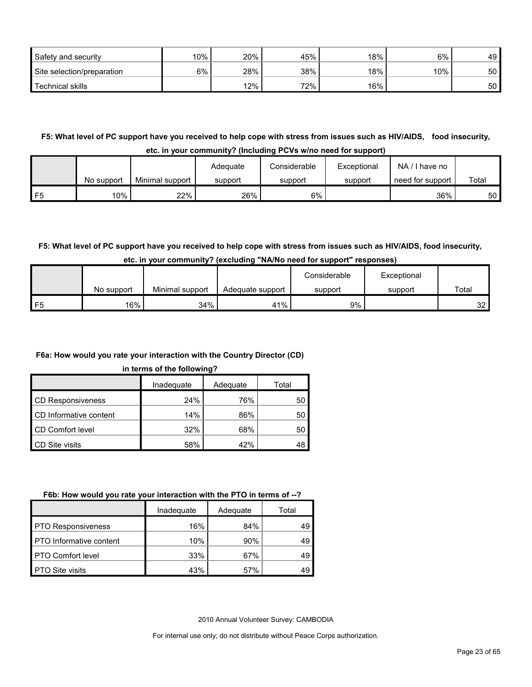| Safety and security        | 10% | 20% | 45% | 18% | 6%     | 49 |
|----------------------------|-----|-----|-----|-----|--------|----|
| Site selection/preparation | 6%  | 28% | 38% | 18% | $10\%$ | 50 |
| Technical skills           |     | 12% | 72% | 16% |        | 50 |

**F5: What level of PC support have you received to help cope with stress from issues such as HIV/AIDS, food insecurity, etc. in your community? (Including PCVs w/no need for support)**

|    |            |                 | Adeguate | Considerable | Exceptional | $NA / I$ have no |       |
|----|------------|-----------------|----------|--------------|-------------|------------------|-------|
|    | No support | Minimal support | support  | support      | support     | need for support | Total |
| F5 | 10%        | 22%             | 26%      | 6%1          |             | 36%              | 50    |

# **F5: What level of PC support have you received to help cope with stress from issues such as HIV/AIDS, food insecurity,**

|    |            |                 |                  | Considerable | Exceptional |                 |
|----|------------|-----------------|------------------|--------------|-------------|-----------------|
|    | No support | Minimal support | Adequate support | support      | support     | Total           |
| F5 | 16%        | 34%             | 41%              | 9%           |             | 32 <sub>1</sub> |

# **F6a: How would you rate your interaction with the Country Director (CD)**

#### **in terms of the following?**

|                          | Inadequate<br>Adequate |     | Total |  |
|--------------------------|------------------------|-----|-------|--|
| <b>CD Responsiveness</b> | 24%                    | 76% | 50    |  |
| CD Informative content   | 14%                    | 86% | 50    |  |
| CD Comfort level         | 32%                    | 68% | 50    |  |
| CD Site visits           | 58%                    | 42% | 48    |  |

#### **F6b: How would you rate your interaction with the PTO in terms of --?**

|                                | Inadequate | Adequate | Total |
|--------------------------------|------------|----------|-------|
| <b>PTO Responsiveness</b>      | 16%        | 84%      | 49    |
| <b>PTO</b> Informative content | 10%        | 90%      | 49    |
| <b>PTO Comfort level</b>       | 33%        | 67%      | 49    |
| <b>PTO Site visits</b>         | 43%        | 57%      | 49    |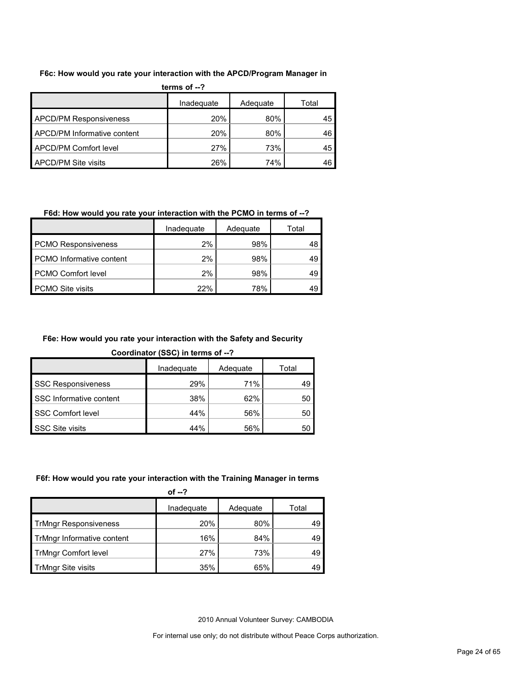#### **F6c: How would you rate your interaction with the APCD/Program Manager in**

| terms of $-2$                      |     |     |    |  |  |  |  |
|------------------------------------|-----|-----|----|--|--|--|--|
| Inadequate<br>Adequate<br>Total    |     |     |    |  |  |  |  |
| <b>APCD/PM Responsiveness</b>      | 20% | 80% | 45 |  |  |  |  |
| <b>APCD/PM Informative content</b> | 20% | 80% | 46 |  |  |  |  |
| <b>APCD/PM Comfort level</b>       | 27% | 73% | 45 |  |  |  |  |
| APCD/PM Site visits                | 26% | 74% | 46 |  |  |  |  |

# **F6d: How would you rate your interaction with the PCMO in terms of --?**

|                                 | Inadequate | Adequate | Total |
|---------------------------------|------------|----------|-------|
| <b>PCMO Responsiveness</b>      | 2%         | 98%      | 48    |
| <b>PCMO</b> Informative content | 2%         | 98%      | 49    |
| <b>PCMO Comfort level</b>       | 2%         | 98%      | 49    |
| <b>PCMO Site visits</b>         | 22%        | 78%      | 49    |

# **F6e: How would you rate your interaction with the Safety and Security**

**Coordinator (SSC) in terms of --?**

|                           | Inadequate | Adequate | Total |
|---------------------------|------------|----------|-------|
| <b>SSC Responsiveness</b> | 29%        | 71%      |       |
| SSC Informative content   | 38%        | 62%      | 50    |
| SSC Comfort level         | 44%        | 56%      | 50    |
| <b>SSC Site visits</b>    | 44%        | 56%      | 50    |

# **F6f: How would you rate your interaction with the Training Manager in terms**

| of $-2$                      |            |          |       |  |  |
|------------------------------|------------|----------|-------|--|--|
|                              | Inadequate | Adequate | Total |  |  |
| <b>TrMngr Responsiveness</b> | 20%        | 80%      | 49    |  |  |
| TrMngr Informative content   | 16%        | 84%      | 49    |  |  |
| <b>TrMngr Comfort level</b>  | 27%        | 73%      | 49    |  |  |
| <b>TrMngr Site visits</b>    | 35%        | 65%      | 49    |  |  |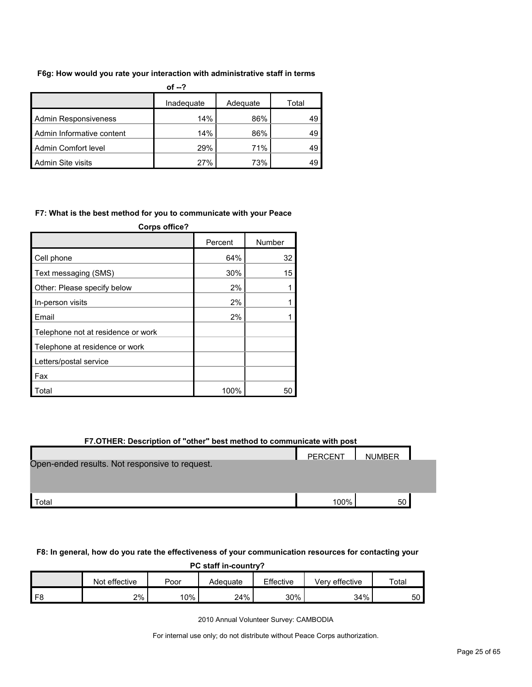#### **F6g: How would you rate your interaction with administrative staff in terms**

| of $-2$                     |            |          |       |  |  |
|-----------------------------|------------|----------|-------|--|--|
|                             | Inadequate | Adequate | Total |  |  |
| <b>Admin Responsiveness</b> | 14%        | 86%      | 49    |  |  |
| Admin Informative content   | 14%        | 86%      | 49    |  |  |
| Admin Comfort level         | 29%        | 71%      | 49    |  |  |
| Admin Site visits           | 27%        | 73%      |       |  |  |

#### **F7: What is the best method for you to communicate with your Peace**

| Corps office?                      |         |        |  |  |  |
|------------------------------------|---------|--------|--|--|--|
|                                    | Percent | Number |  |  |  |
| Cell phone                         | 64%     | 32     |  |  |  |
| Text messaging (SMS)               | 30%     | 15     |  |  |  |
| Other: Please specify below        | 2%      |        |  |  |  |
| In-person visits                   | 2%      |        |  |  |  |
| Email                              | 2%      |        |  |  |  |
| Telephone not at residence or work |         |        |  |  |  |
| Telephone at residence or work     |         |        |  |  |  |
| Letters/postal service             |         |        |  |  |  |
| Fax                                |         |        |  |  |  |
| Total                              | 100%    | 50     |  |  |  |

| F7.OTHER: Description of "other" best method to communicate with post |      |    |  |  |  |  |  |
|-----------------------------------------------------------------------|------|----|--|--|--|--|--|
| PERCENT<br><b>NUMBER</b>                                              |      |    |  |  |  |  |  |
| Open-ended results. Not responsive to request.                        |      |    |  |  |  |  |  |
|                                                                       |      |    |  |  |  |  |  |
|                                                                       |      |    |  |  |  |  |  |
| Total                                                                 | 100% | 50 |  |  |  |  |  |

#### **F8: In general, how do you rate the effectiveness of your communication resources for contacting your**

| PC staff in-country?                                                      |    |     |     |     |     |                 |  |
|---------------------------------------------------------------------------|----|-----|-----|-----|-----|-----------------|--|
| Effective<br>Not effective<br>Total<br>Verv effective<br>Poor<br>Adequate |    |     |     |     |     |                 |  |
|                                                                           | 2% | 10% | 24% | 30% | 34% | 50 <sub>1</sub> |  |

2010 Annual Volunteer Survey: CAMBODIA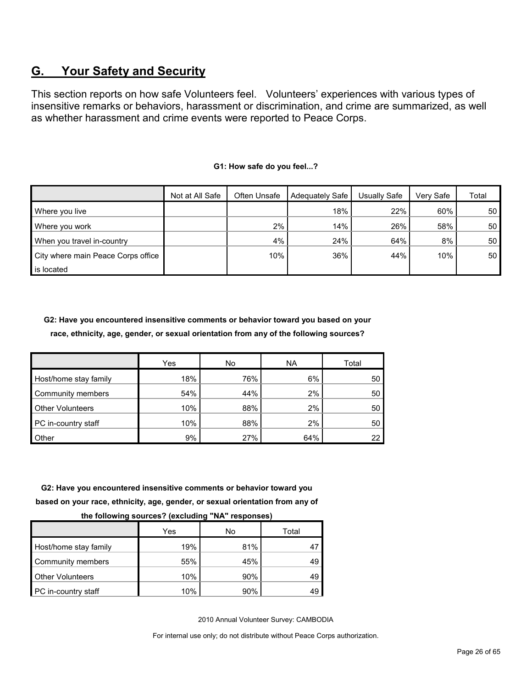# <span id="page-25-0"></span>**G. Your Safety and Security**

This section reports on how safe Volunteers feel. Volunteers' experiences with various types of insensitive remarks or behaviors, harassment or discrimination, and crime are summarized, as well as whether harassment and crime events were reported to Peace Corps.

|                                    | Not at All Safe | Often Unsafe | Adequately Safe | Usually Safe | Very Safe | Total           |
|------------------------------------|-----------------|--------------|-----------------|--------------|-----------|-----------------|
| Where you live                     |                 |              | 18%             | 22%          | 60%       | 50 <sub>1</sub> |
| Where you work                     |                 | 2%           | 14%             | 26%          | 58%       | 50              |
| When you travel in-country         |                 | 4%           | 24%             | 64%          | 8%        | 50              |
| City where main Peace Corps office |                 | 10%          | 36%             | 44%          | 10%       | 50 <sub>1</sub> |
| is located                         |                 |              |                 |              |           |                 |

#### **G1: How safe do you feel...?**

**G2: Have you encountered insensitive comments or behavior toward you based on your race, ethnicity, age, gender, or sexual orientation from any of the following sources?**

|                         | <b>Yes</b> | No  | <b>NA</b> | Total |
|-------------------------|------------|-----|-----------|-------|
| Host/home stay family   | 18%        | 76% | 6%        | 50    |
| Community members       | 54%        | 44% | 2%        | 50    |
| <b>Other Volunteers</b> | 10%        | 88% | 2%        | 50    |
| PC in-country staff     | 10%        | 88% | 2%        | 50    |
| Other                   | 9%         | 27% | 64%       |       |

**G2: Have you encountered insensitive comments or behavior toward you based on your race, ethnicity, age, gender, or sexual orientation from any of** 

| - -                     |     |     |       |
|-------------------------|-----|-----|-------|
|                         | Yes | No  | Total |
| Host/home stay family   | 19% | 81% |       |
| Community members       | 55% | 45% | 49    |
| <b>Other Volunteers</b> | 10% | 90% | 49    |
| PC in-country staff     | 10% | 90% | 49    |

**the following sources? (excluding "NA" responses)**

2010 Annual Volunteer Survey: CAMBODIA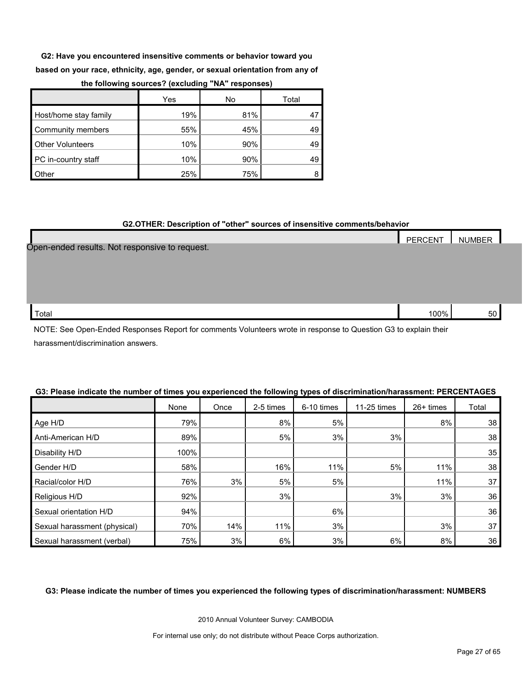**G2: Have you encountered insensitive comments or behavior toward you** 

**based on your race, ethnicity, age, gender, or sexual orientation from any of** 

|                         | Yes | No  | Total |
|-------------------------|-----|-----|-------|
| Host/home stay family   | 19% | 81% |       |
| Community members       | 55% | 45% | 49    |
| <b>Other Volunteers</b> | 10% | 90% | 49    |
| PC in-country staff     | 10% | 90% | 49    |
| Other                   | 25% | 75% |       |

#### **the following sources? (excluding "NA" responses)**

#### **G2.OTHER: Description of "other" sources of insensitive comments/behavior**

|                                                | PERCENT | NUMBER |  |
|------------------------------------------------|---------|--------|--|
| Open-ended results. Not responsive to request. |         |        |  |
|                                                |         |        |  |
|                                                |         |        |  |
|                                                |         |        |  |
|                                                |         |        |  |
| Total                                          | 100%    | 50     |  |

NOTE: See Open-Ended Responses Report for comments Volunteers wrote in response to Question G3 to explain their harassment/discrimination answers.

|                              | None | Once | 2-5 times | 6-10 times | 11-25 times | 26+ times | Total |
|------------------------------|------|------|-----------|------------|-------------|-----------|-------|
| Age H/D                      | 79%  |      | 8%        | 5%         |             | 8%        | 38    |
| Anti-American H/D            | 89%  |      | 5%        | 3%         | 3%          |           | 38    |
| Disability H/D               | 100% |      |           |            |             |           | 35    |
| Gender H/D                   | 58%  |      | 16%       | 11%        | 5%          | 11%       | 38    |
| Racial/color H/D             | 76%  | 3%   | 5%        | 5%         |             | 11%       | 37    |
| Religious H/D                | 92%  |      | 3%        |            | 3%          | 3%        | 36    |
| Sexual orientation H/D       | 94%  |      |           | 6%         |             |           | 36    |
| Sexual harassment (physical) | 70%  | 14%  | 11%       | 3%         |             | 3%        | 37    |
| Sexual harassment (verbal)   | 75%  | 3%   | 6%        | 3%         | 6%          | 8%        | 36    |

#### **G3: Please indicate the number of times you experienced the following types of discrimination/harassment: PERCENTAGES**

#### **G3: Please indicate the number of times you experienced the following types of discrimination/harassment: NUMBERS**

2010 Annual Volunteer Survey: CAMBODIA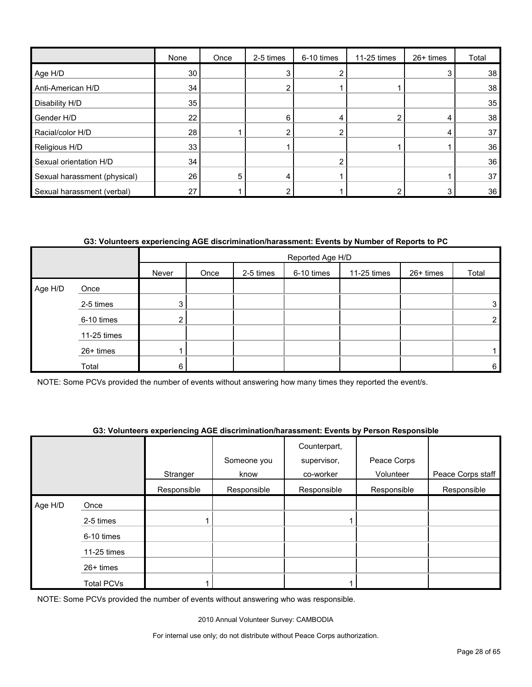|                              | None | Once | 2-5 times | 6-10 times | 11-25 times | 26+ times | Total           |
|------------------------------|------|------|-----------|------------|-------------|-----------|-----------------|
| Age H/D                      | 30   |      |           |            |             | 3         | 38              |
| Anti-American H/D            | 34   |      |           |            |             |           | 38              |
| Disability H/D               | 35   |      |           |            |             |           | 35              |
| Gender H/D                   | 22   |      | 6         |            |             | 4         | 38              |
| Racial/color H/D             | 28   |      |           | ົ          |             | 4         | 37              |
| Religious H/D                | 33   |      |           |            |             |           | 36              |
| Sexual orientation H/D       | 34   |      |           | ົ          |             |           | 36 <sub>1</sub> |
| Sexual harassment (physical) | 26   | 5    | 4         |            |             |           | 37              |
| Sexual harassment (verbal)   | 27   |      |           |            |             |           | 36              |

# **G3: Volunteers experiencing AGE discrimination/harassment: Events by Number of Reports to PC**

|         |             |                | Reported Age H/D |           |            |             |           |                |  |
|---------|-------------|----------------|------------------|-----------|------------|-------------|-----------|----------------|--|
|         |             | Never          | Once             | 2-5 times | 6-10 times | 11-25 times | 26+ times | Total          |  |
| Age H/D | Once        |                |                  |           |            |             |           |                |  |
|         | 2-5 times   | 3 <sub>l</sub> |                  |           |            |             |           | 3              |  |
|         | 6-10 times  | ົ              |                  |           |            |             |           | $\overline{2}$ |  |
|         | 11-25 times |                |                  |           |            |             |           |                |  |
|         | 26+ times   |                |                  |           |            |             |           |                |  |
|         | Total       | 6              |                  |           |            |             |           | 6              |  |

NOTE: Some PCVs provided the number of events without answering how many times they reported the event/s.

#### **G3: Volunteers experiencing AGE discrimination/harassment: Events by Person Responsible**

|         |             | Stranger    | Someone you<br>know | Counterpart,<br>supervisor,<br>co-worker | Peace Corps<br>Volunteer | Peace Corps staff |
|---------|-------------|-------------|---------------------|------------------------------------------|--------------------------|-------------------|
|         |             |             |                     |                                          |                          |                   |
|         |             | Responsible | Responsible         | Responsible                              | Responsible              | Responsible       |
| Age H/D | Once        |             |                     |                                          |                          |                   |
|         | 2-5 times   |             |                     |                                          |                          |                   |
|         | 6-10 times  |             |                     |                                          |                          |                   |
|         | 11-25 times |             |                     |                                          |                          |                   |
|         | 26+ times   |             |                     |                                          |                          |                   |
|         | Total PCVs  |             |                     |                                          |                          |                   |

NOTE: Some PCVs provided the number of events without answering who was responsible.

2010 Annual Volunteer Survey: CAMBODIA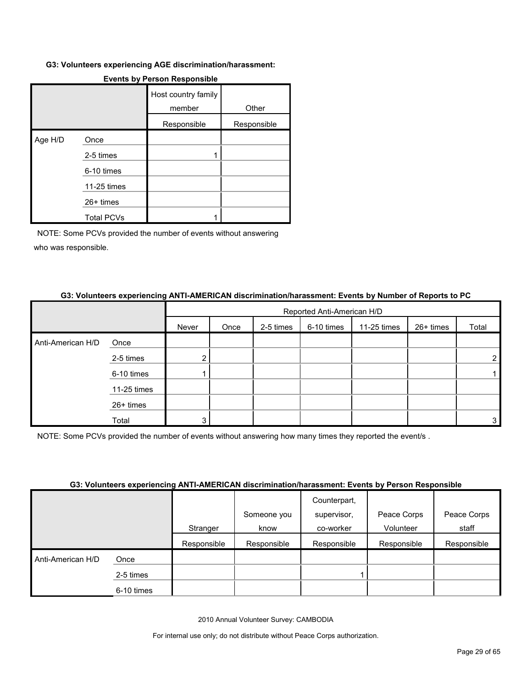#### **G3: Volunteers experiencing AGE discrimination/harassment:**

|         |                   | Host country family<br>member | Other       |
|---------|-------------------|-------------------------------|-------------|
|         |                   | Responsible                   | Responsible |
| Age H/D | Once              |                               |             |
|         | 2-5 times         |                               |             |
|         | 6-10 times        |                               |             |
|         | 11-25 times       |                               |             |
|         | 26+ times         |                               |             |
|         | <b>Total PCVs</b> |                               |             |

# **Events by Person Responsible**

NOTE: Some PCVs provided the number of events without answering who was responsible.

#### **G3: Volunteers experiencing ANTI-AMERICAN discrimination/harassment: Events by Number of Reports to PC**

|                   |             |       | Reported Anti-American H/D |           |            |             |           |       |  |
|-------------------|-------------|-------|----------------------------|-----------|------------|-------------|-----------|-------|--|
|                   |             | Never | Once                       | 2-5 times | 6-10 times | 11-25 times | 26+ times | Total |  |
| Anti-American H/D | Once        |       |                            |           |            |             |           |       |  |
|                   | 2-5 times   | ົ     |                            |           |            |             |           | 2     |  |
|                   | 6-10 times  |       |                            |           |            |             |           |       |  |
|                   | 11-25 times |       |                            |           |            |             |           |       |  |
|                   | 26+ times   |       |                            |           |            |             |           |       |  |
|                   | Total       | 3     |                            |           |            |             |           | 3     |  |

NOTE: Some PCVs provided the number of events without answering how many times they reported the event/s .

#### **G3: Volunteers experiencing ANTI-AMERICAN discrimination/harassment: Events by Person Responsible**

|                   |            |             |             | Counterpart, |             |             |
|-------------------|------------|-------------|-------------|--------------|-------------|-------------|
|                   |            |             | Someone you | supervisor,  | Peace Corps | Peace Corps |
|                   |            | Stranger    | know        | co-worker    | Volunteer   | staff       |
|                   |            | Responsible | Responsible | Responsible  | Responsible | Responsible |
| Anti-American H/D | Once       |             |             |              |             |             |
|                   | 2-5 times  |             |             |              |             |             |
|                   | 6-10 times |             |             |              |             |             |

2010 Annual Volunteer Survey: CAMBODIA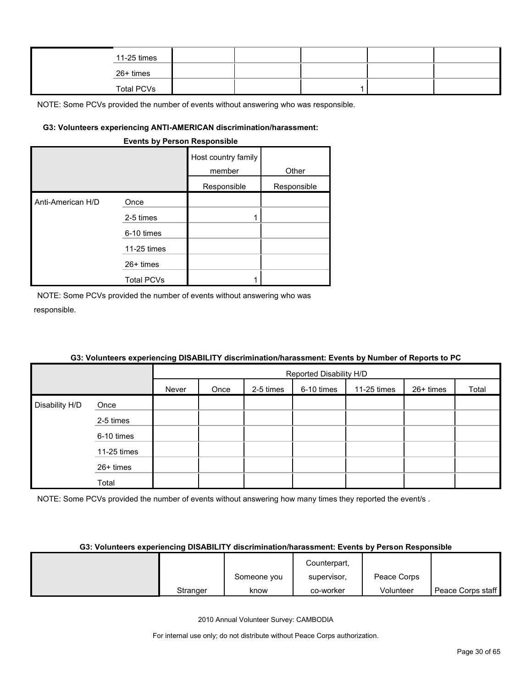| 11-25 times       |  |  |  |
|-------------------|--|--|--|
| 26+ times         |  |  |  |
| <b>Total PCVs</b> |  |  |  |

NOTE: Some PCVs provided the number of events without answering who was responsible.

#### **G3: Volunteers experiencing ANTI-AMERICAN discrimination/harassment:**

|                   | <b>EXAMPLE IS NATURE IN AUTOMORPH</b> |                               |             |
|-------------------|---------------------------------------|-------------------------------|-------------|
|                   |                                       | Host country family<br>member | Other       |
|                   |                                       | Responsible                   | Responsible |
| Anti-American H/D | Once                                  |                               |             |
|                   | 2-5 times                             | 1                             |             |
|                   | 6-10 times                            |                               |             |
|                   | 11-25 times                           |                               |             |
|                   | 26+ times                             |                               |             |
|                   | <b>Total PCVs</b>                     |                               |             |

**Events by Person Responsible**

NOTE: Some PCVs provided the number of events without answering who was responsible.

|                |             | <b>OUT FURNISHED AND DISTURBANCE IN A SERVICE CONTINUATION OF STATES AND A SERVICE OF A SERVICE OF STATES.</b> |                         |           |            |             |           |       |  |  |
|----------------|-------------|----------------------------------------------------------------------------------------------------------------|-------------------------|-----------|------------|-------------|-----------|-------|--|--|
|                |             |                                                                                                                | Reported Disability H/D |           |            |             |           |       |  |  |
|                |             | Never                                                                                                          | Once                    | 2-5 times | 6-10 times | 11-25 times | 26+ times | Total |  |  |
| Disability H/D | Once        |                                                                                                                |                         |           |            |             |           |       |  |  |
|                | 2-5 times   |                                                                                                                |                         |           |            |             |           |       |  |  |
|                | 6-10 times  |                                                                                                                |                         |           |            |             |           |       |  |  |
|                | 11-25 times |                                                                                                                |                         |           |            |             |           |       |  |  |
|                | 26+ times   |                                                                                                                |                         |           |            |             |           |       |  |  |
|                | Total       |                                                                                                                |                         |           |            |             |           |       |  |  |

#### **G3: Volunteers experiencing DISABILITY discrimination/harassment: Events by Number of Reports to PC**

NOTE: Some PCVs provided the number of events without answering how many times they reported the event/s.

#### **G3: Volunteers experiencing DISABILITY discrimination/harassment: Events by Person Responsible**

|          |             | Counterpart, |             |                   |
|----------|-------------|--------------|-------------|-------------------|
|          | Someone you | supervisor,  | Peace Corps |                   |
| Stranger | know        | co-worker    | Volunteer   | Peace Corps staff |

2010 Annual Volunteer Survey: CAMBODIA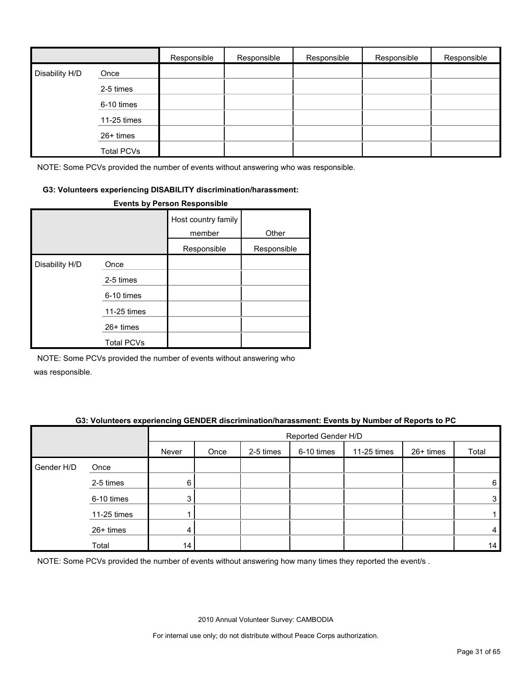|                |                   | Responsible | Responsible | Responsible | Responsible | Responsible |
|----------------|-------------------|-------------|-------------|-------------|-------------|-------------|
| Disability H/D | Once              |             |             |             |             |             |
|                | 2-5 times         |             |             |             |             |             |
|                | 6-10 times        |             |             |             |             |             |
|                | 11-25 times       |             |             |             |             |             |
|                | 26+ times         |             |             |             |             |             |
|                | <b>Total PCVs</b> |             |             |             |             |             |

NOTE: Some PCVs provided the number of events without answering who was responsible.

#### **G3: Volunteers experiencing DISABILITY discrimination/harassment:**

|                |                   | Host country family<br>member | Other       |
|----------------|-------------------|-------------------------------|-------------|
|                |                   | Responsible                   | Responsible |
| Disability H/D | Once              |                               |             |
|                | 2-5 times         |                               |             |
|                | 6-10 times        |                               |             |
|                | 11-25 times       |                               |             |
|                | $26+$ times       |                               |             |
|                | <b>Total PCVs</b> |                               |             |

#### **Events by Person Responsible**

NOTE: Some PCVs provided the number of events without answering who

was responsible.

#### **G3: Volunteers experiencing GENDER discrimination/harassment: Events by Number of Reports to PC**

|            |             |       | Reported Gender H/D |           |            |             |           |       |  |  |
|------------|-------------|-------|---------------------|-----------|------------|-------------|-----------|-------|--|--|
|            |             | Never | Once                | 2-5 times | 6-10 times | 11-25 times | 26+ times | Total |  |  |
| Gender H/D | Once        |       |                     |           |            |             |           |       |  |  |
|            | 2-5 times   | 6     |                     |           |            |             |           | 6     |  |  |
|            | 6-10 times  | 3     |                     |           |            |             |           | 3     |  |  |
|            | 11-25 times |       |                     |           |            |             |           |       |  |  |
|            | 26+ times   | 4     |                     |           |            |             |           | 4     |  |  |
|            | Total       | 14    |                     |           |            |             |           | 14    |  |  |

NOTE: Some PCVs provided the number of events without answering how many times they reported the event/s .

2010 Annual Volunteer Survey: CAMBODIA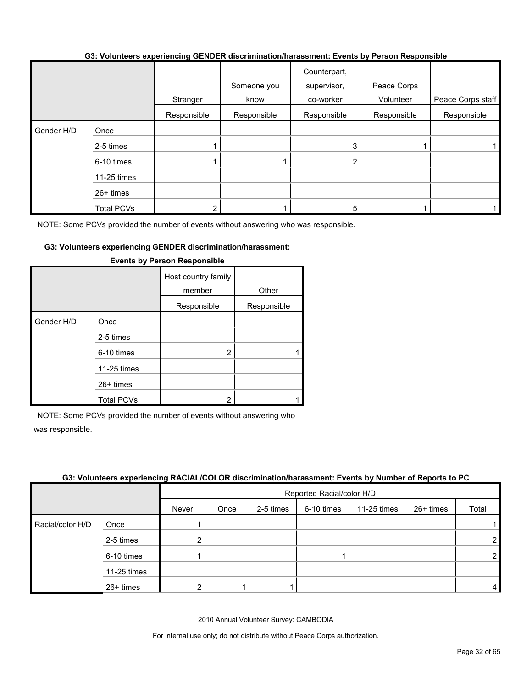#### **G3: Volunteers experiencing GENDER discrimination/harassment: Events by Person Responsible**

|            |                   | Stranger    | Someone you<br>know | Counterpart,<br>supervisor,<br>co-worker | Peace Corps<br>Volunteer | Peace Corps staff |
|------------|-------------------|-------------|---------------------|------------------------------------------|--------------------------|-------------------|
|            |                   | Responsible | Responsible         | Responsible                              | Responsible              | Responsible       |
| Gender H/D | Once              |             |                     |                                          |                          |                   |
|            | 2-5 times         |             |                     | 3                                        |                          |                   |
|            | 6-10 times        |             |                     | 2                                        |                          |                   |
|            | 11-25 times       |             |                     |                                          |                          |                   |
|            | 26+ times         |             |                     |                                          |                          |                   |
|            | <b>Total PCVs</b> |             |                     | 5                                        |                          |                   |

NOTE: Some PCVs provided the number of events without answering who was responsible.

#### **G3: Volunteers experiencing GENDER discrimination/harassment:**

|            |                   | Host country family<br>member | Other       |
|------------|-------------------|-------------------------------|-------------|
|            |                   | Responsible                   | Responsible |
| Gender H/D | Once              |                               |             |
|            | 2-5 times         |                               |             |
|            | 6-10 times        | 2                             |             |
|            | 11-25 times       |                               |             |
|            | $26+$ times       |                               |             |
|            | <b>Total PCVs</b> | 2                             |             |

#### **Events by Person Responsible**

NOTE: Some PCVs provided the number of events without answering who was responsible.

#### **G3: Volunteers experiencing RACIAL/COLOR discrimination/harassment: Events by Number of Reports to PC**

|                  |             | $\sim$ | Reported Racial/color H/D |           |            |             |           |                |  |  |
|------------------|-------------|--------|---------------------------|-----------|------------|-------------|-----------|----------------|--|--|
|                  |             | Never  | Once                      | 2-5 times | 6-10 times | 11-25 times | 26+ times | Total          |  |  |
| Racial/color H/D | Once        |        |                           |           |            |             |           |                |  |  |
|                  | 2-5 times   |        |                           |           |            |             |           | $\overline{2}$ |  |  |
|                  | 6-10 times  |        |                           |           |            |             |           | $\overline{2}$ |  |  |
|                  | 11-25 times |        |                           |           |            |             |           |                |  |  |
|                  | 26+ times   |        |                           |           |            |             |           | 4              |  |  |

2010 Annual Volunteer Survey: CAMBODIA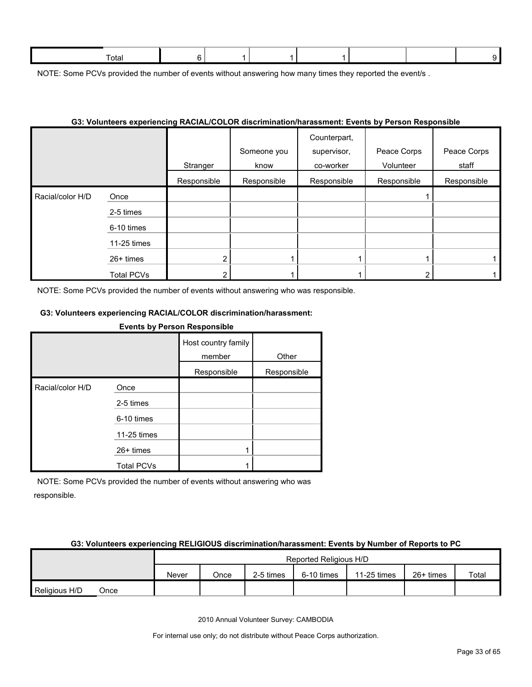| זר |  |  |  |  |
|----|--|--|--|--|
|    |  |  |  |  |

NOTE: Some PCVs provided the number of events without answering how many times they reported the event/s.

#### **G3: Volunteers experiencing RACIAL/COLOR discrimination/harassment: Events by Person Responsible**

|                  |                   | Stranger    | Someone you<br>know | Counterpart,<br>supervisor,<br>co-worker | Peace Corps<br>Volunteer | Peace Corps<br>staff |
|------------------|-------------------|-------------|---------------------|------------------------------------------|--------------------------|----------------------|
|                  |                   | Responsible | Responsible         | Responsible                              | Responsible              | Responsible          |
| Racial/color H/D | Once              |             |                     |                                          |                          |                      |
|                  | 2-5 times         |             |                     |                                          |                          |                      |
|                  | 6-10 times        |             |                     |                                          |                          |                      |
|                  | 11-25 times       |             |                     |                                          |                          |                      |
|                  | 26+ times         | ົ           |                     |                                          |                          |                      |
|                  | <b>Total PCVs</b> |             |                     |                                          |                          |                      |

NOTE: Some PCVs provided the number of events without answering who was responsible.

# **G3: Volunteers experiencing RACIAL/COLOR discrimination/harassment:**

#### **Events by Person Responsible**

|                  |                   | Host country family<br>member | Other       |
|------------------|-------------------|-------------------------------|-------------|
|                  |                   | Responsible                   | Responsible |
| Racial/color H/D | Once              |                               |             |
|                  | 2-5 times         |                               |             |
|                  | 6-10 times        |                               |             |
|                  | 11-25 times       |                               |             |
|                  | $26+$ times       |                               |             |
|                  | <b>Total PCVs</b> |                               |             |

NOTE: Some PCVs provided the number of events without answering who was responsible.

#### **G3: Volunteers experiencing RELIGIOUS discrimination/harassment: Events by Number of Reports to PC**

|               |      |       |      |           | Reported Religious H/D |             |             |       |
|---------------|------|-------|------|-----------|------------------------|-------------|-------------|-------|
|               |      | Never | Once | 2-5 times | 6-10 times             | 11-25 times | $26+$ times | Total |
| Religious H/D | Once |       |      |           |                        |             |             |       |

2010 Annual Volunteer Survey: CAMBODIA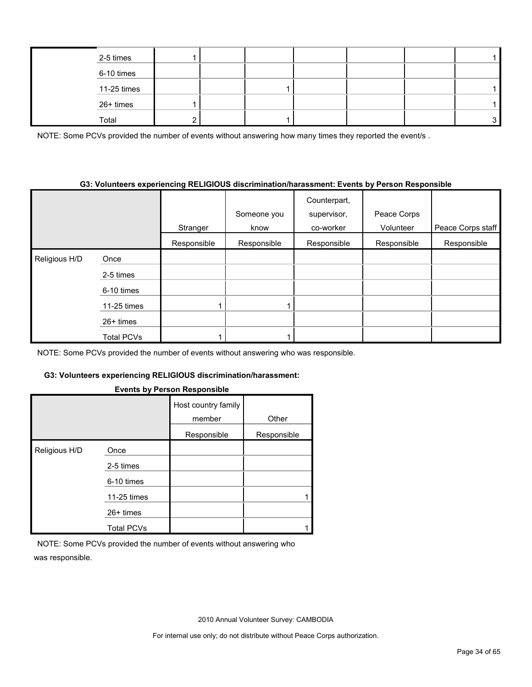| 2-5 times   |  |  |  |  |
|-------------|--|--|--|--|
| 6-10 times  |  |  |  |  |
| 11-25 times |  |  |  |  |
| 26+ times   |  |  |  |  |
| Total       |  |  |  |  |

NOTE: Some PCVs provided the number of events without answering how many times they reported the event/s.

#### **G3: Volunteers experiencing RELIGIOUS discrimination/harassment: Events by Person Responsible**

|               |                   | Stranger    | Someone you<br>know | Counterpart,<br>supervisor,<br>co-worker | Peace Corps<br>Volunteer | Peace Corps staff |
|---------------|-------------------|-------------|---------------------|------------------------------------------|--------------------------|-------------------|
|               |                   | Responsible | Responsible         | Responsible                              | Responsible              | Responsible       |
| Religious H/D | Once              |             |                     |                                          |                          |                   |
|               | 2-5 times         |             |                     |                                          |                          |                   |
|               | 6-10 times        |             |                     |                                          |                          |                   |
|               | 11-25 times       |             |                     |                                          |                          |                   |
|               | $26+$ times       |             |                     |                                          |                          |                   |
|               | <b>Total PCVs</b> |             |                     |                                          |                          |                   |

NOTE: Some PCVs provided the number of events without answering who was responsible.

### **G3: Volunteers experiencing RELIGIOUS discrimination/harassment:**

#### **Events by Person Responsible**

|               |                   | Host country family<br>member | Other       |
|---------------|-------------------|-------------------------------|-------------|
|               |                   | Responsible                   | Responsible |
| Religious H/D | Once              |                               |             |
|               | 2-5 times         |                               |             |
|               | 6-10 times        |                               |             |
|               | 11-25 times       |                               |             |
|               | $26+$ times       |                               |             |
|               | <b>Total PCVs</b> |                               |             |

NOTE: Some PCVs provided the number of events without answering who was responsible.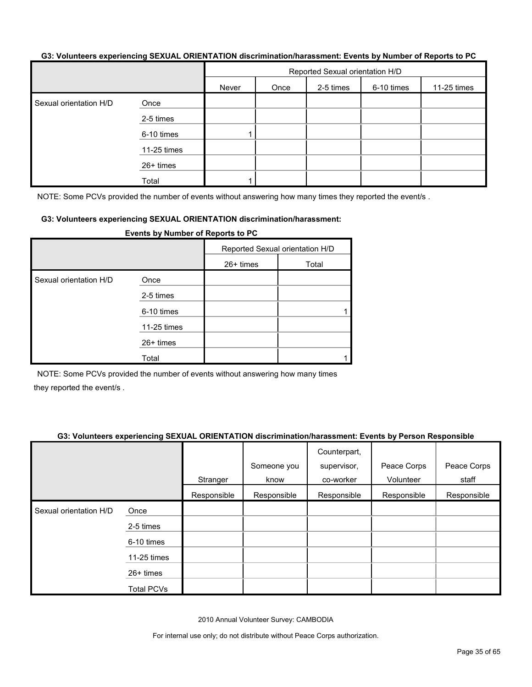#### **G3: Volunteers experiencing SEXUAL ORIENTATION discrimination/harassment: Events by Number of Reports to PC**

|                        |             | Reported Sexual orientation H/D |      |           |            |             |
|------------------------|-------------|---------------------------------|------|-----------|------------|-------------|
|                        |             | Never                           | Once | 2-5 times | 6-10 times | 11-25 times |
| Sexual orientation H/D | Once        |                                 |      |           |            |             |
|                        | 2-5 times   |                                 |      |           |            |             |
|                        | 6-10 times  |                                 |      |           |            |             |
|                        | 11-25 times |                                 |      |           |            |             |
|                        | 26+ times   |                                 |      |           |            |             |
|                        | Total       |                                 |      |           |            |             |

NOTE: Some PCVs provided the number of events without answering how many times they reported the event/s.

#### **G3: Volunteers experiencing SEXUAL ORIENTATION discrimination/harassment:**

|                        |             | Reported Sexual orientation H/D |       |
|------------------------|-------------|---------------------------------|-------|
|                        |             | 26+ times                       | Total |
| Sexual orientation H/D | Once        |                                 |       |
|                        | 2-5 times   |                                 |       |
|                        | 6-10 times  |                                 |       |
|                        | 11-25 times |                                 |       |
|                        | 26+ times   |                                 |       |
|                        | Total       |                                 |       |

**Events by Number of Reports to PC**

NOTE: Some PCVs provided the number of events without answering how many times they reported the event/s .

#### **G3: Volunteers experiencing SEXUAL ORIENTATION discrimination/harassment: Events by Person Responsible**

|                        |                   | Stranger    | Someone you<br>know | Counterpart,<br>supervisor,<br>co-worker | Peace Corps<br>Volunteer | Peace Corps<br>staff |
|------------------------|-------------------|-------------|---------------------|------------------------------------------|--------------------------|----------------------|
|                        |                   | Responsible | Responsible         | Responsible                              | Responsible              | Responsible          |
| Sexual orientation H/D | Once              |             |                     |                                          |                          |                      |
|                        | 2-5 times         |             |                     |                                          |                          |                      |
|                        | 6-10 times        |             |                     |                                          |                          |                      |
|                        | 11-25 times       |             |                     |                                          |                          |                      |
|                        | $26+$ times       |             |                     |                                          |                          |                      |
|                        | <b>Total PCVs</b> |             |                     |                                          |                          |                      |

2010 Annual Volunteer Survey: CAMBODIA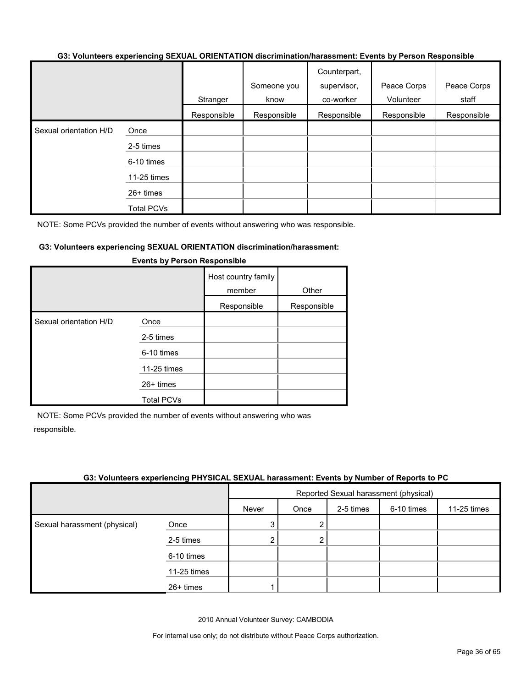#### **G3: Volunteers experiencing SEXUAL ORIENTATION discrimination/harassment: Events by Person Responsible**

|                        |                   |             | Someone you | Counterpart,<br>supervisor, | Peace Corps | Peace Corps |
|------------------------|-------------------|-------------|-------------|-----------------------------|-------------|-------------|
|                        |                   | Stranger    | know        | co-worker                   | Volunteer   | staff       |
|                        |                   | Responsible | Responsible | Responsible                 | Responsible | Responsible |
| Sexual orientation H/D | Once              |             |             |                             |             |             |
|                        | 2-5 times         |             |             |                             |             |             |
|                        | 6-10 times        |             |             |                             |             |             |
|                        | 11-25 times       |             |             |                             |             |             |
|                        | 26+ times         |             |             |                             |             |             |
|                        | <b>Total PCVs</b> |             |             |                             |             |             |

NOTE: Some PCVs provided the number of events without answering who was responsible.

#### **G3: Volunteers experiencing SEXUAL ORIENTATION discrimination/harassment:**

|                        |                   | Host country family<br>member<br>Responsible | Other<br>Responsible |
|------------------------|-------------------|----------------------------------------------|----------------------|
| Sexual orientation H/D | Once              |                                              |                      |
|                        | 2-5 times         |                                              |                      |
|                        | 6-10 times        |                                              |                      |
|                        | 11-25 times       |                                              |                      |
|                        | $26+$ times       |                                              |                      |
|                        | <b>Total PCVs</b> |                                              |                      |

#### **Events by Person Responsible**

NOTE: Some PCVs provided the number of events without answering who was responsible.

#### **G3: Volunteers experiencing PHYSICAL SEXUAL harassment: Events by Number of Reports to PC**

|                              |             | Reported Sexual harassment (physical) |      |           |            |             |  |  |
|------------------------------|-------------|---------------------------------------|------|-----------|------------|-------------|--|--|
|                              |             | Never                                 | Once | 2-5 times | 6-10 times | 11-25 times |  |  |
| Sexual harassment (physical) | Once        | 3                                     | 2    |           |            |             |  |  |
|                              | 2-5 times   | 2                                     | 2    |           |            |             |  |  |
|                              | 6-10 times  |                                       |      |           |            |             |  |  |
|                              | 11-25 times |                                       |      |           |            |             |  |  |
|                              | 26+ times   |                                       |      |           |            |             |  |  |

2010 Annual Volunteer Survey: CAMBODIA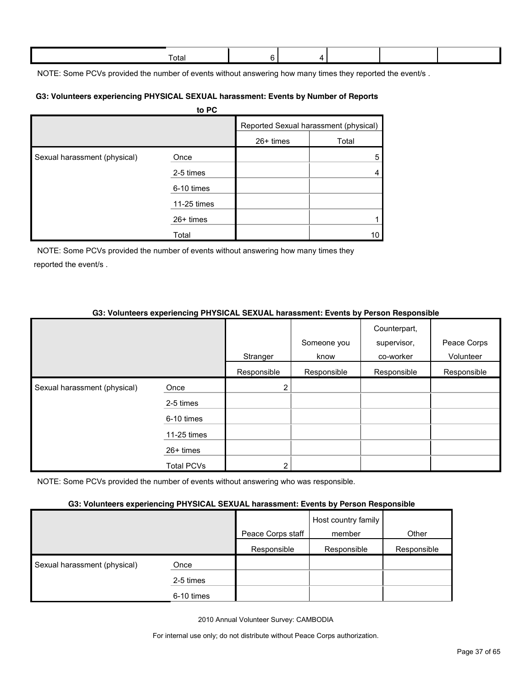| Γotal |  |  |  |
|-------|--|--|--|
|       |  |  |  |

NOTE: Some PCVs provided the number of events without answering how many times they reported the event/s.

#### **G3: Volunteers experiencing PHYSICAL SEXUAL harassment: Events by Number of Reports**

|                              | to PC       |           |                                       |
|------------------------------|-------------|-----------|---------------------------------------|
|                              |             |           | Reported Sexual harassment (physical) |
|                              |             | 26+ times | Total                                 |
| Sexual harassment (physical) | Once        |           | 5                                     |
|                              | 2-5 times   |           | 4                                     |
|                              | 6-10 times  |           |                                       |
|                              | 11-25 times |           |                                       |
|                              | $26+$ times |           |                                       |
|                              | Total       |           | 10                                    |

NOTE: Some PCVs provided the number of events without answering how many times they reported the event/s .

# **G3: Volunteers experiencing PHYSICAL SEXUAL harassment: Events by Person Responsible**

|                              |                   |             | Someone you | Counterpart,<br>supervisor, | Peace Corps |
|------------------------------|-------------------|-------------|-------------|-----------------------------|-------------|
|                              |                   | Stranger    | know        | co-worker                   | Volunteer   |
|                              |                   | Responsible | Responsible | Responsible                 | Responsible |
| Sexual harassment (physical) | Once              | 2           |             |                             |             |
|                              | 2-5 times         |             |             |                             |             |
|                              | 6-10 times        |             |             |                             |             |
|                              | $11-25$ times     |             |             |                             |             |
|                              | $26+$ times       |             |             |                             |             |
|                              | <b>Total PCVs</b> | 2           |             |                             |             |

NOTE: Some PCVs provided the number of events without answering who was responsible.

# **G3: Volunteers experiencing PHYSICAL SEXUAL harassment: Events by Person Responsible**

|                              |            | Peace Corps staff | Host country family<br>member | Other       |
|------------------------------|------------|-------------------|-------------------------------|-------------|
|                              |            | Responsible       | Responsible                   | Responsible |
| Sexual harassment (physical) | Once       |                   |                               |             |
|                              | 2-5 times  |                   |                               |             |
|                              | 6-10 times |                   |                               |             |

2010 Annual Volunteer Survey: CAMBODIA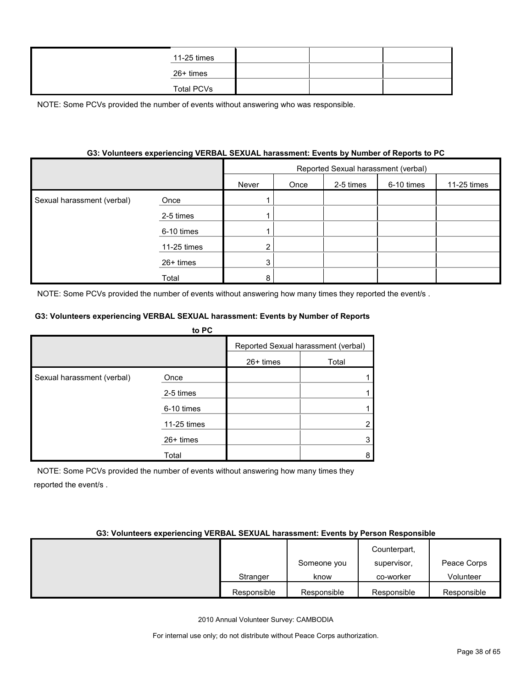| 11-25 times       |  |  |
|-------------------|--|--|
| 26+ times         |  |  |
| <b>Total PCVs</b> |  |  |

NOTE: Some PCVs provided the number of events without answering who was responsible.

# **G3: Volunteers experiencing VERBAL SEXUAL harassment: Events by Number of Reports to PC**

|                            |             | Reported Sexual harassment (verbal) |      |           |            |             |  |  |
|----------------------------|-------------|-------------------------------------|------|-----------|------------|-------------|--|--|
|                            |             | Never                               | Once | 2-5 times | 6-10 times | 11-25 times |  |  |
| Sexual harassment (verbal) | Once        |                                     |      |           |            |             |  |  |
|                            | 2-5 times   |                                     |      |           |            |             |  |  |
|                            | 6-10 times  |                                     |      |           |            |             |  |  |
|                            | 11-25 times |                                     |      |           |            |             |  |  |
|                            | 26+ times   | 3                                   |      |           |            |             |  |  |
|                            | Total       | я                                   |      |           |            |             |  |  |

NOTE: Some PCVs provided the number of events without answering how many times they reported the event/s .

#### **G3: Volunteers experiencing VERBAL SEXUAL harassment: Events by Number of Reports**

|                            | to PC       |             |                                     |
|----------------------------|-------------|-------------|-------------------------------------|
|                            |             |             | Reported Sexual harassment (verbal) |
|                            |             | $26+$ times | Total                               |
| Sexual harassment (verbal) | Once        |             |                                     |
|                            | 2-5 times   |             |                                     |
|                            | 6-10 times  |             |                                     |
|                            | 11-25 times |             |                                     |
|                            | $26+$ times |             |                                     |
|                            | Total       |             | 8                                   |

NOTE: Some PCVs provided the number of events without answering how many times they reported the event/s .

#### **G3: Volunteers experiencing VERBAL SEXUAL harassment: Events by Person Responsible**

|             |             | Counterpart, |             |
|-------------|-------------|--------------|-------------|
|             | Someone you | supervisor,  | Peace Corps |
| Stranger    | know        | co-worker    | Volunteer   |
| Responsible | Responsible | Responsible  | Responsible |

2010 Annual Volunteer Survey: CAMBODIA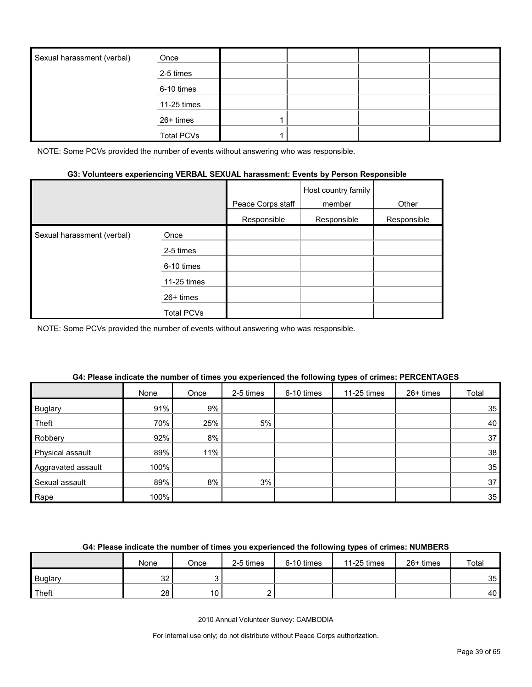| Sexual harassment (verbal) | Once              |  |  |
|----------------------------|-------------------|--|--|
|                            | 2-5 times         |  |  |
|                            | 6-10 times        |  |  |
|                            | 11-25 times       |  |  |
|                            | 26+ times         |  |  |
|                            | <b>Total PCVs</b> |  |  |

NOTE: Some PCVs provided the number of events without answering who was responsible.

#### **G3: Volunteers experiencing VERBAL SEXUAL harassment: Events by Person Responsible**

|                            |                   | Peace Corps staff | Host country family<br>member | Other       |
|----------------------------|-------------------|-------------------|-------------------------------|-------------|
|                            |                   | Responsible       | Responsible                   | Responsible |
| Sexual harassment (verbal) | Once              |                   |                               |             |
|                            | 2-5 times         |                   |                               |             |
|                            | 6-10 times        |                   |                               |             |
|                            | 11-25 times       |                   |                               |             |
|                            | $26+$ times       |                   |                               |             |
|                            | <b>Total PCVs</b> |                   |                               |             |

NOTE: Some PCVs provided the number of events without answering who was responsible.

|                    | None | Once | 2-5 times | 6-10 times | 11-25 times | 26+ times | Total           |
|--------------------|------|------|-----------|------------|-------------|-----------|-----------------|
| <b>Buglary</b>     | 91%  | 9%   |           |            |             |           | 35              |
| Theft              | 70%  | 25%  | 5%        |            |             |           | 40              |
| Robbery            | 92%  | 8%   |           |            |             |           | 37              |
| Physical assault   | 89%  | 11%  |           |            |             |           | 38              |
| Aggravated assault | 100% |      |           |            |             |           | 35 <sub>1</sub> |
| Sexual assault     | 89%  | 8%   | 3%        |            |             |           | 37              |
| Rape               | 100% |      |           |            |             |           | 35 <sub>1</sub> |

#### **G4: Please indicate the number of times you experienced the following types of crimes: PERCENTAGES**

# **G4: Please indicate the number of times you experienced the following types of crimes: NUMBERS**

|                | None      | Once | 2-5 times | 6-10 times | 11-25 times | $26+$ times | Total           |
|----------------|-----------|------|-----------|------------|-------------|-------------|-----------------|
| <b>Buglary</b> | nn<br>ັບ∠ |      |           |            |             |             | 35 <sup>1</sup> |
| Theft          | 28        | 10.  |           |            |             |             | 40              |

2010 Annual Volunteer Survey: CAMBODIA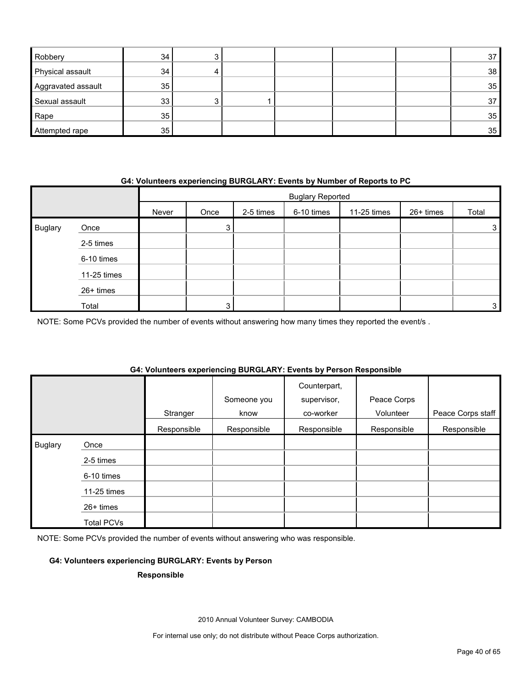| Robbery            | 34 |  |  | 37              |
|--------------------|----|--|--|-----------------|
| Physical assault   | 34 |  |  | 38 <sup>1</sup> |
| Aggravated assault | 35 |  |  | 35 <sup>5</sup> |
| Sexual assault     | 33 |  |  | 37              |
| Rape               | 35 |  |  | 35 <sup>5</sup> |
| Attempted rape     | 35 |  |  | 35 <sup>5</sup> |

### **G4: Volunteers experiencing BURGLARY: Events by Number of Reports to PC**

|                |             |       | <b>Buglary Reported</b> |           |            |             |           |              |  |
|----------------|-------------|-------|-------------------------|-----------|------------|-------------|-----------|--------------|--|
|                |             | Never | Once                    | 2-5 times | 6-10 times | 11-25 times | 26+ times | Total        |  |
| <b>Buglary</b> | Once        |       | 3                       |           |            |             |           | 3            |  |
|                | 2-5 times   |       |                         |           |            |             |           |              |  |
|                | 6-10 times  |       |                         |           |            |             |           |              |  |
|                | 11-25 times |       |                         |           |            |             |           |              |  |
|                | 26+ times   |       |                         |           |            |             |           |              |  |
|                | Total       |       | 2                       |           |            |             |           | $\mathbf{3}$ |  |

NOTE: Some PCVs provided the number of events without answering how many times they reported the event/s .

# **G4: Volunteers experiencing BURGLARY: Events by Person Responsible**

|                |             | Stranger    | Someone you<br>know | Counterpart,<br>supervisor,<br>co-worker | Peace Corps<br>Volunteer | Peace Corps staff |
|----------------|-------------|-------------|---------------------|------------------------------------------|--------------------------|-------------------|
|                |             | Responsible | Responsible         | Responsible                              | Responsible              | Responsible       |
| <b>Buglary</b> | Once        |             |                     |                                          |                          |                   |
|                | 2-5 times   |             |                     |                                          |                          |                   |
|                | 6-10 times  |             |                     |                                          |                          |                   |
|                | 11-25 times |             |                     |                                          |                          |                   |
|                | 26+ times   |             |                     |                                          |                          |                   |
|                | Total PCVs  |             |                     |                                          |                          |                   |

NOTE: Some PCVs provided the number of events without answering who was responsible.

#### **G4: Volunteers experiencing BURGLARY: Events by Person**

#### **Responsible**

2010 Annual Volunteer Survey: CAMBODIA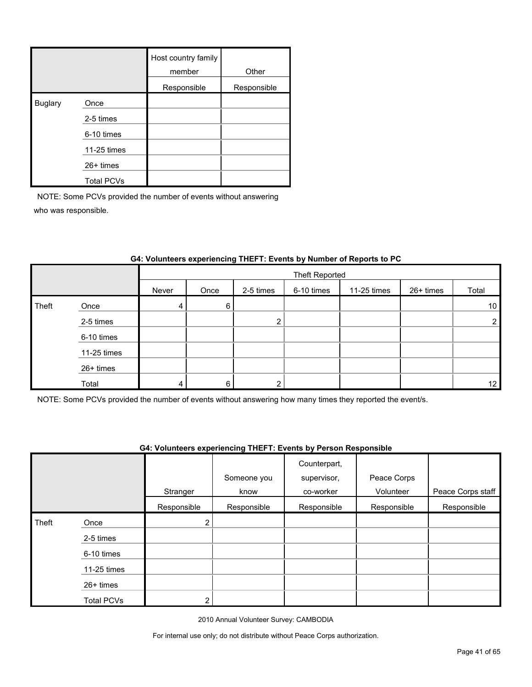|                |                   | Host country family<br>member | Other       |
|----------------|-------------------|-------------------------------|-------------|
|                |                   | Responsible                   | Responsible |
| <b>Buglary</b> | Once              |                               |             |
|                | 2-5 times         |                               |             |
|                | 6-10 times        |                               |             |
|                | 11-25 times       |                               |             |
|                | $26+$ times       |                               |             |
|                | <b>Total PCVs</b> |                               |             |

NOTE: Some PCVs provided the number of events without answering who was responsible.

|       |             |       | Theft Reported |           |            |             |           |                 |  |
|-------|-------------|-------|----------------|-----------|------------|-------------|-----------|-----------------|--|
|       |             | Never | Once           | 2-5 times | 6-10 times | 11-25 times | 26+ times | Total           |  |
| Theft | Once        | 4     | 6              |           |            |             |           | 10 <sup>1</sup> |  |
|       | 2-5 times   |       |                | ົ         |            |             |           | 2 <sub>1</sub>  |  |
|       | 6-10 times  |       |                |           |            |             |           |                 |  |
|       | 11-25 times |       |                |           |            |             |           |                 |  |
|       | 26+ times   |       |                |           |            |             |           |                 |  |
|       | Total       |       | 6              | ົ         |            |             |           | 12              |  |

# **G4: Volunteers experiencing THEFT: Events by Number of Reports to PC**

NOTE: Some PCVs provided the number of events without answering how many times they reported the event/s.

### **G4: Volunteers experiencing THEFT: Events by Person Responsible**

|       |                   |                | Someone you | Counterpart,<br>supervisor, | Peace Corps |                   |
|-------|-------------------|----------------|-------------|-----------------------------|-------------|-------------------|
|       |                   | Stranger       | know        | co-worker                   | Volunteer   | Peace Corps staff |
|       |                   | Responsible    | Responsible | Responsible                 | Responsible | Responsible       |
| Theft | Once              | 2 <sub>1</sub> |             |                             |             |                   |
|       | 2-5 times         |                |             |                             |             |                   |
|       | 6-10 times        |                |             |                             |             |                   |
|       | 11-25 times       |                |             |                             |             |                   |
|       | $26+$ times       |                |             |                             |             |                   |
|       | <b>Total PCVs</b> | っ              |             |                             |             |                   |

2010 Annual Volunteer Survey: CAMBODIA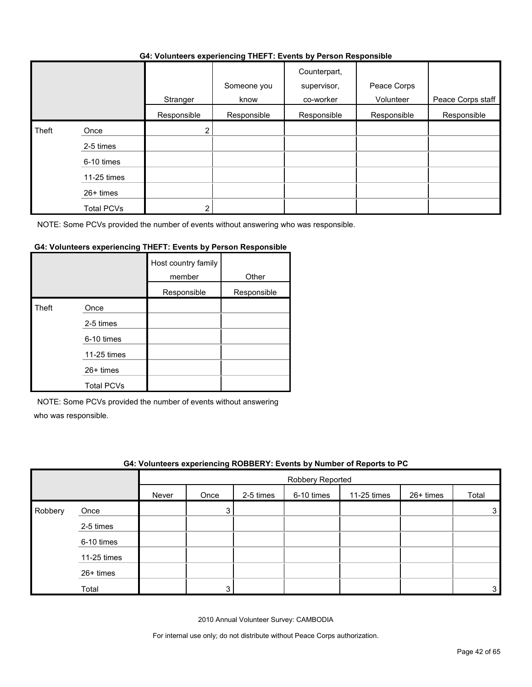#### **G4: Volunteers experiencing THEFT: Events by Person Responsible**

|       |                   |             | . <b>.</b>          |                                          |                          |                   |
|-------|-------------------|-------------|---------------------|------------------------------------------|--------------------------|-------------------|
|       |                   | Stranger    | Someone you<br>know | Counterpart,<br>supervisor,<br>co-worker | Peace Corps<br>Volunteer | Peace Corps staff |
|       |                   | Responsible | Responsible         | Responsible                              | Responsible              | Responsible       |
| Theft | Once              | 2           |                     |                                          |                          |                   |
|       | 2-5 times         |             |                     |                                          |                          |                   |
|       | 6-10 times        |             |                     |                                          |                          |                   |
|       | 11-25 times       |             |                     |                                          |                          |                   |
|       | 26+ times         |             |                     |                                          |                          |                   |
|       | <b>Total PCVs</b> | າ           |                     |                                          |                          |                   |

NOTE: Some PCVs provided the number of events without answering who was responsible.

### **G4: Volunteers experiencing THEFT: Events by Person Responsible**

|       |                   | Host country family<br>member | Other       |
|-------|-------------------|-------------------------------|-------------|
|       |                   | Responsible                   | Responsible |
| Theft | Once              |                               |             |
|       | 2-5 times         |                               |             |
|       | 6-10 times        |                               |             |
|       | 11-25 times       |                               |             |
|       | 26+ times         |                               |             |
|       | <b>Total PCVs</b> |                               |             |

NOTE: Some PCVs provided the number of events without answering

who was responsible.

|         |             |       |                  |           |            | G4: Volunteers experiencing ROBBERY: Events by Number of Reports to PC |           |       |  |  |  |
|---------|-------------|-------|------------------|-----------|------------|------------------------------------------------------------------------|-----------|-------|--|--|--|
|         |             |       | Robbery Reported |           |            |                                                                        |           |       |  |  |  |
|         |             | Never | Once             | 2-5 times | 6-10 times | 11-25 times                                                            | 26+ times | Total |  |  |  |
| Robbery | Once        |       | 3                |           |            |                                                                        |           |       |  |  |  |
|         | 2-5 times   |       |                  |           |            |                                                                        |           |       |  |  |  |
|         | 6-10 times  |       |                  |           |            |                                                                        |           |       |  |  |  |
|         | 11-25 times |       |                  |           |            |                                                                        |           |       |  |  |  |
|         | 26+ times   |       |                  |           |            |                                                                        |           |       |  |  |  |
|         | Total       |       | 3                |           |            |                                                                        |           |       |  |  |  |

2010 Annual Volunteer Survey: CAMBODIA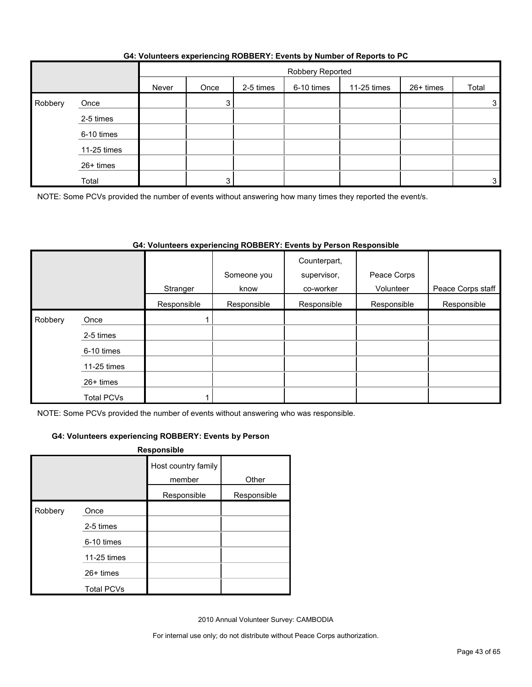|         |             |       | Robbery Reported |           |            |             |           |       |  |
|---------|-------------|-------|------------------|-----------|------------|-------------|-----------|-------|--|
|         |             | Never | Once             | 2-5 times | 6-10 times | 11-25 times | 26+ times | Total |  |
| Robbery | Once        |       | 3                |           |            |             |           | 3     |  |
|         | 2-5 times   |       |                  |           |            |             |           |       |  |
|         | 6-10 times  |       |                  |           |            |             |           |       |  |
|         | 11-25 times |       |                  |           |            |             |           |       |  |
|         | 26+ times   |       |                  |           |            |             |           |       |  |
|         | Total       |       |                  |           |            |             |           | 3     |  |

# **G4: Volunteers experiencing ROBBERY: Events by Number of Reports to PC**

NOTE: Some PCVs provided the number of events without answering how many times they reported the event/s.

# **G4: Volunteers experiencing ROBBERY: Events by Person Responsible**

|         |                   |             | Someone you | Counterpart,<br>supervisor, | Peace Corps |                   |
|---------|-------------------|-------------|-------------|-----------------------------|-------------|-------------------|
|         |                   | Stranger    | know        | co-worker                   | Volunteer   | Peace Corps staff |
|         |                   | Responsible | Responsible | Responsible                 | Responsible | Responsible       |
| Robbery | Once              |             |             |                             |             |                   |
|         | 2-5 times         |             |             |                             |             |                   |
|         | 6-10 times        |             |             |                             |             |                   |
|         | 11-25 times       |             |             |                             |             |                   |
|         | 26+ times         |             |             |                             |             |                   |
|         | <b>Total PCVs</b> |             |             |                             |             |                   |

NOTE: Some PCVs provided the number of events without answering who was responsible.

### **G4: Volunteers experiencing ROBBERY: Events by Person**

|         |                   | Responsible                   |             |
|---------|-------------------|-------------------------------|-------------|
|         |                   | Host country family<br>member | Other       |
|         |                   | Responsible                   | Responsible |
| Robbery | Once              |                               |             |
|         | 2-5 times         |                               |             |
|         | 6-10 times        |                               |             |
|         | 11-25 times       |                               |             |
|         | $26+$ times       |                               |             |
|         | <b>Total PCVs</b> |                               |             |

2010 Annual Volunteer Survey: CAMBODIA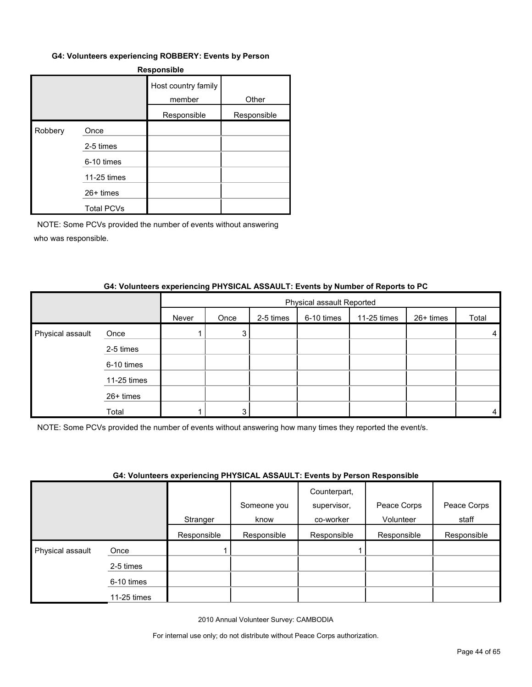#### **G4: Volunteers experiencing ROBBERY: Events by Person**

| <b>Responsible</b> |                   |                               |             |  |  |  |  |  |
|--------------------|-------------------|-------------------------------|-------------|--|--|--|--|--|
|                    |                   | Host country family<br>member | Other       |  |  |  |  |  |
|                    |                   | Responsible                   | Responsible |  |  |  |  |  |
| Robbery            | Once              |                               |             |  |  |  |  |  |
|                    | 2-5 times         |                               |             |  |  |  |  |  |
|                    | 6-10 times        |                               |             |  |  |  |  |  |
|                    | 11-25 times       |                               |             |  |  |  |  |  |
|                    | 26+ times         |                               |             |  |  |  |  |  |
|                    | <b>Total PCVs</b> |                               |             |  |  |  |  |  |

NOTE: Some PCVs provided the number of events without answering who was responsible.

#### **G4: Volunteers experiencing PHYSICAL ASSAULT: Events by Number of Reports to PC**

|                  |             |       | Physical assault Reported |           |            |             |           |       |  |
|------------------|-------------|-------|---------------------------|-----------|------------|-------------|-----------|-------|--|
|                  |             | Never | Once                      | 2-5 times | 6-10 times | 11-25 times | 26+ times | Total |  |
| Physical assault | Once        |       | 3                         |           |            |             |           | 4     |  |
|                  | 2-5 times   |       |                           |           |            |             |           |       |  |
|                  | 6-10 times  |       |                           |           |            |             |           |       |  |
|                  | 11-25 times |       |                           |           |            |             |           |       |  |
|                  | 26+ times   |       |                           |           |            |             |           |       |  |
|                  | Total       |       | 3                         |           |            |             |           | 4     |  |

NOTE: Some PCVs provided the number of events without answering how many times they reported the event/s.

#### **G4: Volunteers experiencing PHYSICAL ASSAULT: Events by Person Responsible**

|                  |             | . . <b>.</b> | Someone you | Counterpart,<br>supervisor, | Peace Corps | Peace Corps |
|------------------|-------------|--------------|-------------|-----------------------------|-------------|-------------|
|                  |             | Stranger     | know        | co-worker                   | Volunteer   | staff       |
|                  |             | Responsible  | Responsible | Responsible                 | Responsible | Responsible |
| Physical assault | Once        |              |             |                             |             |             |
|                  | 2-5 times   |              |             |                             |             |             |
|                  | 6-10 times  |              |             |                             |             |             |
|                  | 11-25 times |              |             |                             |             |             |

2010 Annual Volunteer Survey: CAMBODIA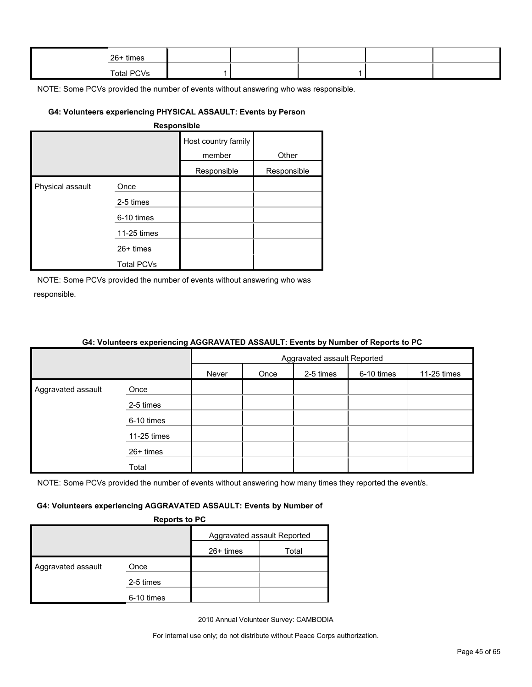| 26+ times         |  |  |  |
|-------------------|--|--|--|
| <b>Total PCVs</b> |  |  |  |

NOTE: Some PCVs provided the number of events without answering who was responsible.

## **G4: Volunteers experiencing PHYSICAL ASSAULT: Events by Person**

| <b>Responsible</b> |
|--------------------|
|--------------------|

|                  |                   | Host country family<br>member | Other       |
|------------------|-------------------|-------------------------------|-------------|
|                  |                   | Responsible                   | Responsible |
| Physical assault | Once              |                               |             |
|                  | 2-5 times         |                               |             |
|                  | 6-10 times        |                               |             |
|                  | 11-25 times       |                               |             |
|                  | $26+$ times       |                               |             |
|                  | <b>Total PCVs</b> |                               |             |

NOTE: Some PCVs provided the number of events without answering who was responsible.

|                    |             | Aggravated assault Reported |      |           |            |             |
|--------------------|-------------|-----------------------------|------|-----------|------------|-------------|
|                    |             | Never                       | Once | 2-5 times | 6-10 times | 11-25 times |
| Aggravated assault | Once        |                             |      |           |            |             |
|                    | 2-5 times   |                             |      |           |            |             |
|                    | 6-10 times  |                             |      |           |            |             |
|                    | 11-25 times |                             |      |           |            |             |
|                    | 26+ times   |                             |      |           |            |             |
|                    | Total       |                             |      |           |            |             |

# **G4: Volunteers experiencing AGGRAVATED ASSAULT: Events by Number of Reports to PC**

NOTE: Some PCVs provided the number of events without answering how many times they reported the event/s.

#### **G4: Volunteers experiencing AGGRAVATED ASSAULT: Events by Number of**

**Reports to PC**

| --------           |            |                             |       |  |  |
|--------------------|------------|-----------------------------|-------|--|--|
|                    |            | Aggravated assault Reported |       |  |  |
|                    |            | 26+ times                   | Total |  |  |
| Aggravated assault | Once       |                             |       |  |  |
|                    | 2-5 times  |                             |       |  |  |
|                    | 6-10 times |                             |       |  |  |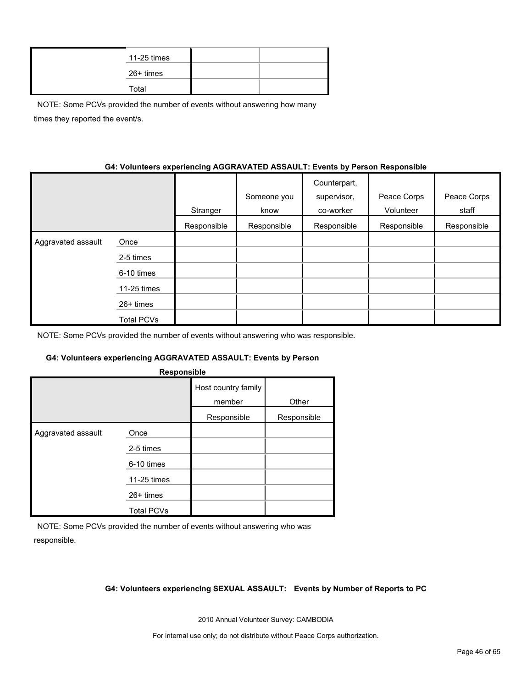| 11-25 times |  |
|-------------|--|
| 26+ times   |  |
| Total       |  |

NOTE: Some PCVs provided the number of events without answering how many times they reported the event/s.

### **G4: Volunteers experiencing AGGRAVATED ASSAULT: Events by Person Responsible**

|                    |                   | Stranger    | Someone you<br>know | Counterpart,<br>supervisor,<br>co-worker | Peace Corps<br>Volunteer | Peace Corps<br>staff |
|--------------------|-------------------|-------------|---------------------|------------------------------------------|--------------------------|----------------------|
|                    |                   | Responsible | Responsible         | Responsible                              | Responsible              | Responsible          |
| Aggravated assault | Once              |             |                     |                                          |                          |                      |
|                    | 2-5 times         |             |                     |                                          |                          |                      |
|                    | 6-10 times        |             |                     |                                          |                          |                      |
|                    | 11-25 times       |             |                     |                                          |                          |                      |
|                    | $26+$ times       |             |                     |                                          |                          |                      |
|                    | <b>Total PCVs</b> |             |                     |                                          |                          |                      |

NOTE: Some PCVs provided the number of events without answering who was responsible.

#### **G4: Volunteers experiencing AGGRAVATED ASSAULT: Events by Person**

| Host country family<br>member<br>Other<br>Responsible<br>Responsible<br>Aggravated assault<br>Once | Responsible |  |  |  |  |  |  |
|----------------------------------------------------------------------------------------------------|-------------|--|--|--|--|--|--|
|                                                                                                    |             |  |  |  |  |  |  |
|                                                                                                    |             |  |  |  |  |  |  |
|                                                                                                    |             |  |  |  |  |  |  |
| 2-5 times                                                                                          |             |  |  |  |  |  |  |
| 6-10 times                                                                                         |             |  |  |  |  |  |  |
| 11-25 times                                                                                        |             |  |  |  |  |  |  |
| 26+ times                                                                                          |             |  |  |  |  |  |  |
| <b>Total PCVs</b>                                                                                  |             |  |  |  |  |  |  |

NOTE: Some PCVs provided the number of events without answering who was responsible.

#### **G4: Volunteers experiencing SEXUAL ASSAULT: Events by Number of Reports to PC**

2010 Annual Volunteer Survey: CAMBODIA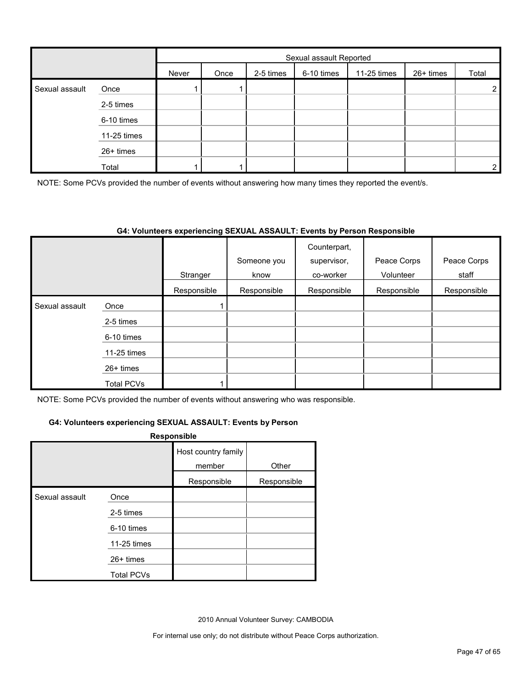|                |             | Sexual assault Reported |      |           |            |             |           |                |
|----------------|-------------|-------------------------|------|-----------|------------|-------------|-----------|----------------|
|                |             | Never                   | Once | 2-5 times | 6-10 times | 11-25 times | 26+ times | Total          |
| Sexual assault | Once        |                         |      |           |            |             |           | $\overline{2}$ |
|                | 2-5 times   |                         |      |           |            |             |           |                |
|                | 6-10 times  |                         |      |           |            |             |           |                |
|                | 11-25 times |                         |      |           |            |             |           |                |
|                | 26+ times   |                         |      |           |            |             |           |                |
|                | Total       |                         |      |           |            |             |           | $\overline{2}$ |

NOTE: Some PCVs provided the number of events without answering how many times they reported the event/s.

#### **G4: Volunteers experiencing SEXUAL ASSAULT: Events by Person Responsible**

|                |                   | Stranger    | Someone you<br>know | Counterpart,<br>supervisor,<br>co-worker | Peace Corps<br>Volunteer | Peace Corps<br>staff |
|----------------|-------------------|-------------|---------------------|------------------------------------------|--------------------------|----------------------|
|                |                   | Responsible | Responsible         | Responsible                              | Responsible              | Responsible          |
| Sexual assault | Once              |             |                     |                                          |                          |                      |
|                | 2-5 times         |             |                     |                                          |                          |                      |
|                | 6-10 times        |             |                     |                                          |                          |                      |
|                | 11-25 times       |             |                     |                                          |                          |                      |
|                | $26+$ times       |             |                     |                                          |                          |                      |
|                | <b>Total PCVs</b> |             |                     |                                          |                          |                      |

NOTE: Some PCVs provided the number of events without answering who was responsible.

#### **G4: Volunteers experiencing SEXUAL ASSAULT: Events by Person**

#### **Responsible**

|                |                   | Host country family<br>member | Other       |
|----------------|-------------------|-------------------------------|-------------|
|                |                   | Responsible                   | Responsible |
| Sexual assault | Once              |                               |             |
|                | 2-5 times         |                               |             |
|                | 6-10 times        |                               |             |
|                | 11-25 times       |                               |             |
|                | 26+ times         |                               |             |
|                | <b>Total PCVs</b> |                               |             |

2010 Annual Volunteer Survey: CAMBODIA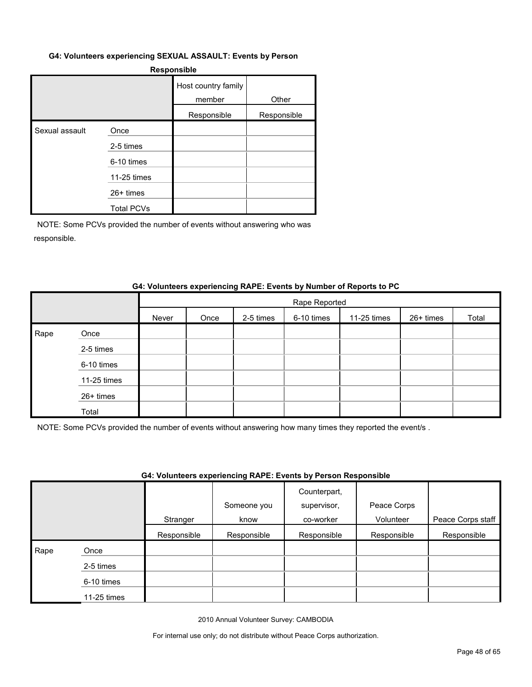#### **G4: Volunteers experiencing SEXUAL ASSAULT: Events by Person**

#### **Responsible**

|                |                   | Host country family<br>member | Other       |
|----------------|-------------------|-------------------------------|-------------|
|                |                   | Responsible                   | Responsible |
| Sexual assault | Once              |                               |             |
|                | 2-5 times         |                               |             |
|                | 6-10 times        |                               |             |
|                | 11-25 times       |                               |             |
|                | $26+$ times       |                               |             |
|                | <b>Total PCVs</b> |                               |             |

NOTE: Some PCVs provided the number of events without answering who was responsible.

#### **G4: Volunteers experiencing RAPE: Events by Number of Reports to PC**

|      |             |       | Rape Reported |           |            |             |           |       |  |  |  |
|------|-------------|-------|---------------|-----------|------------|-------------|-----------|-------|--|--|--|
|      |             | Never | Once          | 2-5 times | 6-10 times | 11-25 times | 26+ times | Total |  |  |  |
| Rape | Once        |       |               |           |            |             |           |       |  |  |  |
|      | 2-5 times   |       |               |           |            |             |           |       |  |  |  |
|      | 6-10 times  |       |               |           |            |             |           |       |  |  |  |
|      | 11-25 times |       |               |           |            |             |           |       |  |  |  |
|      | 26+ times   |       |               |           |            |             |           |       |  |  |  |
|      | Total       |       |               |           |            |             |           |       |  |  |  |

NOTE: Some PCVs provided the number of events without answering how many times they reported the event/s .

# **G4: Volunteers experiencing RAPE: Events by Person Responsible**

|      |             | Stranger    | Someone you<br>know | Counterpart,<br>supervisor,<br>co-worker | Peace Corps<br>Volunteer | Peace Corps staff |
|------|-------------|-------------|---------------------|------------------------------------------|--------------------------|-------------------|
|      |             | Responsible | Responsible         | Responsible                              | Responsible              | Responsible       |
| Rape | Once        |             |                     |                                          |                          |                   |
|      | 2-5 times   |             |                     |                                          |                          |                   |
|      | 6-10 times  |             |                     |                                          |                          |                   |
|      | 11-25 times |             |                     |                                          |                          |                   |

2010 Annual Volunteer Survey: CAMBODIA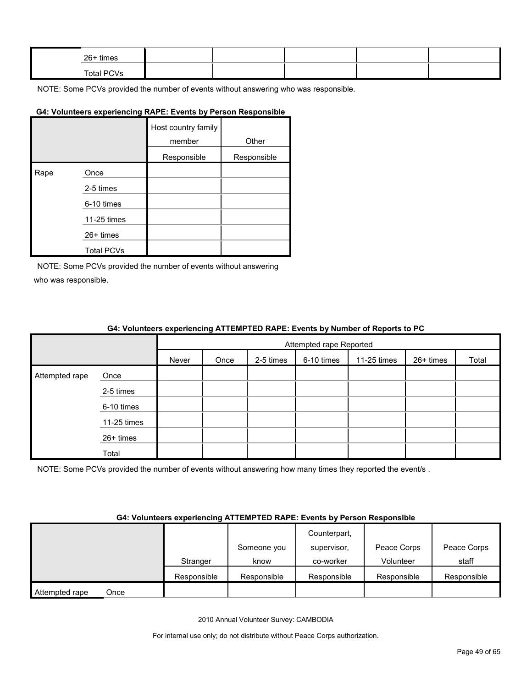| 26+ times  |  |  |  |
|------------|--|--|--|
| Total PCVs |  |  |  |

NOTE: Some PCVs provided the number of events without answering who was responsible.

#### **G4: Volunteers experiencing RAPE: Events by Person Responsible**

|      |                   | Host country family<br>member | Other       |
|------|-------------------|-------------------------------|-------------|
|      |                   | Responsible                   | Responsible |
| Rape | Once              |                               |             |
|      | 2-5 times         |                               |             |
|      | 6-10 times        |                               |             |
|      | 11-25 times       |                               |             |
|      | $26+$ times       |                               |             |
|      | <b>Total PCVs</b> |                               |             |

NOTE: Some PCVs provided the number of events without answering who was responsible.

#### **G4: Volunteers experiencing ATTEMPTED RAPE: Events by Number of Reports to PC**

|                |             |       |      |           | Attempted rape Reported |             |           |       |
|----------------|-------------|-------|------|-----------|-------------------------|-------------|-----------|-------|
|                |             | Never | Once | 2-5 times | 6-10 times              | 11-25 times | 26+ times | Total |
| Attempted rape | Once        |       |      |           |                         |             |           |       |
|                | 2-5 times   |       |      |           |                         |             |           |       |
|                | 6-10 times  |       |      |           |                         |             |           |       |
|                | 11-25 times |       |      |           |                         |             |           |       |
|                | 26+ times   |       |      |           |                         |             |           |       |
|                | Total       |       |      |           |                         |             |           |       |

NOTE: Some PCVs provided the number of events without answering how many times they reported the event/s.

#### **G4: Volunteers experiencing ATTEMPTED RAPE: Events by Person Responsible**

|                        |             | Someone you | Counterpart,<br>supervisor, | Peace Corps | Peace Corps |
|------------------------|-------------|-------------|-----------------------------|-------------|-------------|
|                        | Stranger    | know        | co-worker                   | Volunteer   | staff       |
|                        | Responsible | Responsible | Responsible                 | Responsible | Responsible |
| Attempted rape<br>Once |             |             |                             |             |             |

2010 Annual Volunteer Survey: CAMBODIA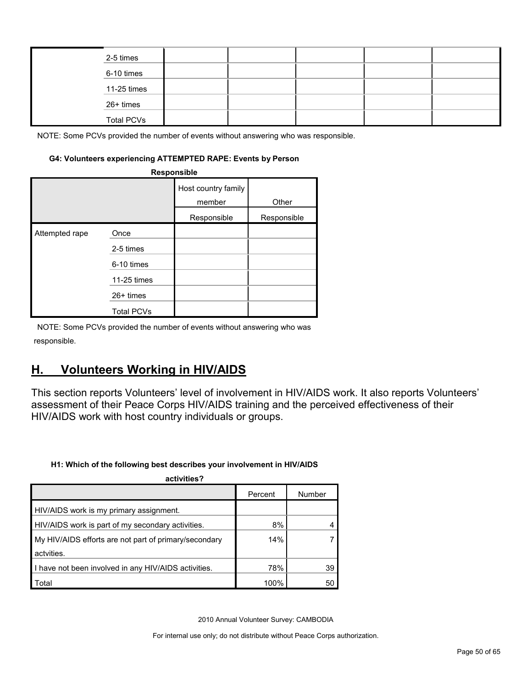| 2-5 times         |  |  |  |
|-------------------|--|--|--|
| 6-10 times        |  |  |  |
| 11-25 times       |  |  |  |
| 26+ times         |  |  |  |
| <b>Total PCVs</b> |  |  |  |

NOTE: Some PCVs provided the number of events without answering who was responsible.

#### **G4: Volunteers experiencing ATTEMPTED RAPE: Events by Person**

|                | Responsible       |                               |             |  |  |  |  |  |
|----------------|-------------------|-------------------------------|-------------|--|--|--|--|--|
|                |                   | Host country family<br>member | Other       |  |  |  |  |  |
|                |                   | Responsible                   | Responsible |  |  |  |  |  |
| Attempted rape | Once              |                               |             |  |  |  |  |  |
|                | 2-5 times         |                               |             |  |  |  |  |  |
|                | 6-10 times        |                               |             |  |  |  |  |  |
|                | 11-25 times       |                               |             |  |  |  |  |  |
|                | $26+$ times       |                               |             |  |  |  |  |  |
|                | <b>Total PCVs</b> |                               |             |  |  |  |  |  |

NOTE: Some PCVs provided the number of events without answering who was responsible.

# <span id="page-49-0"></span>**H. Volunteers Working in HIV/AIDS**

This section reports Volunteers' level of involvement in HIV/AIDS work. It also reports Volunteers' assessment of their Peace Corps HIV/AIDS training and the perceived effectiveness of their HIV/AIDS work with host country individuals or groups.

#### **H1: Which of the following best describes your involvement in HIV/AIDS**

| activities?                                           |         |        |
|-------------------------------------------------------|---------|--------|
|                                                       | Percent | Number |
| HIV/AIDS work is my primary assignment.               |         |        |
| HIV/AIDS work is part of my secondary activities.     | 8%      |        |
| My HIV/AIDS efforts are not part of primary/secondary | 14%     |        |
| actvities.                                            |         |        |
| I have not been involved in any HIV/AIDS activities.  | 78%     | 39     |
| Total                                                 | 100%    | 50     |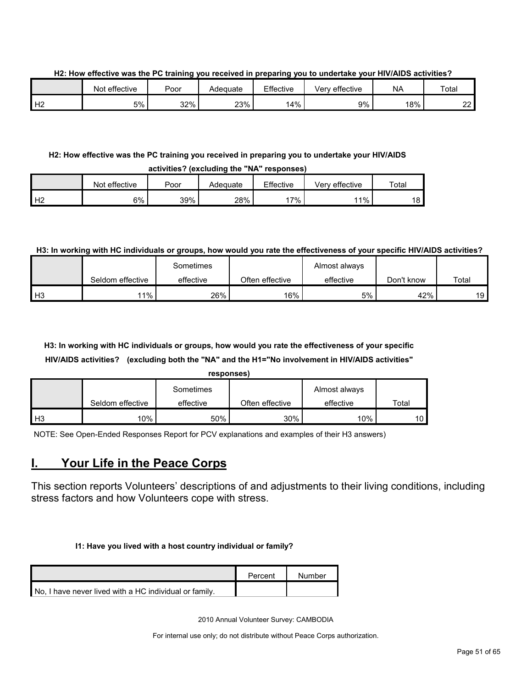**H2: How effective was the PC training you received in preparing you to undertake your HIV/AIDS activities?**

|    | Not effective | Poor | Adequate | Effective | Very effective | <b>NA</b> | Total       |
|----|---------------|------|----------|-----------|----------------|-----------|-------------|
| Н2 | 5%            | 32%  | 23%      | 14%       | 9%             | 18%       | $\sim$<br>∸ |

#### **H2: How effective was the PC training you received in preparing you to undertake your HIV/AIDS activities? (excluding the "NA" responses)**

|          | WANTINAA LAMANDAMIIN MIA TINTI LAAMAINAA |       |          |           |                |       |  |  |  |  |  |
|----------|------------------------------------------|-------|----------|-----------|----------------|-------|--|--|--|--|--|
|          | Not effective                            | Poor  | Adequate | Effective | Very effective | Total |  |  |  |  |  |
| H2<br>╶╹ | 6%                                       | 39% l | 28%      | ່ 7% ເ    | 11%            | 18    |  |  |  |  |  |

# **H3: In working with HC individuals or groups, how would you rate the effectiveness of your specific HIV/AIDS activities?**

|                |                  | Sometimes |                 | Almost always |            |       |
|----------------|------------------|-----------|-----------------|---------------|------------|-------|
|                | Seldom effective | effective | Often effective | effective     | Don't know | Total |
| H <sub>3</sub> | $11\%$           | 26%       | 16%             | 5%            | 42%        | 19    |

# **H3: In working with HC individuals or groups, how would you rate the effectiveness of your specific HIV/AIDS activities? (excluding both the "NA" and the H1="No involvement in HIV/AIDS activities"**

|                |                  | responses) |                 |               |       |
|----------------|------------------|------------|-----------------|---------------|-------|
|                |                  | Sometimes  |                 | Almost always |       |
|                | Seldom effective | effective  | Often effective | effective     | Total |
| H <sub>3</sub> | 10%              | 50%        | 30%             | 10%           | 10    |

NOTE: See Open-Ended Responses Report for PCV explanations and examples of their H3 answers)

# <span id="page-50-0"></span>**I. Your Life in the Peace Corps**

This section reports Volunteers' descriptions of and adjustments to their living conditions, including stress factors and how Volunteers cope with stress.

#### **I1: Have you lived with a host country individual or family?**

|                                                        | Percent | Number |
|--------------------------------------------------------|---------|--------|
| No. I have never lived with a HC individual or family. |         |        |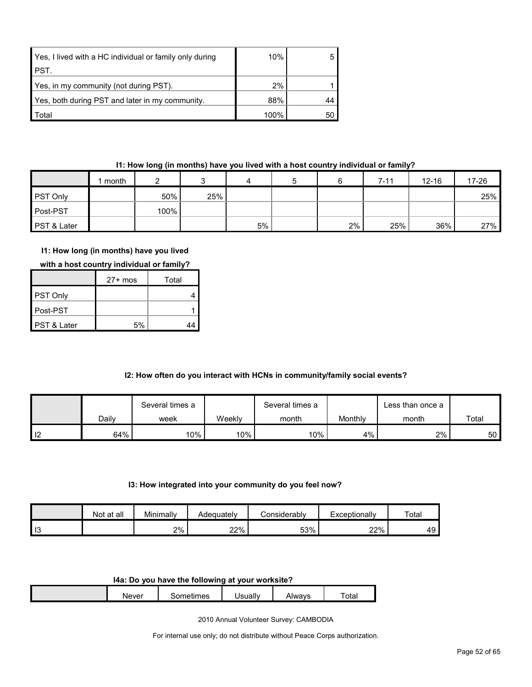| Yes, I lived with a HC individual or family only during | 10%  |    |
|---------------------------------------------------------|------|----|
| <b>PST.</b>                                             |      |    |
| Yes, in my community (not during PST).                  | 2%   |    |
| Yes, both during PST and later in my community.         | 88%  | 44 |
| Total                                                   | 100% | 50 |

#### **I1: How long (in months) have you lived with a host country individual or family?**

|             | month |      |     | 4  |    | $7 - 11$ | $12 - 16$ | 17-26 |
|-------------|-------|------|-----|----|----|----------|-----------|-------|
| PST Only    |       | 50%  | 25% |    |    |          |           | 25%   |
| Post-PST    |       | 100% |     |    |    |          |           |       |
| PST & Later |       |      |     | 5% | 2% | 25%      | 36%       | 27%   |

# **I1: How long (in months) have you lived**

|  | with a host country individual or family? |
|--|-------------------------------------------|
|--|-------------------------------------------|

|                        | $27+$ mos | Total |
|------------------------|-----------|-------|
| PST Only               |           |       |
| ∎Post-PST              |           |       |
| <b>PST &amp; Later</b> | 5%        |       |

# **I2: How often do you interact with HCNs in community/family social events?**

|      |       | Several times a |        | Several times a |         | Less than once a |                 |
|------|-------|-----------------|--------|-----------------|---------|------------------|-----------------|
|      | Daily | week            | Weekly | month           | Monthly | month            | Total           |
| l 12 | 64%   | $10\%$          | $10\%$ | 10%             | $4\%$   | 2%               | 50 <sup>°</sup> |

#### **I3: How integrated into your community do you feel now?**

|                       | Not at all | Minimally | Adequately | ≿onsiderablv | Exceptionally | Total |
|-----------------------|------------|-----------|------------|--------------|---------------|-------|
| $\overline{10}$<br>10 |            | 2%        | 22%        | 53%          | 22%           | 49    |

#### **I4a: Do you have the following at your worksite?**

| <b>Never</b> | - ---<br>mes | <b>Jerially</b><br>udll | \lwavs<br><b>ALVV</b> | ota. |
|--------------|--------------|-------------------------|-----------------------|------|

2010 Annual Volunteer Survey: CAMBODIA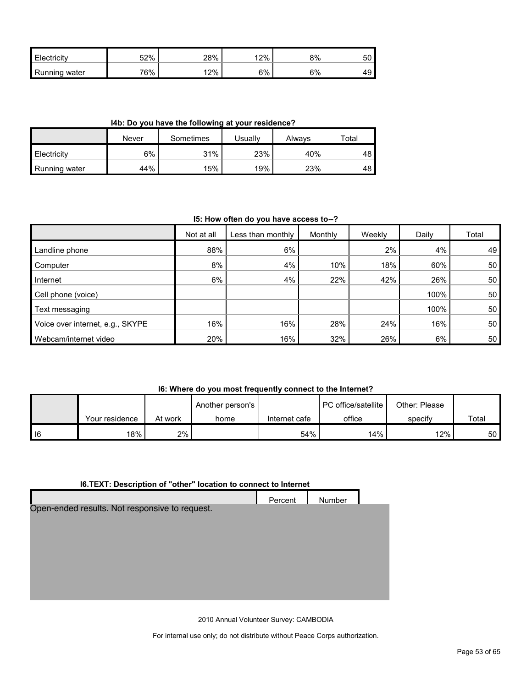| Electricity      | 52% | 28% | 12% | 8% | 50 |
|------------------|-----|-----|-----|----|----|
| Running<br>water | 76% | 12% | 6%  | 6% | ᠇◡ |

**I4b: Do you have the following at your residence?**

|                      | Never | Sometimes | Jsually | Alwavs | Total |
|----------------------|-------|-----------|---------|--------|-------|
| <b>Electricity</b>   | 6%    | 31%       | 23%     | 40%    | 48    |
| <b>Running water</b> | 44%   | 15%       | 19%     | 23%    | 48    |

#### **I5: How often do you have access to--?**

|                                  | Not at all | Less than monthly | Monthly | Weekly | Daily | Total |
|----------------------------------|------------|-------------------|---------|--------|-------|-------|
| Landline phone                   | 88%        | 6%                |         | 2%     | 4%    | 49    |
| Computer                         | 8%         | 4%                | 10%     | 18%    | 60%   | 50    |
| Internet                         | 6%         | 4%                | 22%     | 42%    | 26%   | 50    |
| Cell phone (voice)               |            |                   |         |        | 100%  | 50    |
| Text messaging                   |            |                   |         |        | 100%  | 50    |
| Voice over internet, e.g., SKYPE | 16%        | 16%               | 28%     | 24%    | 16%   | 50    |
| Webcam/internet video            | 20%        | 16%               | 32%     | 26%    | 6%    | 50    |

# **I6: Where do you most frequently connect to the Internet?**

|        |                |         | Another person's |               | PC office/satellite | Other: Please |       |
|--------|----------------|---------|------------------|---------------|---------------------|---------------|-------|
|        | Your residence | At work | home             | Internet cafe | office              | specify       | Total |
| $ $ 16 | 18%            | $2\%$   |                  | 54%           | 14%                 | 12%           | 50 I  |

# **I6.TEXT: Description of "other" location to connect to Internet**

|                                                | Percent | Number |  |
|------------------------------------------------|---------|--------|--|
| Open-ended results. Not responsive to request. |         |        |  |
|                                                |         |        |  |
|                                                |         |        |  |
|                                                |         |        |  |
|                                                |         |        |  |
|                                                |         |        |  |
|                                                |         |        |  |
|                                                |         |        |  |

2010 Annual Volunteer Survey: CAMBODIA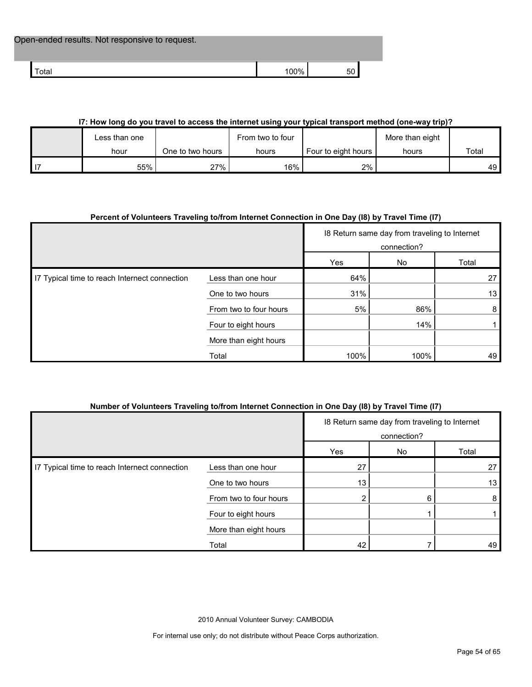| Open-ended results. Not responsive to request. |        |                 |  |
|------------------------------------------------|--------|-----------------|--|
| <sup>-</sup> otal                              | $00\%$ | 50 <sub>1</sub> |  |

# **I7: How long do you travel to access the internet using your typical transport method (one-way trip)?**

| Less than one |                  | From two to four |                     | More than eight |       |
|---------------|------------------|------------------|---------------------|-----------------|-------|
| hour          | One to two hours | hours            | Four to eight hours | hours           | Total |
| 55%           | 27%              | 16%              | $2\%$               |                 | 49 I  |

# **Percent of Volunteers Traveling to/from Internet Connection in One Day (I8) by Travel Time (I7)**

|                                               |                        |      | 18 Return same day from traveling to Internet<br>connection? |       |  |
|-----------------------------------------------|------------------------|------|--------------------------------------------------------------|-------|--|
|                                               |                        | Yes  | No                                                           | Total |  |
| I7 Typical time to reach Internect connection | Less than one hour     | 64%  |                                                              | 27    |  |
|                                               | One to two hours       | 31%  |                                                              | 13    |  |
|                                               | From two to four hours | 5%   | 86%                                                          | 8     |  |
|                                               | Four to eight hours    |      | 14%                                                          |       |  |
|                                               | More than eight hours  |      |                                                              |       |  |
|                                               | Total                  | 100% | 100%                                                         | 49    |  |

# **Number of Volunteers Traveling to/from Internet Connection in One Day (I8) by Travel Time (I7)**

|                                               |                        |     | 18 Return same day from traveling to Internet<br>connection? |       |  |
|-----------------------------------------------|------------------------|-----|--------------------------------------------------------------|-------|--|
|                                               |                        | Yes | No                                                           | Total |  |
| I7 Typical time to reach Internect connection | Less than one hour     | 27  |                                                              | 27    |  |
|                                               | One to two hours       | 13  |                                                              | 13    |  |
|                                               | From two to four hours |     | 6                                                            | 8     |  |
|                                               | Four to eight hours    |     |                                                              |       |  |
|                                               | More than eight hours  |     |                                                              |       |  |
|                                               | Total                  | 42  |                                                              | 49    |  |

2010 Annual Volunteer Survey: CAMBODIA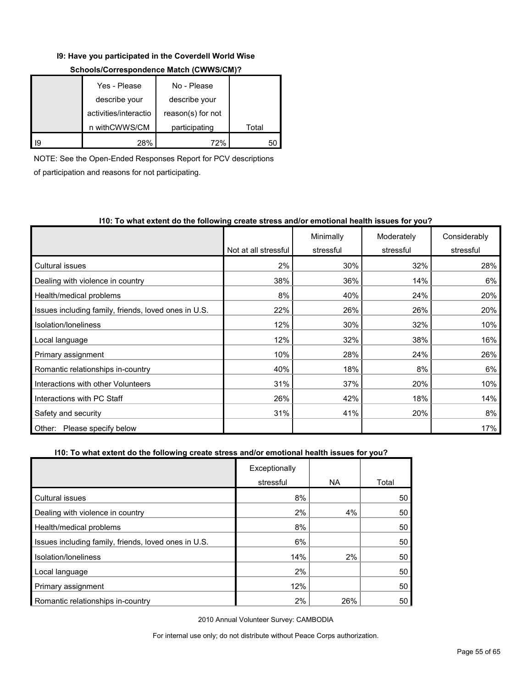#### **I9: Have you participated in the Coverdell World Wise**

| Yes - Please          | No - Please       |       |
|-----------------------|-------------------|-------|
| describe your         | describe your     |       |
| activities/interactio | reason(s) for not |       |
| n withCWWS/CM         | participating     | Total |
| 28%                   | 72%               |       |

# **Schools/Correspondence Match (CWWS/CM)?**

NOTE: See the Open-Ended Responses Report for PCV descriptions

of participation and reasons for not participating.

# **I10: To what extent do the following create stress and/or emotional health issues for you?**

|                                                      |                      | Minimally | Moderately | Considerably |
|------------------------------------------------------|----------------------|-----------|------------|--------------|
|                                                      | Not at all stressful | stressful | stressful  | stressful    |
| <b>Cultural issues</b>                               | 2%                   | 30%       | 32%        | 28%          |
| Dealing with violence in country                     | 38%                  | 36%       | 14%        | 6%           |
| Health/medical problems                              | 8%                   | 40%       | 24%        | 20%          |
| Issues including family, friends, loved ones in U.S. | 22%                  | 26%       | 26%        | 20%          |
| Isolation/Ioneliness                                 | 12%                  | 30%       | 32%        | 10%          |
| Local language                                       | 12%                  | 32%       | 38%        | 16%          |
| Primary assignment                                   | 10%                  | 28%       | 24%        | 26%          |
| Romantic relationships in-country                    | 40%                  | 18%       | 8%         | 6%           |
| Interactions with other Volunteers                   | 31%                  | 37%       | 20%        | 10%          |
| Interactions with PC Staff                           | 26%                  | 42%       | 18%        | 14%          |
| Safety and security                                  | 31%                  | 41%       | 20%        | 8%           |
| Please specify below<br>Other:                       |                      |           |            | 17%          |

# **I10: To what extent do the following create stress and/or emotional health issues for you?**

|                                                      | Exceptionally |           |       |
|------------------------------------------------------|---------------|-----------|-------|
|                                                      | stressful     | <b>NA</b> | Total |
| <b>Cultural issues</b>                               | 8%            |           | 50    |
| Dealing with violence in country                     | 2%            | 4%        | 50    |
| Health/medical problems                              | 8%            |           | 50    |
| Issues including family, friends, loved ones in U.S. | 6%            |           | 50    |
| Isolation/loneliness                                 | 14%           | 2%        | 50    |
| Local language                                       | 2%            |           | 50    |
| Primary assignment                                   | 12%           |           | 50    |
| Romantic relationships in-country                    | 2%            | 26%       | 50    |

2010 Annual Volunteer Survey: CAMBODIA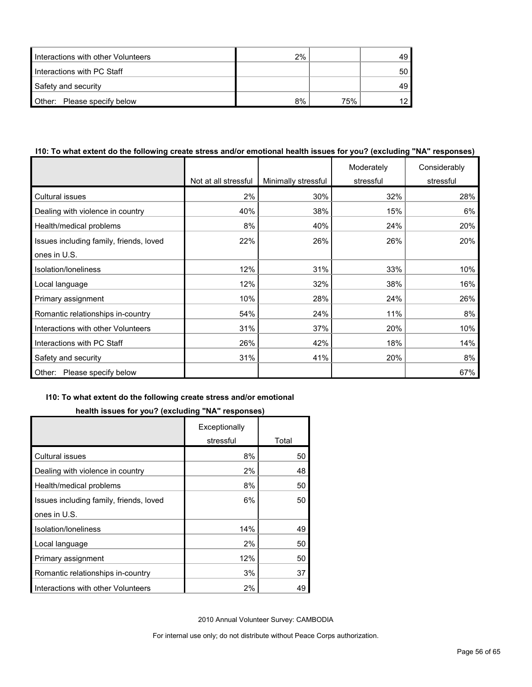| Interactions with other Volunteers | 2% |     |    |
|------------------------------------|----|-----|----|
| Interactions with PC Staff         |    |     | 50 |
| Safety and security                |    |     |    |
| Other: Please specify below        | 8% | 75% |    |

#### **I10: To what extent do the following create stress and/or emotional health issues for you? (excluding "NA" responses)**

|                                         |                      |                     | Moderately | Considerably |
|-----------------------------------------|----------------------|---------------------|------------|--------------|
|                                         | Not at all stressful | Minimally stressful | stressful  | stressful    |
| Cultural issues                         | 2%                   | 30%                 | 32%        | 28%          |
| Dealing with violence in country        | 40%                  | 38%                 | 15%        | 6%           |
| Health/medical problems                 | 8%                   | 40%                 | 24%        | 20%          |
| Issues including family, friends, loved | 22%                  | 26%                 | 26%        | 20%          |
| ones in U.S.                            |                      |                     |            |              |
| Isolation/loneliness                    | 12%                  | 31%                 | 33%        | 10%          |
| Local language                          | 12%                  | 32%                 | 38%        | 16%          |
| Primary assignment                      | 10%                  | 28%                 | 24%        | 26%          |
| Romantic relationships in-country       | 54%                  | 24%                 | 11%        | 8%           |
| Interactions with other Volunteers      | 31%                  | 37%                 | 20%        | 10%          |
| Interactions with PC Staff              | 26%                  | 42%                 | 18%        | 14%          |
| Safety and security                     | 31%                  | 41%                 | 20%        | 8%           |
| Please specify below<br>Other:          |                      |                     |            | 67%          |

#### **I10: To what extent do the following create stress and/or emotional**

# **health issues for you? (excluding "NA" responses)**

|                                         | Exceptionally |       |
|-----------------------------------------|---------------|-------|
|                                         | stressful     | Total |
| <b>Cultural issues</b>                  | 8%            | 50    |
| Dealing with violence in country        | 2%            | 48    |
| Health/medical problems                 | 8%            | 50    |
| Issues including family, friends, loved | 6%            | 50    |
| ones in U.S.                            |               |       |
| Isolation/loneliness                    | 14%           | 49    |
| Local language                          | 2%            | 50    |
| Primary assignment                      | 12%           | 50    |
| Romantic relationships in-country       | 3%            | 37    |
| Interactions with other Volunteers      | 2%            | 49    |

2010 Annual Volunteer Survey: CAMBODIA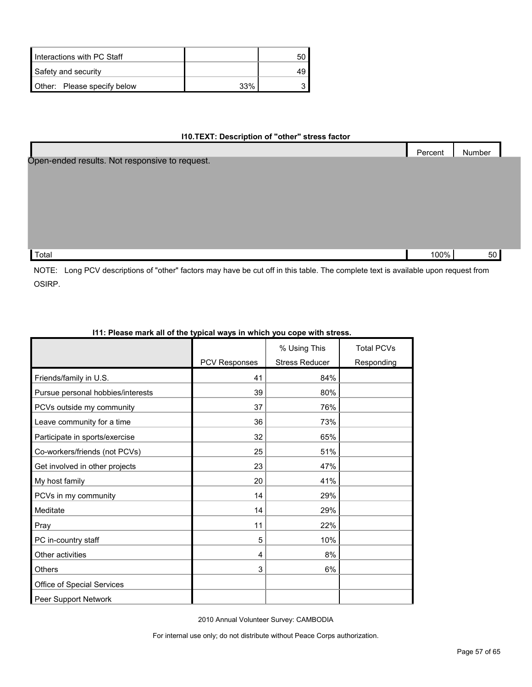| Interactions with PC Staff  |     | 50 |
|-----------------------------|-----|----|
| Safety and security         |     |    |
| Other: Please specify below | 33% |    |

# **I10.TEXT: Description of "other" stress factor**

|                                                | Percent | Number |  |
|------------------------------------------------|---------|--------|--|
| Open-ended results. Not responsive to request. |         |        |  |
|                                                |         |        |  |
|                                                |         |        |  |
|                                                |         |        |  |
|                                                |         |        |  |
|                                                |         |        |  |
|                                                |         |        |  |
| Total                                          | 100%    | 50     |  |

NOTE: Long PCV descriptions of "other" factors may have be cut off in this table. The complete text is available upon request from OSIRP.

|                                   |                      | % Using This          | <b>Total PCVs</b> |
|-----------------------------------|----------------------|-----------------------|-------------------|
|                                   | <b>PCV Responses</b> | <b>Stress Reducer</b> | Responding        |
| Friends/family in U.S.            | 41                   | 84%                   |                   |
| Pursue personal hobbies/interests | 39                   | 80%                   |                   |
| PCVs outside my community         | 37                   | 76%                   |                   |
| Leave community for a time        | 36                   | 73%                   |                   |
| Participate in sports/exercise    | 32                   | 65%                   |                   |
| Co-workers/friends (not PCVs)     | 25                   | 51%                   |                   |
| Get involved in other projects    | 23                   | 47%                   |                   |
| My host family                    | 20                   | 41%                   |                   |
| PCVs in my community              | 14                   | 29%                   |                   |
| Meditate                          | 14                   | 29%                   |                   |
| Pray                              | 11                   | 22%                   |                   |
| PC in-country staff               | 5                    | 10%                   |                   |
| Other activities                  | 4                    | 8%                    |                   |
| <b>Others</b>                     | 3                    | 6%                    |                   |
| Office of Special Services        |                      |                       |                   |
| Peer Support Network              |                      |                       |                   |

# **I11: Please mark all of the typical ways in which you cope with stress.**

2010 Annual Volunteer Survey: CAMBODIA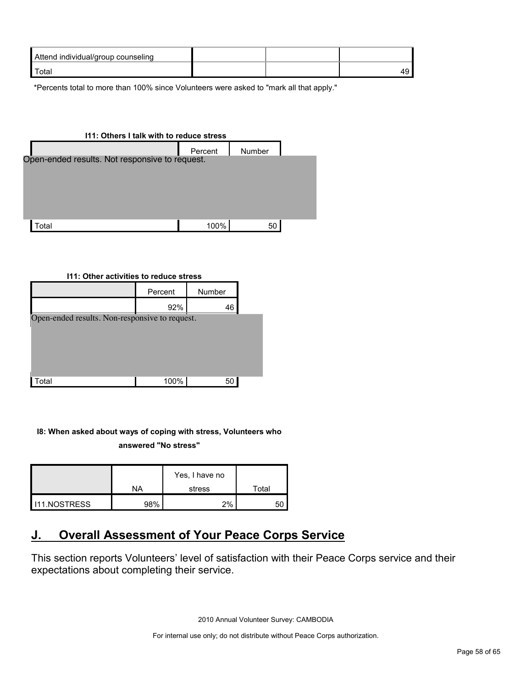| Attend individual/group counseling |  |  |
|------------------------------------|--|--|
| Total                              |  |  |

\*Percents total to more than 100% since Volunteers were asked to "mark all that apply."

| 111: Others I talk with to reduce stress       |         |               |  |  |  |
|------------------------------------------------|---------|---------------|--|--|--|
|                                                | Percent | <b>Number</b> |  |  |  |
| Open-ended results. Not responsive to request. |         |               |  |  |  |
|                                                |         |               |  |  |  |
|                                                |         |               |  |  |  |
|                                                |         |               |  |  |  |
|                                                |         |               |  |  |  |
|                                                |         |               |  |  |  |
| <sup>.</sup> otal                              | 100%    | 50            |  |  |  |

#### **I11: Other activities to reduce stress**

|                                                | Percent | Number |  |
|------------------------------------------------|---------|--------|--|
|                                                | 92%     | 46     |  |
| Open-ended results. Non-responsive to request. |         |        |  |
|                                                |         |        |  |
|                                                |         |        |  |
|                                                |         |        |  |
| otal <sup>-</sup>                              | 100%    | 50     |  |

# **I8: When asked about ways of coping with stress, Volunteers who**

**answered "No stress"** 

|              | Yes, I have no |        |       |
|--------------|----------------|--------|-------|
|              | NA             | stress | Total |
| 111.NOSTRESS | 98%            | 2%     | 51    |

# <span id="page-57-0"></span>**J. Overall Assessment of Your Peace Corps Service**

This section reports Volunteers' level of satisfaction with their Peace Corps service and their expectations about completing their service.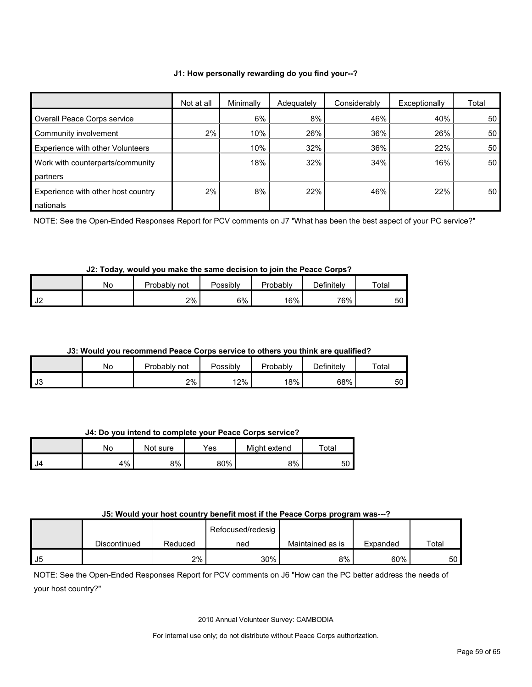#### **J1: How personally rewarding do you find your--?**

|                                         | Not at all | Minimally | Adequately | Considerably | Exceptionally | Total |
|-----------------------------------------|------------|-----------|------------|--------------|---------------|-------|
| Overall Peace Corps service             |            | 6%        | 8%         | 46%          | 40%           | 50    |
| Community involvement                   | 2%         | 10%       | 26%        | 36%          | 26%           | 50    |
| <b>Experience with other Volunteers</b> |            | 10%       | 32%        | 36%          | 22%           | 50    |
| Work with counterparts/community        |            | 18%       | 32%        | 34%          | 16%           | 50    |
| <b>partners</b>                         |            |           |            |              |               |       |
| Experience with other host country      | 2%         | 8%        | 22%        | 46%          | 22%           | 50    |
| nationals                               |            |           |            |              |               |       |

NOTE: See the Open-Ended Responses Report for PCV comments on J7 "What has been the best aspect of your PC service?"

# **J2: Today, would you make the same decision to join the Peace Corps?**

|               | Nο | Probably not | Possibly | Probablv | $\Delta$ efinitely | $\tau$ otar |
|---------------|----|--------------|----------|----------|--------------------|-------------|
| 1 IC<br>1 J Z |    | 2%           | 6%       | 16%      | 76%                | 50          |

#### **J3: Would you recommend Peace Corps service to others you think are qualified?**

|    | No | Probably<br>not | Possibly | Probably | Definitely | Total |
|----|----|-----------------|----------|----------|------------|-------|
| J3 |    | 2%              | 12%      | 18%      | 68%        | 50 I  |

**J4: Do you intend to complete your Peace Corps service?**

|    | No | Not sure | Yes | Might extend | Total |
|----|----|----------|-----|--------------|-------|
| J4 | 4% | 8%       | 80% | 8%           | 50    |

#### **J5: Would your host country benefit most if the Peace Corps program was---?**

|    |              |         | Refocused/redesig |                  |          |       |
|----|--------------|---------|-------------------|------------------|----------|-------|
|    | Discontinued | Reduced | ned               | Maintained as is | Expanded | Total |
| J5 |              | 2%      | 30%               | 8%               | 60%      | 50 l  |

NOTE: See the Open-Ended Responses Report for PCV comments on J6 "How can the PC better address the needs of your host country?"

2010 Annual Volunteer Survey: CAMBODIA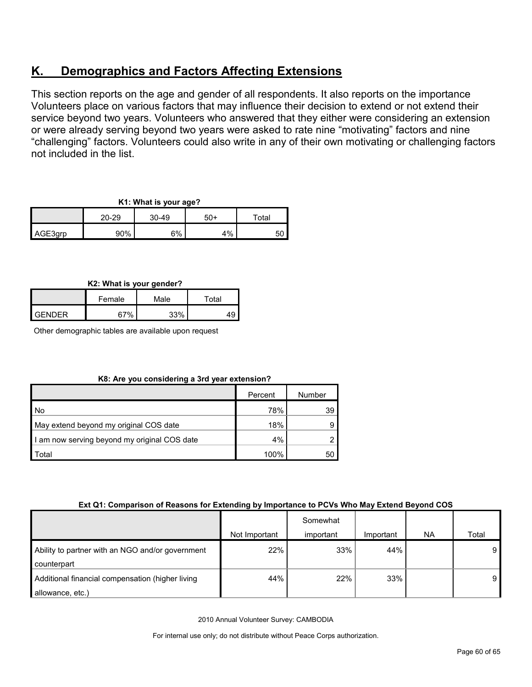# <span id="page-59-0"></span>**K. Demographics and Factors Affecting Extensions**

This section reports on the age and gender of all respondents. It also reports on the importance Volunteers place on various factors that may influence their decision to extend or not extend their service beyond two years. Volunteers who answered that they either were considering an extension or were already serving beyond two years were asked to rate nine "motivating" factors and nine "challenging" factors. Volunteers could also write in any of their own motivating or challenging factors not included in the list.

| K1: What is your age? |  |  |
|-----------------------|--|--|
|                       |  |  |

|         | 20-29 | $30 - 49$ | $50+$ | $\tau$ otal |  |
|---------|-------|-----------|-------|-------------|--|
| AGE3grp | 90%   | 6%        | $1\%$ | 50          |  |

# **K2: What is your gender?**

|                | Female | Male | Total |
|----------------|--------|------|-------|
| <b>LGENDER</b> | 67%    | 220/ |       |

Other demographic tables are available upon request

| K8: Are you considering a 3rd year extension? |  |
|-----------------------------------------------|--|
|-----------------------------------------------|--|

|                                              | Percent | Number |
|----------------------------------------------|---------|--------|
| No                                           | 78%     | 39     |
| May extend beyond my original COS date       | 18%     | 9      |
| I am now serving beyond my original COS date | 4%      |        |
| Total                                        | 100%    | 50     |

# **Ext Q1: Comparison of Reasons for Extending by Importance to PCVs Who May Extend Beyond COS**

|                                                                      | Not Important | Somewhat<br>important | Important | <b>NA</b> | Total |
|----------------------------------------------------------------------|---------------|-----------------------|-----------|-----------|-------|
| Ability to partner with an NGO and/or government<br>counterpart      | 22%           | 33%                   | 44%       |           | 9     |
| Additional financial compensation (higher living<br>allowance, etc.) | 44%           | 22%                   | 33%       |           | 9     |

2010 Annual Volunteer Survey: CAMBODIA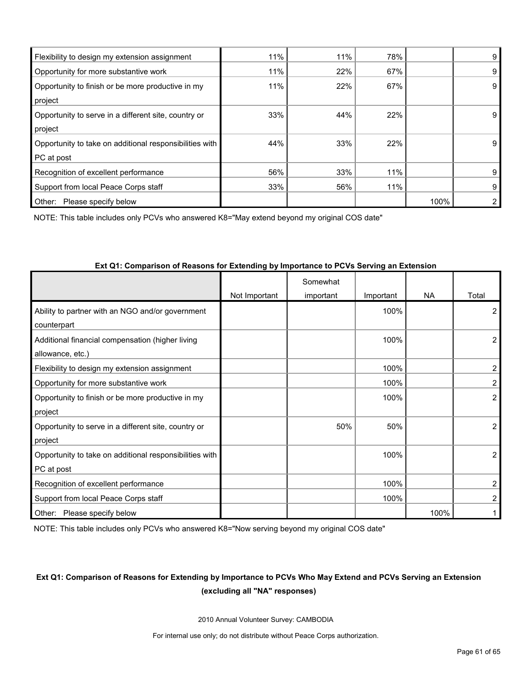| Flexibility to design my extension assignment           | 11% | 11% | 78% |      | 9  |
|---------------------------------------------------------|-----|-----|-----|------|----|
| Opportunity for more substantive work                   | 11% | 22% | 67% |      | 9  |
| Opportunity to finish or be more productive in my       | 11% | 22% | 67% |      | 9  |
| project                                                 |     |     |     |      |    |
| Opportunity to serve in a different site, country or    | 33% | 44% | 22% |      | 9  |
| project                                                 |     |     |     |      |    |
| Opportunity to take on additional responsibilities with | 44% | 33% | 22% |      | 9. |
| PC at post                                              |     |     |     |      |    |
| Recognition of excellent performance                    | 56% | 33% | 11% |      | 9  |
| Support from local Peace Corps staff                    | 33% | 56% | 11% |      | 9  |
| Other:<br>Please specify below                          |     |     |     | 100% |    |

NOTE: This table includes only PCVs who answered K8="May extend beyond my original COS date"

|                                                         | Not Important | Somewhat<br>important | Important | <b>NA</b> | Total          |
|---------------------------------------------------------|---------------|-----------------------|-----------|-----------|----------------|
| Ability to partner with an NGO and/or government        |               |                       | 100%      |           | 2              |
| counterpart                                             |               |                       |           |           |                |
| Additional financial compensation (higher living        |               |                       | 100%      |           | 2              |
| allowance, etc.)                                        |               |                       |           |           |                |
| Flexibility to design my extension assignment           |               |                       | 100%      |           | $\mathbf{2}$   |
| Opportunity for more substantive work                   |               |                       | 100%      |           | $\overline{2}$ |
| Opportunity to finish or be more productive in my       |               |                       | 100%      |           | $\overline{2}$ |
| project                                                 |               |                       |           |           |                |
| Opportunity to serve in a different site, country or    |               | 50%                   | 50%       |           | 2              |
| project                                                 |               |                       |           |           |                |
| Opportunity to take on additional responsibilities with |               |                       | 100%      |           | $\overline{2}$ |
| PC at post                                              |               |                       |           |           |                |
| Recognition of excellent performance                    |               |                       | 100%      |           | $\overline{2}$ |
| Support from local Peace Corps staff                    |               |                       | 100%      |           | 2              |
| Other: Please specify below                             |               |                       |           | 100%      |                |

#### **Ext Q1: Comparison of Reasons for Extending by Importance to PCVs Serving an Extension**

NOTE: This table includes only PCVs who answered K8="Now serving beyond my original COS date"

# **Ext Q1: Comparison of Reasons for Extending by Importance to PCVs Who May Extend and PCVs Serving an Extension (excluding all "NA" responses)**

2010 Annual Volunteer Survey: CAMBODIA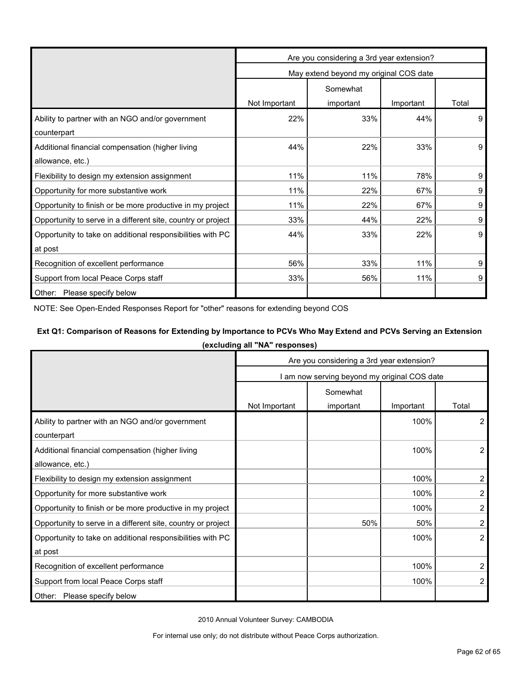|                                                              | Are you considering a 3rd year extension? |                                        |           |       |  |
|--------------------------------------------------------------|-------------------------------------------|----------------------------------------|-----------|-------|--|
|                                                              |                                           | May extend beyond my original COS date |           |       |  |
|                                                              |                                           | Somewhat                               |           |       |  |
|                                                              | Not Important                             | important                              | Important | Total |  |
| Ability to partner with an NGO and/or government             | 22%                                       | 33%                                    | 44%       | 9     |  |
| counterpart                                                  |                                           |                                        |           |       |  |
| Additional financial compensation (higher living             | 44%                                       | 22%                                    | 33%       | 9     |  |
| allowance, etc.)                                             |                                           |                                        |           |       |  |
| Flexibility to design my extension assignment                | 11%                                       | 11%                                    | 78%       | 9     |  |
| Opportunity for more substantive work                        | 11%                                       | 22%                                    | 67%       | 9     |  |
| Opportunity to finish or be more productive in my project    | 11%                                       | 22%                                    | 67%       | 9     |  |
| Opportunity to serve in a different site, country or project | 33%                                       | 44%                                    | 22%       | 9     |  |
| Opportunity to take on additional responsibilities with PC   | 44%                                       | 33%                                    | 22%       | 9     |  |
| at post                                                      |                                           |                                        |           |       |  |
| Recognition of excellent performance                         | 56%                                       | 33%                                    | 11%       | 9     |  |
| Support from local Peace Corps staff                         | 33%                                       | 56%                                    | 11%       | 9     |  |
| Other: Please specify below                                  |                                           |                                        |           |       |  |

NOTE: See Open-Ended Responses Report for "other" reasons for extending beyond COS

# **Ext Q1: Comparison of Reasons for Extending by Importance to PCVs Who May Extend and PCVs Serving an Extension**

**(excluding all "NA" responses)**

|                                                              | Are you considering a 3rd year extension? |                                              |           |                |  |
|--------------------------------------------------------------|-------------------------------------------|----------------------------------------------|-----------|----------------|--|
|                                                              |                                           | I am now serving beyond my original COS date |           |                |  |
|                                                              |                                           | Somewhat                                     |           |                |  |
|                                                              | Not Important                             | important                                    | Important | Total          |  |
| Ability to partner with an NGO and/or government             |                                           |                                              | 100%      | 2              |  |
| counterpart                                                  |                                           |                                              |           |                |  |
| Additional financial compensation (higher living             |                                           |                                              | 100%      | 2              |  |
| allowance, etc.)                                             |                                           |                                              |           |                |  |
| Flexibility to design my extension assignment                |                                           |                                              | 100%      | 2              |  |
| Opportunity for more substantive work                        |                                           |                                              | 100%      | 2              |  |
| Opportunity to finish or be more productive in my project    |                                           |                                              | 100%      | 2              |  |
| Opportunity to serve in a different site, country or project |                                           | 50%                                          | 50%       | 2              |  |
| Opportunity to take on additional responsibilities with PC   |                                           |                                              | 100%      | $\overline{2}$ |  |
| at post                                                      |                                           |                                              |           |                |  |
| Recognition of excellent performance                         |                                           |                                              | 100%      | 2              |  |
| Support from local Peace Corps staff                         |                                           |                                              | 100%      | 2              |  |
| Other: Please specify below                                  |                                           |                                              |           |                |  |

2010 Annual Volunteer Survey: CAMBODIA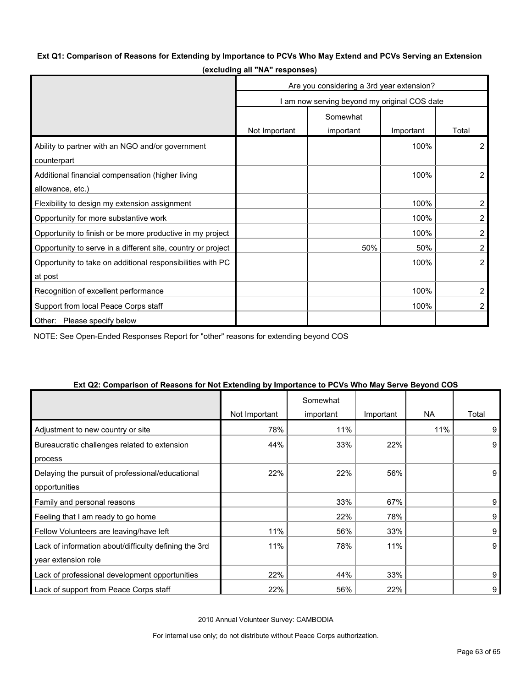# **Ext Q1: Comparison of Reasons for Extending by Importance to PCVs Who May Extend and PCVs Serving an Extension**

|                                                              | Are you considering a 3rd year extension? |                                              |           |                |
|--------------------------------------------------------------|-------------------------------------------|----------------------------------------------|-----------|----------------|
|                                                              |                                           | I am now serving beyond my original COS date |           |                |
|                                                              |                                           | Somewhat                                     |           |                |
|                                                              | Not Important                             | important                                    | Important | Total          |
| Ability to partner with an NGO and/or government             |                                           |                                              | 100%      | $\overline{2}$ |
| counterpart                                                  |                                           |                                              |           |                |
| Additional financial compensation (higher living             |                                           |                                              | 100%      | $\overline{2}$ |
| allowance, etc.)                                             |                                           |                                              |           |                |
| Flexibility to design my extension assignment                |                                           |                                              | 100%      | 2              |
| Opportunity for more substantive work                        |                                           |                                              | 100%      | 2              |
| Opportunity to finish or be more productive in my project    |                                           |                                              | 100%      | 2              |
| Opportunity to serve in a different site, country or project |                                           | 50%                                          | 50%       | 2              |
| Opportunity to take on additional responsibilities with PC   |                                           |                                              | 100%      | $\overline{2}$ |
| at post                                                      |                                           |                                              |           |                |
| Recognition of excellent performance                         |                                           |                                              | 100%      | 2              |
| Support from local Peace Corps staff                         |                                           |                                              | 100%      | 2              |
| Other:<br>Please specify below                               |                                           |                                              |           |                |

**(excluding all "NA" responses)**

NOTE: See Open-Ended Responses Report for "other" reasons for extending beyond COS

| $\frac{1}{2}$ . The companion of reasons for not Extending by importance |               | Somewhat  |           |     |       |
|--------------------------------------------------------------------------|---------------|-----------|-----------|-----|-------|
|                                                                          | Not Important | important | Important | NA. | Total |
| Adjustment to new country or site                                        | 78%           | 11%       |           | 11% | 9     |
| Bureaucratic challenges related to extension                             | 44%           | 33%       | 22%       |     | 9     |
| process                                                                  |               |           |           |     |       |
| Delaying the pursuit of professional/educational                         | 22%           | 22%       | 56%       |     | 9     |
| opportunities                                                            |               |           |           |     |       |
| Family and personal reasons                                              |               | 33%       | 67%       |     | 9     |
| Feeling that I am ready to go home                                       |               | 22%       | 78%       |     | 9     |
| Fellow Volunteers are leaving/have left                                  | 11%           | 56%       | 33%       |     | 9     |
| Lack of information about/difficulty defining the 3rd                    | 11%           | 78%       | 11%       |     | 9     |
| year extension role                                                      |               |           |           |     |       |
| Lack of professional development opportunities                           | 22%           | 44%       | 33%       |     | 9     |
| Lack of support from Peace Corps staff                                   | 22%           | 56%       | 22%       |     | 9     |

#### **Ext Q2: Comparison of Reasons for Not Extending by Importance to PCVs Who May Serve Beyond COS**

2010 Annual Volunteer Survey: CAMBODIA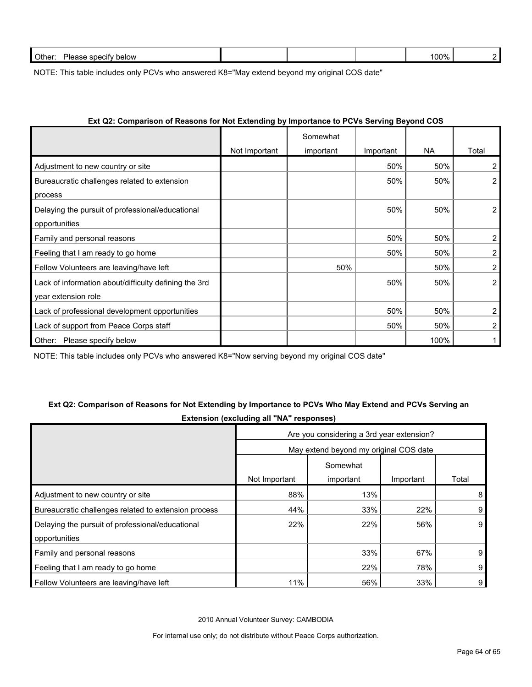| Other:<br>Ple:<br>snecity<br>below<br>900<br>$\sim$ $\sim$ $\sim$ |  | 100% |  |
|-------------------------------------------------------------------|--|------|--|
|                                                                   |  |      |  |

NOTE: This table includes only PCVs who answered K8="May extend beyond my original COS date"

| LAT QL. OUITPOLISUL ULINEGSULS TULTIOL LATERIURING BY IMPORTANCE TULL OVS OEI VING DEYUNG OOD |               |           |           |      |                |
|-----------------------------------------------------------------------------------------------|---------------|-----------|-----------|------|----------------|
|                                                                                               |               | Somewhat  |           |      |                |
|                                                                                               | Not Important | important | Important | NA.  | Total          |
| Adjustment to new country or site                                                             |               |           | 50%       | 50%  | $\overline{2}$ |
| Bureaucratic challenges related to extension                                                  |               |           | 50%       | 50%  | $\overline{2}$ |
| process                                                                                       |               |           |           |      |                |
| Delaying the pursuit of professional/educational                                              |               |           | 50%       | 50%  | $\overline{2}$ |
| opportunities                                                                                 |               |           |           |      |                |
| Family and personal reasons                                                                   |               |           | 50%       | 50%  | $\overline{2}$ |
| Feeling that I am ready to go home                                                            |               |           | 50%       | 50%  | 2              |
| Fellow Volunteers are leaving/have left                                                       |               | 50%       |           | 50%  | 2              |
| Lack of information about/difficulty defining the 3rd                                         |               |           | 50%       | 50%  | $\overline{2}$ |
| year extension role                                                                           |               |           |           |      |                |
| Lack of professional development opportunities                                                |               |           | 50%       | 50%  | 2              |
| Lack of support from Peace Corps staff                                                        |               |           | 50%       | 50%  | $\overline{2}$ |
| Please specify below<br>Other:                                                                |               |           |           | 100% |                |

# **Ext Q2: Comparison of Reasons for Not Extending by Importance to PCVs Serving Beyond COS**

NOTE: This table includes only PCVs who answered K8="Now serving beyond my original COS date"

# **Ext Q2: Comparison of Reasons for Not Extending by Importance to PCVs Who May Extend and PCVs Serving an Extension (excluding all "NA" responses)**

|                                                      | Are you considering a 3rd year extension? |           |           |       |  |
|------------------------------------------------------|-------------------------------------------|-----------|-----------|-------|--|
|                                                      | May extend beyond my original COS date    |           |           |       |  |
|                                                      |                                           | Somewhat  |           |       |  |
|                                                      | Not Important                             | important | Important | Total |  |
| Adjustment to new country or site                    | 88%                                       | 13%       |           | 8     |  |
| Bureaucratic challenges related to extension process | 44%                                       | 33%       | 22%       | 9     |  |
| Delaying the pursuit of professional/educational     | 22%                                       | 22%       | 56%       | 9     |  |
| opportunities                                        |                                           |           |           |       |  |
| Family and personal reasons                          |                                           | 33%       | 67%       | 9     |  |
| Feeling that I am ready to go home                   |                                           | 22%       | 78%       | 9     |  |
| Fellow Volunteers are leaving/have left              | 11%                                       | 56%       | 33%       | 9     |  |

2010 Annual Volunteer Survey: CAMBODIA